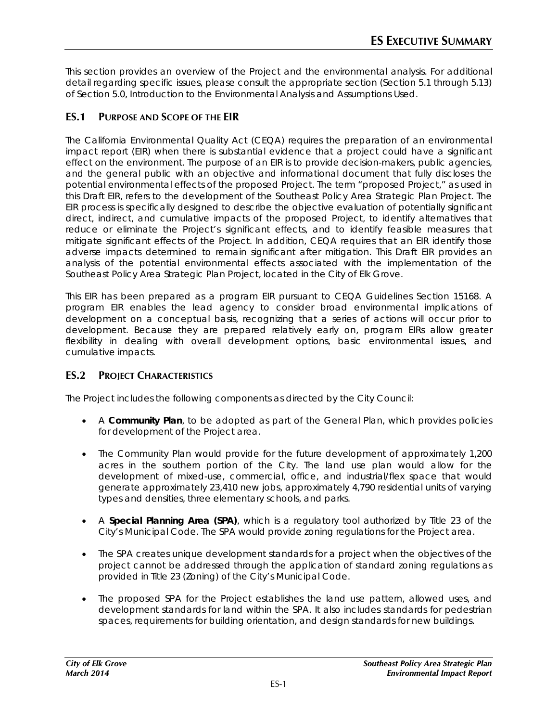This section provides an overview of the Project and the environmental analysis. For additional detail regarding specific issues, please consult the appropriate section (Section 5.1 through 5.13) of Section 5.0, Introduction to the Environmental Analysis and Assumptions Used.

# **ES.1 PURPOSE AND SCOPE OF THE EIR**

The California Environmental Quality Act (CEQA) requires the preparation of an environmental impact report (EIR) when there is substantial evidence that a project could have a significant effect on the environment. The purpose of an EIR is to provide decision-makers, public agencies, and the general public with an objective and informational document that fully discloses the potential environmental effects of the proposed Project. The term "proposed Project," as used in this Draft EIR, refers to the development of the Southeast Policy Area Strategic Plan Project. The EIR process is specifically designed to describe the objective evaluation of potentially significant direct, indirect, and cumulative impacts of the proposed Project, to identify alternatives that reduce or eliminate the Project's significant effects, and to identify feasible measures that mitigate significant effects of the Project. In addition, CEQA requires that an EIR identify those adverse impacts determined to remain significant after mitigation. This Draft EIR provides an analysis of the potential environmental effects associated with the implementation of the Southeast Policy Area Strategic Plan Project, located in the City of Elk Grove.

This EIR has been prepared as a program EIR pursuant to CEQA Guidelines Section 15168. A program EIR enables the lead agency to consider broad environmental implications of development on a conceptual basis, recognizing that a series of actions will occur prior to development. Because they are prepared relatively early on, program EIRs allow greater flexibility in dealing with overall development options, basic environmental issues, and cumulative impacts.

# **ES.2 PROJECT CHARACTERISTICS**

The Project includes the following components as directed by the City Council:

- A **Community Plan**, to be adopted as part of the General Plan, which provides policies for development of the Project area.
- The Community Plan would provide for the future development of approximately 1,200 acres in the southern portion of the City. The land use plan would allow for the development of mixed-use, commercial, office, and industrial/flex space that would generate approximately 23,410 new jobs, approximately 4,790 residential units of varying types and densities, three elementary schools, and parks.
- A **Special Planning Area (SPA)**, which is a regulatory tool authorized by Title 23 of the City's Municipal Code. The SPA would provide zoning regulations for the Project area.
- The SPA creates unique development standards for a project when the objectives of the project cannot be addressed through the application of standard zoning regulations as provided in Title 23 (Zoning) of the City's Municipal Code.
- The proposed SPA for the Project establishes the land use pattern, allowed uses, and development standards for land within the SPA. It also includes standards for pedestrian spaces, requirements for building orientation, and design standards for new buildings.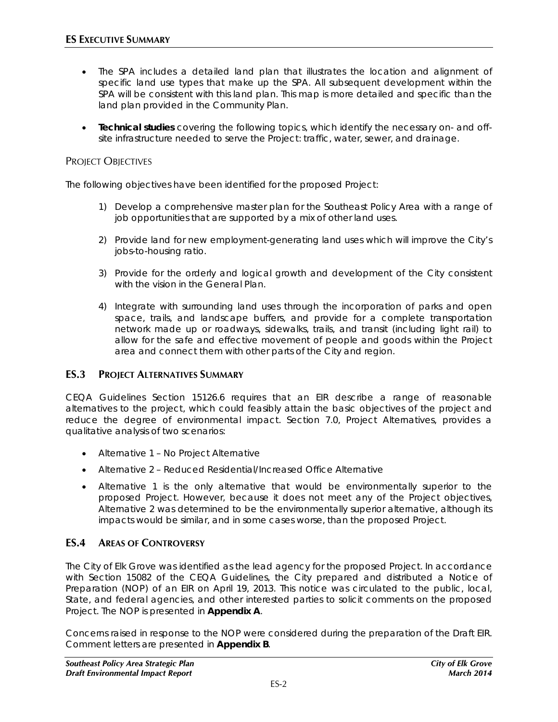- The SPA includes a detailed land plan that illustrates the location and alignment of specific land use types that make up the SPA. All subsequent development within the SPA will be consistent with this land plan. This map is more detailed and specific than the land plan provided in the Community Plan.
- **Technical studies** covering the following topics, which identify the necessary on- and offsite infrastructure needed to serve the Project: traffic, water, sewer, and drainage.

### PROJECT OBJECTIVES

The following objectives have been identified for the proposed Project:

- 1) Develop a comprehensive master plan for the Southeast Policy Area with a range of job opportunities that are supported by a mix of other land uses.
- 2) Provide land for new employment-generating land uses which will improve the City's jobs-to-housing ratio.
- 3) Provide for the orderly and logical growth and development of the City consistent with the vision in the General Plan.
- 4) Integrate with surrounding land uses through the incorporation of parks and open space, trails, and landscape buffers, and provide for a complete transportation network made up or roadways, sidewalks, trails, and transit (including light rail) to allow for the safe and effective movement of people and goods within the Project area and connect them with other parts of the City and region.

#### **ES.3 PROJECT ALTERNATIVES SUMMARY**

CEQA Guidelines Section 15126.6 requires that an EIR describe a range of reasonable alternatives to the project, which could feasibly attain the basic objectives of the project and reduce the degree of environmental impact. Section 7.0, Project Alternatives, provides a qualitative analysis of two scenarios:

- Alternative 1 No Project Alternative
- Alternative 2 Reduced Residential/Increased Office Alternative
- Alternative 1 is the only alternative that would be environmentally superior to the proposed Project. However, because it does not meet any of the Project objectives, Alternative 2 was determined to be the environmentally superior alternative, although its impacts would be similar, and in some cases worse, than the proposed Project.

#### **ES.4 AREAS OF CONTROVERSY**

The City of Elk Grove was identified as the lead agency for the proposed Project. In accordance with Section 15082 of the CEQA Guidelines, the City prepared and distributed a Notice of Preparation (NOP) of an EIR on April 19, 2013. This notice was circulated to the public, local, State, and federal agencies, and other interested parties to solicit comments on the proposed Project. The NOP is presented in **Appendix A**.

Concerns raised in response to the NOP were considered during the preparation of the Draft EIR. Comment letters are presented in **Appendix B**.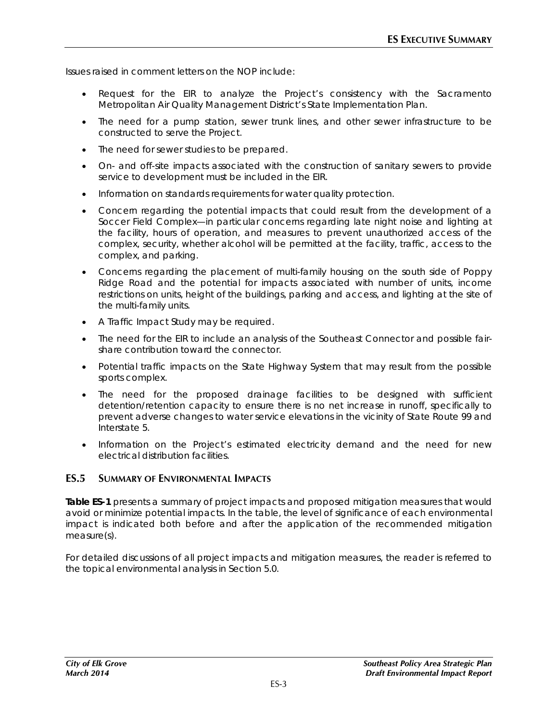Issues raised in comment letters on the NOP include:

- Request for the EIR to analyze the Project's consistency with the Sacramento Metropolitan Air Quality Management District's State Implementation Plan.
- The need for a pump station, sewer trunk lines, and other sewer infrastructure to be constructed to serve the Project.
- The need for sewer studies to be prepared.
- On- and off-site impacts associated with the construction of sanitary sewers to provide service to development must be included in the EIR.
- Information on standards requirements for water quality protection.
- Concern regarding the potential impacts that could result from the development of a Soccer Field Complex—in particular concerns regarding late night noise and lighting at the facility, hours of operation, and measures to prevent unauthorized access of the complex, security, whether alcohol will be permitted at the facility, traffic, access to the complex, and parking.
- Concerns regarding the placement of multi-family housing on the south side of Poppy Ridge Road and the potential for impacts associated with number of units, income restrictions on units, height of the buildings, parking and access, and lighting at the site of the multi-family units.
- A Traffic Impact Study may be required.
- The need for the EIR to include an analysis of the Southeast Connector and possible fairshare contribution toward the connector.
- Potential traffic impacts on the State Highway System that may result from the possible sports complex.
- The need for the proposed drainage facilities to be designed with sufficient detention/retention capacity to ensure there is no net increase in runoff, specifically to prevent adverse changes to water service elevations in the vicinity of State Route 99 and Interstate 5.
- Information on the Project's estimated electricity demand and the need for new electrical distribution facilities.

### **ES.5 SUMMARY OF ENVIRONMENTAL IMPACTS**

**Table ES-1** presents a summary of project impacts and proposed mitigation measures that would avoid or minimize potential impacts. In the table, the level of significance of each environmental impact is indicated both before and after the application of the recommended mitigation measure(s).

For detailed discussions of all project impacts and mitigation measures, the reader is referred to the topical environmental analysis in Section 5.0.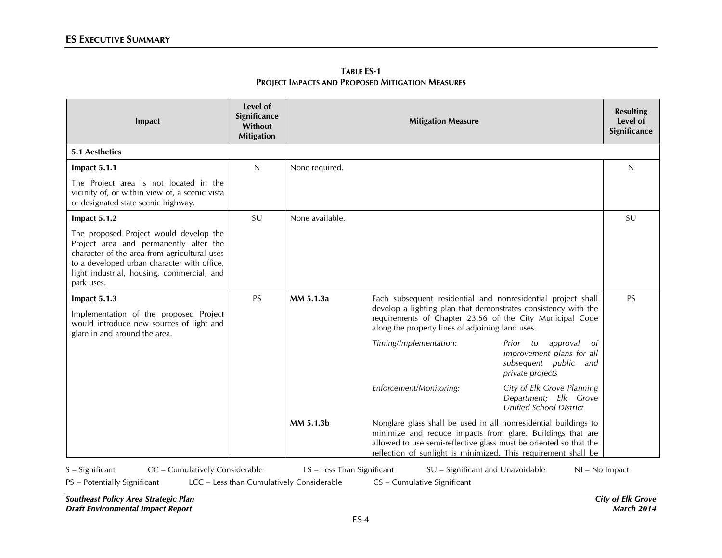| Impact                                                                                                                                                                                                                                      | Level of<br>Significance<br>Without<br><b>Mitigation</b> |                                                                                                                                                                                                                                                                                   | <b>Mitigation Measure</b>                                                                                                                                                      |                                                                                                      | <b>Resulting</b><br>Level of<br>Significance |
|---------------------------------------------------------------------------------------------------------------------------------------------------------------------------------------------------------------------------------------------|----------------------------------------------------------|-----------------------------------------------------------------------------------------------------------------------------------------------------------------------------------------------------------------------------------------------------------------------------------|--------------------------------------------------------------------------------------------------------------------------------------------------------------------------------|------------------------------------------------------------------------------------------------------|----------------------------------------------|
| <b>5.1 Aesthetics</b>                                                                                                                                                                                                                       |                                                          |                                                                                                                                                                                                                                                                                   |                                                                                                                                                                                |                                                                                                      |                                              |
| Impact 5.1.1                                                                                                                                                                                                                                | N                                                        | None required.                                                                                                                                                                                                                                                                    |                                                                                                                                                                                |                                                                                                      | N                                            |
| The Project area is not located in the<br>vicinity of, or within view of, a scenic vista<br>or designated state scenic highway.                                                                                                             |                                                          |                                                                                                                                                                                                                                                                                   |                                                                                                                                                                                |                                                                                                      |                                              |
| Impact 5.1.2                                                                                                                                                                                                                                | SU                                                       | None available.                                                                                                                                                                                                                                                                   |                                                                                                                                                                                |                                                                                                      | SU                                           |
| The proposed Project would develop the<br>Project area and permanently alter the<br>character of the area from agricultural uses<br>to a developed urban character with office,<br>light industrial, housing, commercial, and<br>park uses. |                                                          |                                                                                                                                                                                                                                                                                   |                                                                                                                                                                                |                                                                                                      |                                              |
| Impact 5.1.3                                                                                                                                                                                                                                | <b>PS</b>                                                | MM 5.1.3a                                                                                                                                                                                                                                                                         | Each subsequent residential and nonresidential project shall                                                                                                                   |                                                                                                      | <b>PS</b>                                    |
| Implementation of the proposed Project<br>would introduce new sources of light and<br>glare in and around the area.                                                                                                                         |                                                          |                                                                                                                                                                                                                                                                                   | develop a lighting plan that demonstrates consistency with the<br>requirements of Chapter 23.56 of the City Municipal Code<br>along the property lines of adjoining land uses. |                                                                                                      |                                              |
|                                                                                                                                                                                                                                             |                                                          |                                                                                                                                                                                                                                                                                   | Timing/Implementation:                                                                                                                                                         | Prior to<br>approval<br>of<br>improvement plans for all<br>subsequent public and<br>private projects |                                              |
|                                                                                                                                                                                                                                             |                                                          |                                                                                                                                                                                                                                                                                   | Enforcement/Monitoring:                                                                                                                                                        | City of Elk Grove Planning<br>Department; Elk Grove<br><b>Unified School District</b>                |                                              |
|                                                                                                                                                                                                                                             |                                                          | MM 5.1.3b<br>Nonglare glass shall be used in all nonresidential buildings to<br>minimize and reduce impacts from glare. Buildings that are<br>allowed to use semi-reflective glass must be oriented so that the<br>reflection of sunlight is minimized. This requirement shall be |                                                                                                                                                                                |                                                                                                      |                                              |
| $S -$ Significant<br>CC - Cumulatively Considerable                                                                                                                                                                                         |                                                          | LS - Less Than Significant                                                                                                                                                                                                                                                        | SU - Significant and Unavoidable                                                                                                                                               | $NI - No$ Impact                                                                                     |                                              |

**TABLE ES-1 PROJECT IMPACTS AND PROPOSED MITIGATION MEASURES**

*Southeast Policy Area Strategic Plan City of Elk Grove Draft Environmental Impact Report March 2014*

PS – Potentially Significant LCC – Less than Cumulatively Considerable CS – Cumulative Significant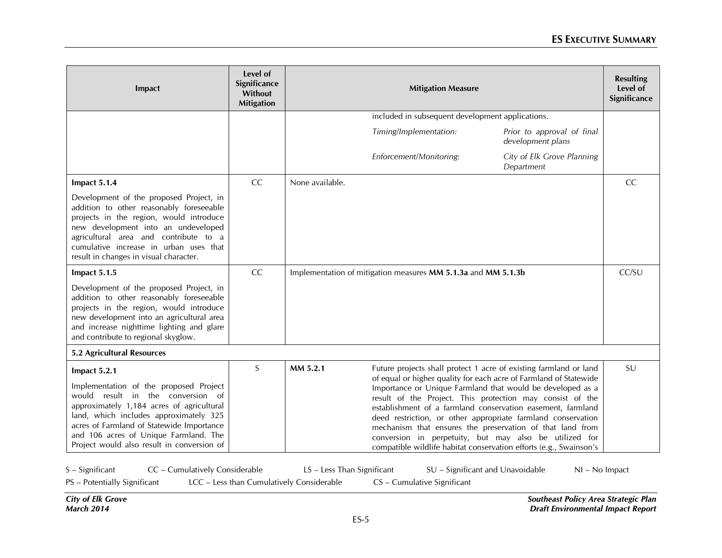| Impact                                                                                                                                                                                                                                                                                                                 | Level of<br>Significance<br>Without<br><b>Mitigation</b> |                                                               | <b>Resulting</b><br>Level of<br>Significance     |                                                                                                                                                                                                                                                                                                                                                                                                                                                                                                                                                                                               |    |
|------------------------------------------------------------------------------------------------------------------------------------------------------------------------------------------------------------------------------------------------------------------------------------------------------------------------|----------------------------------------------------------|---------------------------------------------------------------|--------------------------------------------------|-----------------------------------------------------------------------------------------------------------------------------------------------------------------------------------------------------------------------------------------------------------------------------------------------------------------------------------------------------------------------------------------------------------------------------------------------------------------------------------------------------------------------------------------------------------------------------------------------|----|
|                                                                                                                                                                                                                                                                                                                        |                                                          |                                                               | included in subsequent development applications. |                                                                                                                                                                                                                                                                                                                                                                                                                                                                                                                                                                                               |    |
|                                                                                                                                                                                                                                                                                                                        |                                                          |                                                               | Timing/Implementation:                           | Prior to approval of final<br>development plans                                                                                                                                                                                                                                                                                                                                                                                                                                                                                                                                               |    |
|                                                                                                                                                                                                                                                                                                                        |                                                          |                                                               | Enforcement/Monitoring:                          | City of Elk Grove Planning<br>Department                                                                                                                                                                                                                                                                                                                                                                                                                                                                                                                                                      |    |
| Impact 5.1.4                                                                                                                                                                                                                                                                                                           | CC                                                       | None available.                                               |                                                  |                                                                                                                                                                                                                                                                                                                                                                                                                                                                                                                                                                                               | CC |
| Development of the proposed Project, in<br>addition to other reasonably foreseeable<br>projects in the region, would introduce<br>new development into an undeveloped<br>agricultural area and contribute to a<br>cumulative increase in urban uses that<br>result in changes in visual character.                     |                                                          |                                                               |                                                  |                                                                                                                                                                                                                                                                                                                                                                                                                                                                                                                                                                                               |    |
| Impact 5.1.5                                                                                                                                                                                                                                                                                                           | CC                                                       | Implementation of mitigation measures MM 5.1.3a and MM 5.1.3b | CC/SU                                            |                                                                                                                                                                                                                                                                                                                                                                                                                                                                                                                                                                                               |    |
| Development of the proposed Project, in<br>addition to other reasonably foreseeable<br>projects in the region, would introduce<br>new development into an agricultural area<br>and increase nighttime lighting and glare<br>and contribute to regional skyglow.                                                        |                                                          |                                                               |                                                  |                                                                                                                                                                                                                                                                                                                                                                                                                                                                                                                                                                                               |    |
| 5.2 Agricultural Resources                                                                                                                                                                                                                                                                                             |                                                          |                                                               |                                                  |                                                                                                                                                                                                                                                                                                                                                                                                                                                                                                                                                                                               |    |
| Impact 5.2.1<br>Implementation of the proposed Project<br>would result in the conversion of<br>approximately 1,184 acres of agricultural<br>land, which includes approximately 325<br>acres of Farmland of Statewide Importance<br>and 106 acres of Unique Farmland. The<br>Project would also result in conversion of | $\sf S$                                                  | MM 5.2.1                                                      |                                                  | Future projects shall protect 1 acre of existing farmland or land<br>of equal or higher quality for each acre of Farmland of Statewide<br>Importance or Unique Farmland that would be developed as a<br>result of the Project. This protection may consist of the<br>establishment of a farmland conservation easement, farmland<br>deed restriction, or other appropriate farmland conservation<br>mechanism that ensures the preservation of that land from<br>conversion in perpetuity, but may also be utilized for<br>compatible wildlife habitat conservation efforts (e.g., Swainson's | SU |
| CC - Cumulatively Considerable<br>$S -$ Significant                                                                                                                                                                                                                                                                    |                                                          | LS - Less Than Significant                                    |                                                  | SU - Significant and Unavoidable<br>$NI - No$ Impact                                                                                                                                                                                                                                                                                                                                                                                                                                                                                                                                          |    |

PS – Potentially Significant LCC – Less than Cumulatively Considerable CS – Cumulative Significant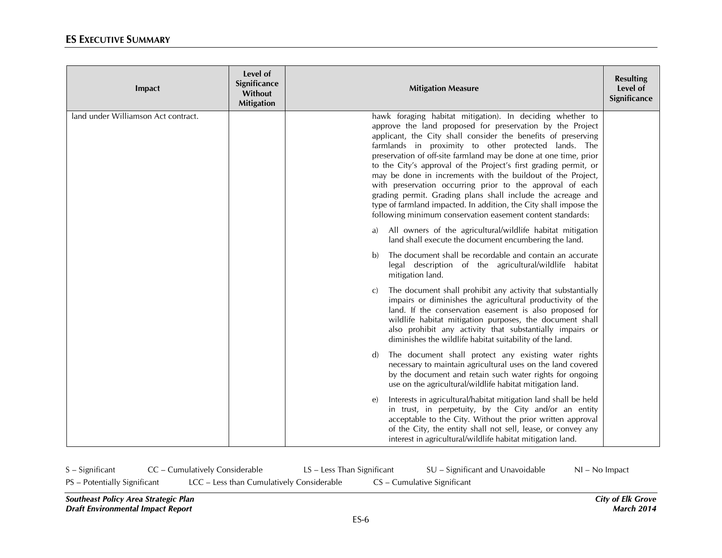| Impact                              | Level of<br>Significance<br>Without<br><b>Mitigation</b> | <b>Mitigation Measure</b>                                                                                                                                                                                                                                                                                                                                                                                                                                                                                                                                                                                                                                                                                             | <b>Resulting</b><br>Level of<br>Significance |
|-------------------------------------|----------------------------------------------------------|-----------------------------------------------------------------------------------------------------------------------------------------------------------------------------------------------------------------------------------------------------------------------------------------------------------------------------------------------------------------------------------------------------------------------------------------------------------------------------------------------------------------------------------------------------------------------------------------------------------------------------------------------------------------------------------------------------------------------|----------------------------------------------|
| land under Williamson Act contract. |                                                          | hawk foraging habitat mitigation). In deciding whether to<br>approve the land proposed for preservation by the Project<br>applicant, the City shall consider the benefits of preserving<br>farmlands in proximity to other protected lands. The<br>preservation of off-site farmland may be done at one time, prior<br>to the City's approval of the Project's first grading permit, or<br>may be done in increments with the buildout of the Project,<br>with preservation occurring prior to the approval of each<br>grading permit. Grading plans shall include the acreage and<br>type of farmland impacted. In addition, the City shall impose the<br>following minimum conservation easement content standards: |                                              |
|                                     |                                                          | All owners of the agricultural/wildlife habitat mitigation<br>a)<br>land shall execute the document encumbering the land.                                                                                                                                                                                                                                                                                                                                                                                                                                                                                                                                                                                             |                                              |
|                                     |                                                          | The document shall be recordable and contain an accurate<br>b)<br>legal description of the agricultural/wildlife habitat<br>mitigation land.                                                                                                                                                                                                                                                                                                                                                                                                                                                                                                                                                                          |                                              |
|                                     |                                                          | The document shall prohibit any activity that substantially<br>C)<br>impairs or diminishes the agricultural productivity of the<br>land. If the conservation easement is also proposed for<br>wildlife habitat mitigation purposes, the document shall<br>also prohibit any activity that substantially impairs or<br>diminishes the wildlife habitat suitability of the land.                                                                                                                                                                                                                                                                                                                                        |                                              |
|                                     |                                                          | The document shall protect any existing water rights<br>$\mathbf{d}$<br>necessary to maintain agricultural uses on the land covered<br>by the document and retain such water rights for ongoing<br>use on the agricultural/wildlife habitat mitigation land.                                                                                                                                                                                                                                                                                                                                                                                                                                                          |                                              |
|                                     |                                                          | Interests in agricultural/habitat mitigation land shall be held<br>$\epsilon$<br>in trust, in perpetuity, by the City and/or an entity<br>acceptable to the City. Without the prior written approval<br>of the City, the entity shall not sell, lease, or convey any<br>interest in agricultural/wildlife habitat mitigation land.                                                                                                                                                                                                                                                                                                                                                                                    |                                              |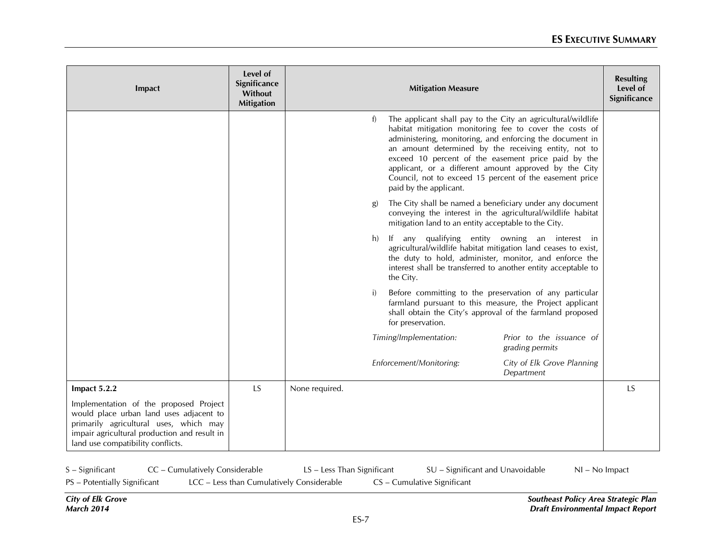| Impact                                                                                                                                                                                                           | Level of<br>Significance<br>Without<br><b>Mitigation</b> |                |    | <b>Mitigation Measure</b>                                                                                                                                                                                                                                                                                                                                                                                                                        |                                             | <b>Resulting</b><br>Level of<br>Significance |
|------------------------------------------------------------------------------------------------------------------------------------------------------------------------------------------------------------------|----------------------------------------------------------|----------------|----|--------------------------------------------------------------------------------------------------------------------------------------------------------------------------------------------------------------------------------------------------------------------------------------------------------------------------------------------------------------------------------------------------------------------------------------------------|---------------------------------------------|----------------------------------------------|
|                                                                                                                                                                                                                  |                                                          |                | f) | The applicant shall pay to the City an agricultural/wildlife<br>habitat mitigation monitoring fee to cover the costs of<br>administering, monitoring, and enforcing the document in<br>an amount determined by the receiving entity, not to<br>exceed 10 percent of the easement price paid by the<br>applicant, or a different amount approved by the City<br>Council, not to exceed 15 percent of the easement price<br>paid by the applicant. |                                             |                                              |
|                                                                                                                                                                                                                  |                                                          |                | g) | The City shall be named a beneficiary under any document<br>conveying the interest in the agricultural/wildlife habitat<br>mitigation land to an entity acceptable to the City.                                                                                                                                                                                                                                                                  |                                             |                                              |
|                                                                                                                                                                                                                  |                                                          |                | h) | If any qualifying entity owning an interest in<br>agricultural/wildlife habitat mitigation land ceases to exist,<br>the duty to hold, administer, monitor, and enforce the<br>interest shall be transferred to another entity acceptable to<br>the City.                                                                                                                                                                                         |                                             |                                              |
|                                                                                                                                                                                                                  |                                                          |                | i) | Before committing to the preservation of any particular<br>farmland pursuant to this measure, the Project applicant<br>shall obtain the City's approval of the farmland proposed<br>for preservation.                                                                                                                                                                                                                                            |                                             |                                              |
|                                                                                                                                                                                                                  |                                                          |                |    | Timing/Implementation:                                                                                                                                                                                                                                                                                                                                                                                                                           | Prior to the issuance of<br>grading permits |                                              |
|                                                                                                                                                                                                                  |                                                          |                |    | Enforcement/Monitoring:                                                                                                                                                                                                                                                                                                                                                                                                                          | City of Elk Grove Planning<br>Department    |                                              |
| Impact 5.2.2                                                                                                                                                                                                     | LS                                                       | None required. |    |                                                                                                                                                                                                                                                                                                                                                                                                                                                  |                                             | LS                                           |
| Implementation of the proposed Project<br>would place urban land uses adjacent to<br>primarily agricultural uses, which may<br>impair agricultural production and result in<br>land use compatibility conflicts. |                                                          |                |    |                                                                                                                                                                                                                                                                                                                                                                                                                                                  |                                             |                                              |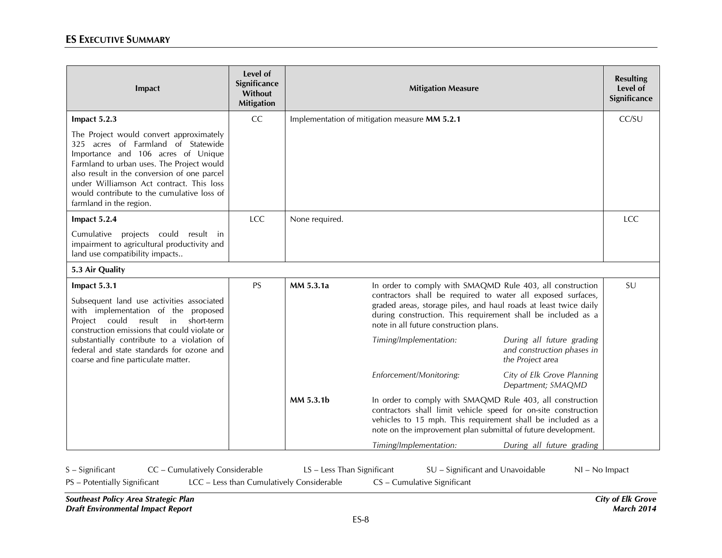| Impact                                                                                                                                                                                                                                                                                                                               | Level of<br>Significance<br>Without<br><b>Mitigation</b> |                | <b>Mitigation Measure</b>                                                                                                                                                                                                                                                                               |                                                                             | <b>Resulting</b><br>Level of<br>Significance |
|--------------------------------------------------------------------------------------------------------------------------------------------------------------------------------------------------------------------------------------------------------------------------------------------------------------------------------------|----------------------------------------------------------|----------------|---------------------------------------------------------------------------------------------------------------------------------------------------------------------------------------------------------------------------------------------------------------------------------------------------------|-----------------------------------------------------------------------------|----------------------------------------------|
| Impact 5.2.3                                                                                                                                                                                                                                                                                                                         | CC                                                       |                | Implementation of mitigation measure MM 5.2.1                                                                                                                                                                                                                                                           |                                                                             | CC/SU                                        |
| The Project would convert approximately<br>325 acres of Farmland of Statewide<br>Importance and 106 acres of Unique<br>Farmland to urban uses. The Project would<br>also result in the conversion of one parcel<br>under Williamson Act contract. This loss<br>would contribute to the cumulative loss of<br>farmland in the region. |                                                          |                |                                                                                                                                                                                                                                                                                                         |                                                                             |                                              |
| Impact 5.2.4                                                                                                                                                                                                                                                                                                                         | <b>LCC</b>                                               | None required. |                                                                                                                                                                                                                                                                                                         |                                                                             | LCC                                          |
| Cumulative projects could result in<br>impairment to agricultural productivity and<br>land use compatibility impacts                                                                                                                                                                                                                 |                                                          |                |                                                                                                                                                                                                                                                                                                         |                                                                             |                                              |
| 5.3 Air Quality                                                                                                                                                                                                                                                                                                                      |                                                          |                |                                                                                                                                                                                                                                                                                                         |                                                                             |                                              |
| <b>PS</b><br>Impact 5.3.1<br>Subsequent land use activities associated<br>with implementation of the proposed<br>Project could result in<br>short-term<br>construction emissions that could violate or                                                                                                                               |                                                          | MM 5.3.1a      | In order to comply with SMAQMD Rule 403, all construction<br>contractors shall be required to water all exposed surfaces,<br>graded areas, storage piles, and haul roads at least twice daily<br>during construction. This requirement shall be included as a<br>note in all future construction plans. |                                                                             | SU                                           |
| substantially contribute to a violation of<br>federal and state standards for ozone and<br>coarse and fine particulate matter.                                                                                                                                                                                                       |                                                          |                | Timing/Implementation:                                                                                                                                                                                                                                                                                  | During all future grading<br>and construction phases in<br>the Project area |                                              |
|                                                                                                                                                                                                                                                                                                                                      |                                                          |                | Enforcement/Monitoring:                                                                                                                                                                                                                                                                                 | City of Elk Grove Planning<br>Department; SMAQMD                            |                                              |
|                                                                                                                                                                                                                                                                                                                                      |                                                          | MM 5.3.1b      | In order to comply with SMAQMD Rule 403, all construction<br>contractors shall limit vehicle speed for on-site construction<br>vehicles to 15 mph. This requirement shall be included as a<br>note on the improvement plan submittal of future development.                                             |                                                                             |                                              |
|                                                                                                                                                                                                                                                                                                                                      |                                                          |                | Timing/Implementation:                                                                                                                                                                                                                                                                                  | During all future grading                                                   |                                              |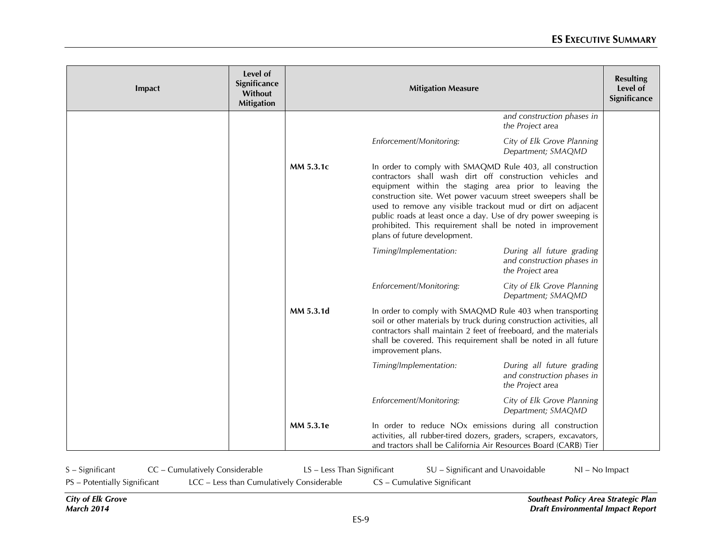| Impact | Level of<br>Significance<br>Without<br><b>Mitigation</b> |           | <b>Mitigation Measure</b>                                                                                                                                                                                                                                                                                                                                                                                                                                                       |                                                                             | <b>Resulting</b><br>Level of<br>Significance |
|--------|----------------------------------------------------------|-----------|---------------------------------------------------------------------------------------------------------------------------------------------------------------------------------------------------------------------------------------------------------------------------------------------------------------------------------------------------------------------------------------------------------------------------------------------------------------------------------|-----------------------------------------------------------------------------|----------------------------------------------|
|        |                                                          |           |                                                                                                                                                                                                                                                                                                                                                                                                                                                                                 | and construction phases in<br>the Project area                              |                                              |
|        |                                                          |           | Enforcement/Monitoring:                                                                                                                                                                                                                                                                                                                                                                                                                                                         | City of Elk Grove Planning<br>Department; SMAQMD                            |                                              |
|        |                                                          | MM 5.3.1c | In order to comply with SMAQMD Rule 403, all construction<br>contractors shall wash dirt off construction vehicles and<br>equipment within the staging area prior to leaving the<br>construction site. Wet power vacuum street sweepers shall be<br>used to remove any visible trackout mud or dirt on adjacent<br>public roads at least once a day. Use of dry power sweeping is<br>prohibited. This requirement shall be noted in improvement<br>plans of future development. |                                                                             |                                              |
|        |                                                          |           | Timing/Implementation:                                                                                                                                                                                                                                                                                                                                                                                                                                                          | During all future grading<br>and construction phases in<br>the Project area |                                              |
|        |                                                          |           | Enforcement/Monitoring:                                                                                                                                                                                                                                                                                                                                                                                                                                                         | City of Elk Grove Planning<br>Department; SMAQMD                            |                                              |
|        |                                                          | MM 5.3.1d | In order to comply with SMAQMD Rule 403 when transporting<br>soil or other materials by truck during construction activities, all<br>contractors shall maintain 2 feet of freeboard, and the materials<br>shall be covered. This requirement shall be noted in all future<br>improvement plans.                                                                                                                                                                                 |                                                                             |                                              |
|        |                                                          |           | Timing/Implementation:                                                                                                                                                                                                                                                                                                                                                                                                                                                          | During all future grading<br>and construction phases in<br>the Project area |                                              |
|        |                                                          |           | Enforcement/Monitoring:                                                                                                                                                                                                                                                                                                                                                                                                                                                         | City of Elk Grove Planning<br>Department; SMAQMD                            |                                              |
|        |                                                          | MM 5.3.1e | In order to reduce NO <sub>x</sub> emissions during all construction<br>activities, all rubber-tired dozers, graders, scrapers, excavators,<br>and tractors shall be California Air Resources Board (CARB) Tier                                                                                                                                                                                                                                                                 |                                                                             |                                              |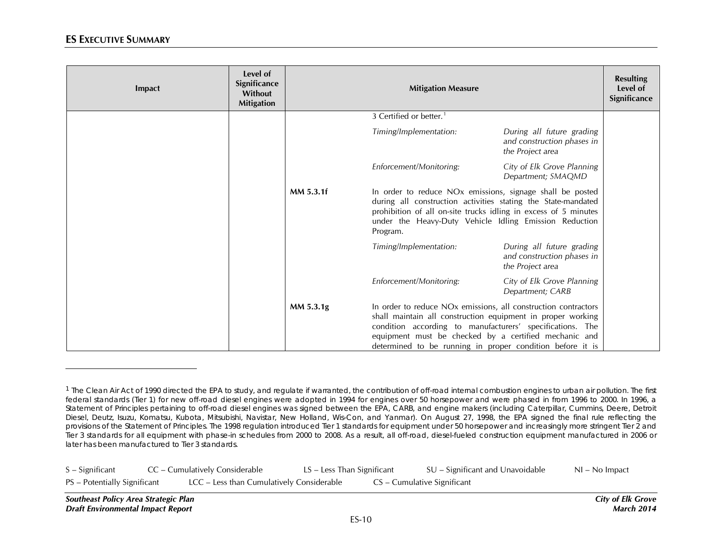<span id="page-9-0"></span>

| Impact | Level of<br>Significance<br><b>Without</b><br><b>Mitigation</b> |           | <b>Resulting</b><br>Level of<br>Significance                                                                                                                                                                                                                                                                                 |                                                                             |  |
|--------|-----------------------------------------------------------------|-----------|------------------------------------------------------------------------------------------------------------------------------------------------------------------------------------------------------------------------------------------------------------------------------------------------------------------------------|-----------------------------------------------------------------------------|--|
|        |                                                                 |           | 3 Certified or better. <sup>1</sup>                                                                                                                                                                                                                                                                                          |                                                                             |  |
|        |                                                                 |           | Timing/Implementation:                                                                                                                                                                                                                                                                                                       | During all future grading<br>and construction phases in<br>the Project area |  |
|        |                                                                 |           | Enforcement/Monitoring:                                                                                                                                                                                                                                                                                                      | City of Elk Grove Planning<br>Department; SMAQMD                            |  |
|        |                                                                 | MM 5.3.1f | In order to reduce NO <sub>x</sub> emissions, signage shall be posted<br>during all construction activities stating the State-mandated<br>prohibition of all on-site trucks idling in excess of 5 minutes<br>under the Heavy-Duty Vehicle Idling Emission Reduction<br>Program.                                              |                                                                             |  |
|        |                                                                 |           | Timing/Implementation:                                                                                                                                                                                                                                                                                                       | During all future grading<br>and construction phases in<br>the Project area |  |
|        |                                                                 |           | Enforcement/Monitoring:                                                                                                                                                                                                                                                                                                      | City of Elk Grove Planning<br>Department; CARB                              |  |
|        |                                                                 | MM 5.3.1g | In order to reduce NO <sub>x</sub> emissions, all construction contractors<br>shall maintain all construction equipment in proper working<br>condition according to manufacturers' specifications. The<br>equipment must be checked by a certified mechanic and<br>determined to be running in proper condition before it is |                                                                             |  |

| $S -$ Significant            | CC – Cumulatively Considerable            | LS – Less Than Significant |                             | SU – Significant and Unavoidable | $NI - No$ Impact |
|------------------------------|-------------------------------------------|----------------------------|-----------------------------|----------------------------------|------------------|
| PS - Potentially Significant | LCC - Less than Cumulatively Considerable |                            | CS – Cumulative Significant |                                  |                  |

l

<sup>&</sup>lt;sup>1</sup> The Clean Air Act of 1990 directed the EPA to study, and regulate if warranted, the contribution of off-road internal combustion engines to urban air pollution. The first federal standards (Tier 1) for new off-road diesel engines were adopted in 1994 for engines over 50 horsepower and were phased in from 1996 to 2000. In 1996, a Statement of Principles pertaining to off-road diesel engines was signed between the EPA, CARB, and engine makers (including Caterpillar, Cummins, Deere, Detroit Diesel, Deutz, Isuzu, Komatsu, Kubota, Mitsubishi, Navistar, New Holland, Wis-Con, and Yanmar). On August 27, 1998, the EPA signed the final rule reflecting the provisions of the Statement of Principles. The 1998 regulation introduced Tier 1 standards for equipment under 50 horsepower and increasingly more stringent Tier 2 and Tier 3 standards for all equipment with phase-in schedules from 2000 to 2008. As a result, all off-road, diesel-fueled construction equipment manufactured in 2006 or later has been manufactured to Tier 3 standards.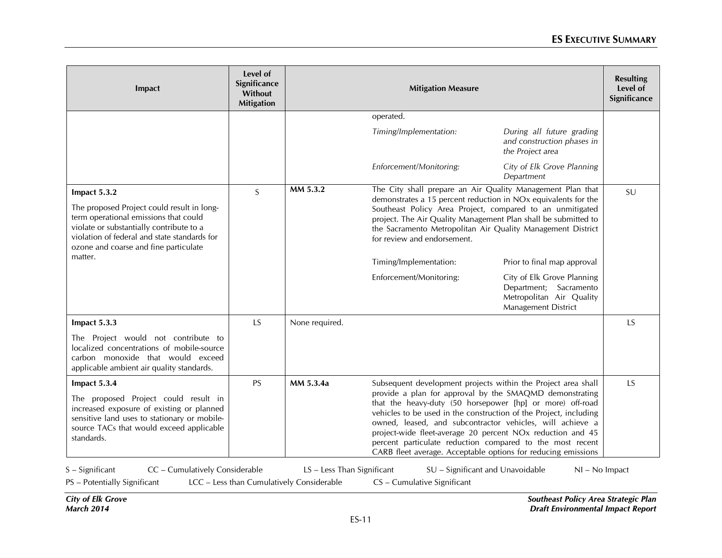| Impact                                                                                                                                                                                                                                   | Level of<br>Significance<br>Without<br><b>Mitigation</b> | <b>Mitigation Measure</b>                 |                                                                                                                                                                                                                                                                                                                                                                                                                                                                |                                                                                                         |    |  |
|------------------------------------------------------------------------------------------------------------------------------------------------------------------------------------------------------------------------------------------|----------------------------------------------------------|-------------------------------------------|----------------------------------------------------------------------------------------------------------------------------------------------------------------------------------------------------------------------------------------------------------------------------------------------------------------------------------------------------------------------------------------------------------------------------------------------------------------|---------------------------------------------------------------------------------------------------------|----|--|
|                                                                                                                                                                                                                                          |                                                          |                                           | operated.                                                                                                                                                                                                                                                                                                                                                                                                                                                      |                                                                                                         |    |  |
|                                                                                                                                                                                                                                          |                                                          |                                           | Timing/Implementation:                                                                                                                                                                                                                                                                                                                                                                                                                                         | During all future grading<br>and construction phases in<br>the Project area                             |    |  |
|                                                                                                                                                                                                                                          |                                                          |                                           | Enforcement/Monitoring:                                                                                                                                                                                                                                                                                                                                                                                                                                        | City of Elk Grove Planning<br>Department                                                                |    |  |
| Impact 5.3.2<br>The proposed Project could result in long-<br>term operational emissions that could<br>violate or substantially contribute to a<br>violation of federal and state standards for<br>ozone and coarse and fine particulate | S                                                        | MM 5.3.2                                  | The City shall prepare an Air Quality Management Plan that<br>demonstrates a 15 percent reduction in NOx equivalents for the<br>Southeast Policy Area Project, compared to an unmitigated<br>project. The Air Quality Management Plan shall be submitted to<br>the Sacramento Metropolitan Air Quality Management District<br>for review and endorsement.                                                                                                      |                                                                                                         | SU |  |
| matter.                                                                                                                                                                                                                                  |                                                          |                                           | Timing/Implementation:                                                                                                                                                                                                                                                                                                                                                                                                                                         | Prior to final map approval                                                                             |    |  |
|                                                                                                                                                                                                                                          |                                                          |                                           | Enforcement/Monitoring:                                                                                                                                                                                                                                                                                                                                                                                                                                        | City of Elk Grove Planning<br>Department; Sacramento<br>Metropolitan Air Quality<br>Management District |    |  |
| Impact 5.3.3                                                                                                                                                                                                                             | LS                                                       | None required.                            |                                                                                                                                                                                                                                                                                                                                                                                                                                                                |                                                                                                         | LS |  |
| The Project would not contribute to<br>localized concentrations of mobile-source<br>carbon monoxide that would exceed<br>applicable ambient air quality standards.                                                                       |                                                          |                                           |                                                                                                                                                                                                                                                                                                                                                                                                                                                                |                                                                                                         |    |  |
| Impact 5.3.4                                                                                                                                                                                                                             | PS.                                                      | MM 5.3.4a                                 |                                                                                                                                                                                                                                                                                                                                                                                                                                                                | Subsequent development projects within the Project area shall                                           | LS |  |
| The proposed Project could result in<br>increased exposure of existing or planned<br>sensitive land uses to stationary or mobile-<br>source TACs that would exceed applicable<br>standards.                                              |                                                          |                                           | provide a plan for approval by the SMAQMD demonstrating<br>that the heavy-duty (50 horsepower [hp] or more) off-road<br>vehicles to be used in the construction of the Project, including<br>owned, leased, and subcontractor vehicles, will achieve a<br>project-wide fleet-average 20 percent NO <sub>x</sub> reduction and 45<br>percent particulate reduction compared to the most recent<br>CARB fleet average. Acceptable options for reducing emissions |                                                                                                         |    |  |
| CC - Cumulatively Considerable<br>S - Significant                                                                                                                                                                                        |                                                          | LS - Less Than Significant                |                                                                                                                                                                                                                                                                                                                                                                                                                                                                | SU - Significant and Unavoidable<br>NI - No Impact                                                      |    |  |
| PS - Potentially Significant                                                                                                                                                                                                             |                                                          | LCC - Less than Cumulatively Considerable | CS - Cumulative Significant                                                                                                                                                                                                                                                                                                                                                                                                                                    |                                                                                                         |    |  |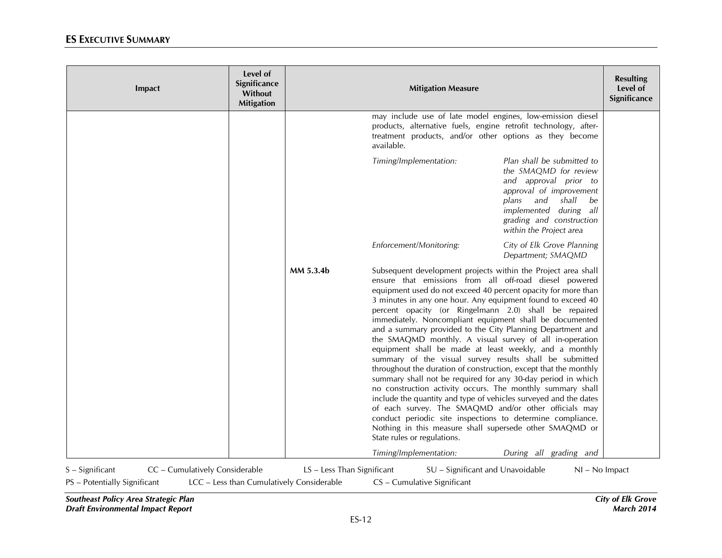| Impact                                                                            | Level of<br>Significance<br>Without<br><b>Mitigation</b> |                                                                         | <b>Mitigation Measure</b>                                                                                                                                                                                                                                                                                                                                                                                                                                                                                                                                                                                                                                                                                                                                                                                                                                                                                                                                                                                                                                                                                        |                                                                                                                                                                                                                   | <b>Resulting</b><br>Level of<br>Significance |
|-----------------------------------------------------------------------------------|----------------------------------------------------------|-------------------------------------------------------------------------|------------------------------------------------------------------------------------------------------------------------------------------------------------------------------------------------------------------------------------------------------------------------------------------------------------------------------------------------------------------------------------------------------------------------------------------------------------------------------------------------------------------------------------------------------------------------------------------------------------------------------------------------------------------------------------------------------------------------------------------------------------------------------------------------------------------------------------------------------------------------------------------------------------------------------------------------------------------------------------------------------------------------------------------------------------------------------------------------------------------|-------------------------------------------------------------------------------------------------------------------------------------------------------------------------------------------------------------------|----------------------------------------------|
|                                                                                   |                                                          |                                                                         | may include use of late model engines, low-emission diesel<br>products, alternative fuels, engine retrofit technology, after-<br>treatment products, and/or other options as they become<br>available.                                                                                                                                                                                                                                                                                                                                                                                                                                                                                                                                                                                                                                                                                                                                                                                                                                                                                                           |                                                                                                                                                                                                                   |                                              |
|                                                                                   |                                                          |                                                                         | Timing/Implementation:                                                                                                                                                                                                                                                                                                                                                                                                                                                                                                                                                                                                                                                                                                                                                                                                                                                                                                                                                                                                                                                                                           | Plan shall be submitted to<br>the SMAQMD for review<br>and approval prior to<br>approval of improvement<br>plans and<br>shall be<br>implemented during all<br>grading and construction<br>within the Project area |                                              |
|                                                                                   |                                                          |                                                                         | Enforcement/Monitoring:                                                                                                                                                                                                                                                                                                                                                                                                                                                                                                                                                                                                                                                                                                                                                                                                                                                                                                                                                                                                                                                                                          | City of Elk Grove Planning<br>Department; SMAQMD                                                                                                                                                                  |                                              |
|                                                                                   |                                                          | MM 5.3.4b                                                               | Subsequent development projects within the Project area shall<br>ensure that emissions from all off-road diesel powered<br>equipment used do not exceed 40 percent opacity for more than<br>3 minutes in any one hour. Any equipment found to exceed 40<br>percent opacity (or Ringelmann 2.0) shall be repaired<br>immediately. Noncompliant equipment shall be documented<br>and a summary provided to the City Planning Department and<br>the SMAQMD monthly. A visual survey of all in-operation<br>equipment shall be made at least weekly, and a monthly<br>summary of the visual survey results shall be submitted<br>throughout the duration of construction, except that the monthly<br>summary shall not be required for any 30-day period in which<br>no construction activity occurs. The monthly summary shall<br>include the quantity and type of vehicles surveyed and the dates<br>of each survey. The SMAQMD and/or other officials may<br>conduct periodic site inspections to determine compliance.<br>Nothing in this measure shall supersede other SMAQMD or<br>State rules or regulations. |                                                                                                                                                                                                                   |                                              |
|                                                                                   |                                                          |                                                                         | Timing/Implementation:                                                                                                                                                                                                                                                                                                                                                                                                                                                                                                                                                                                                                                                                                                                                                                                                                                                                                                                                                                                                                                                                                           | During all grading and                                                                                                                                                                                            |                                              |
| S - Significant<br>CC - Cumulatively Considerable<br>PS - Potentially Significant |                                                          | LS - Less Than Significant<br>LCC - Less than Cumulatively Considerable | SU - Significant and Unavoidable<br>CS - Cumulative Significant                                                                                                                                                                                                                                                                                                                                                                                                                                                                                                                                                                                                                                                                                                                                                                                                                                                                                                                                                                                                                                                  | NI - No Impact                                                                                                                                                                                                    |                                              |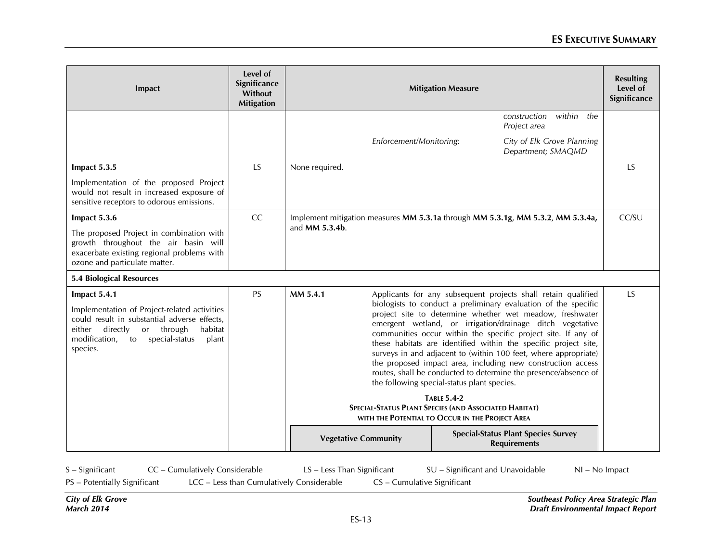| Impact                                                                                                                                                                                                                 | Level of<br>Significance<br>Without<br><b>Mitigation</b> | <b>Mitigation Measure</b>                                                                                                                                                                                                                                                                                                                                                                                                                                                                                                                                                                                                                                                                                                                                                                      | <b>Resulting</b><br>Level of<br>Significance                                    |                                                                   |           |  |
|------------------------------------------------------------------------------------------------------------------------------------------------------------------------------------------------------------------------|----------------------------------------------------------|------------------------------------------------------------------------------------------------------------------------------------------------------------------------------------------------------------------------------------------------------------------------------------------------------------------------------------------------------------------------------------------------------------------------------------------------------------------------------------------------------------------------------------------------------------------------------------------------------------------------------------------------------------------------------------------------------------------------------------------------------------------------------------------------|---------------------------------------------------------------------------------|-------------------------------------------------------------------|-----------|--|
|                                                                                                                                                                                                                        |                                                          |                                                                                                                                                                                                                                                                                                                                                                                                                                                                                                                                                                                                                                                                                                                                                                                                |                                                                                 | within<br>the<br>construction<br>Project area                     |           |  |
|                                                                                                                                                                                                                        |                                                          | Enforcement/Monitoring:                                                                                                                                                                                                                                                                                                                                                                                                                                                                                                                                                                                                                                                                                                                                                                        |                                                                                 | City of Elk Grove Planning<br>Department; SMAQMD                  |           |  |
| Impact 5.3.5                                                                                                                                                                                                           | LS                                                       | None required.                                                                                                                                                                                                                                                                                                                                                                                                                                                                                                                                                                                                                                                                                                                                                                                 |                                                                                 |                                                                   | <b>LS</b> |  |
| Implementation of the proposed Project<br>would not result in increased exposure of<br>sensitive receptors to odorous emissions.                                                                                       |                                                          |                                                                                                                                                                                                                                                                                                                                                                                                                                                                                                                                                                                                                                                                                                                                                                                                |                                                                                 |                                                                   |           |  |
| Impact 5.3.6                                                                                                                                                                                                           | <b>CC</b>                                                |                                                                                                                                                                                                                                                                                                                                                                                                                                                                                                                                                                                                                                                                                                                                                                                                | Implement mitigation measures MM 5.3.1a through MM 5.3.1g, MM 5.3.2, MM 5.3.4a, |                                                                   |           |  |
| The proposed Project in combination with<br>growth throughout the air basin will<br>exacerbate existing regional problems with<br>ozone and particulate matter.                                                        |                                                          | and <b>MM 5.3.4b</b> .                                                                                                                                                                                                                                                                                                                                                                                                                                                                                                                                                                                                                                                                                                                                                                         |                                                                                 |                                                                   |           |  |
| <b>5.4 Biological Resources</b>                                                                                                                                                                                        |                                                          |                                                                                                                                                                                                                                                                                                                                                                                                                                                                                                                                                                                                                                                                                                                                                                                                |                                                                                 |                                                                   |           |  |
| Impact 5.4.1<br>Implementation of Project-related activities<br>could result in substantial adverse effects,<br>directly<br>or through<br>either<br>habitat<br>modification,<br>to special-status<br>plant<br>species. | <b>PS</b>                                                | MM 5.4.1<br>Applicants for any subsequent projects shall retain qualified<br>biologists to conduct a preliminary evaluation of the specific<br>project site to determine whether wet meadow, freshwater<br>emergent wetland, or irrigation/drainage ditch vegetative<br>communities occur within the specific project site. If any of<br>these habitats are identified within the specific project site,<br>surveys in and adjacent to (within 100 feet, where appropriate)<br>the proposed impact area, including new construction access<br>routes, shall be conducted to determine the presence/absence of<br>the following special-status plant species.<br><b>TABLE 5.4-2</b><br>SPECIAL-STATUS PLANT SPECIES (AND ASSOCIATED HABITAT)<br>WITH THE POTENTIAL TO OCCUR IN THE PROJECT AREA |                                                                                 |                                                                   | LS        |  |
|                                                                                                                                                                                                                        |                                                          | <b>Vegetative Community</b>                                                                                                                                                                                                                                                                                                                                                                                                                                                                                                                                                                                                                                                                                                                                                                    |                                                                                 | <b>Special-Status Plant Species Survey</b><br><b>Requirements</b> |           |  |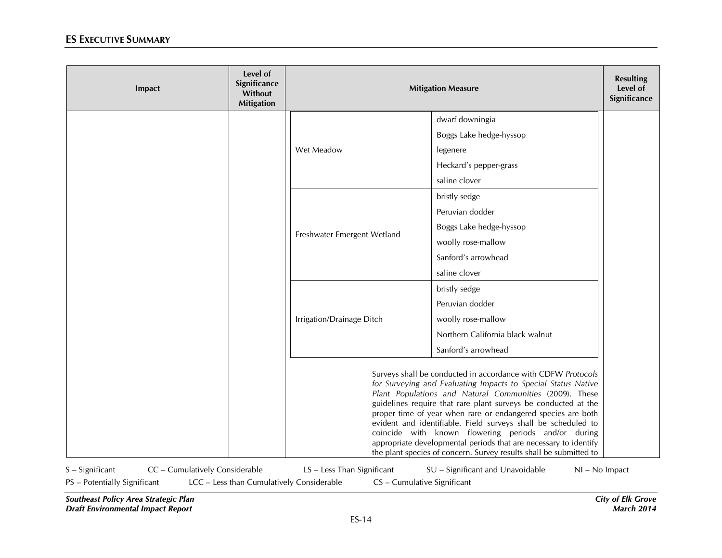| Impact                                              | Level of<br>Significance<br>Without<br><b>Mitigation</b> | <b>Mitigation Measure</b>                                                                                                                                                                                                                                                                                                                                                                                                                                                                                                                                                                    |                                  |                  |
|-----------------------------------------------------|----------------------------------------------------------|----------------------------------------------------------------------------------------------------------------------------------------------------------------------------------------------------------------------------------------------------------------------------------------------------------------------------------------------------------------------------------------------------------------------------------------------------------------------------------------------------------------------------------------------------------------------------------------------|----------------------------------|------------------|
|                                                     |                                                          |                                                                                                                                                                                                                                                                                                                                                                                                                                                                                                                                                                                              | dwarf downingia                  |                  |
|                                                     |                                                          |                                                                                                                                                                                                                                                                                                                                                                                                                                                                                                                                                                                              | Boggs Lake hedge-hyssop          |                  |
|                                                     |                                                          | Wet Meadow                                                                                                                                                                                                                                                                                                                                                                                                                                                                                                                                                                                   | legenere                         |                  |
|                                                     |                                                          |                                                                                                                                                                                                                                                                                                                                                                                                                                                                                                                                                                                              | Heckard's pepper-grass           |                  |
|                                                     |                                                          |                                                                                                                                                                                                                                                                                                                                                                                                                                                                                                                                                                                              | saline clover                    |                  |
|                                                     |                                                          |                                                                                                                                                                                                                                                                                                                                                                                                                                                                                                                                                                                              | bristly sedge                    |                  |
|                                                     |                                                          |                                                                                                                                                                                                                                                                                                                                                                                                                                                                                                                                                                                              | Peruvian dodder                  |                  |
|                                                     |                                                          |                                                                                                                                                                                                                                                                                                                                                                                                                                                                                                                                                                                              | Boggs Lake hedge-hyssop          |                  |
|                                                     |                                                          | Freshwater Emergent Wetland                                                                                                                                                                                                                                                                                                                                                                                                                                                                                                                                                                  | woolly rose-mallow               |                  |
|                                                     |                                                          |                                                                                                                                                                                                                                                                                                                                                                                                                                                                                                                                                                                              | Sanford's arrowhead              |                  |
|                                                     |                                                          |                                                                                                                                                                                                                                                                                                                                                                                                                                                                                                                                                                                              | saline clover                    |                  |
|                                                     |                                                          |                                                                                                                                                                                                                                                                                                                                                                                                                                                                                                                                                                                              | bristly sedge                    |                  |
|                                                     |                                                          |                                                                                                                                                                                                                                                                                                                                                                                                                                                                                                                                                                                              | Peruvian dodder                  |                  |
|                                                     |                                                          | Irrigation/Drainage Ditch                                                                                                                                                                                                                                                                                                                                                                                                                                                                                                                                                                    | woolly rose-mallow               |                  |
|                                                     |                                                          |                                                                                                                                                                                                                                                                                                                                                                                                                                                                                                                                                                                              | Northern California black walnut |                  |
|                                                     |                                                          |                                                                                                                                                                                                                                                                                                                                                                                                                                                                                                                                                                                              | Sanford's arrowhead              |                  |
|                                                     |                                                          | Surveys shall be conducted in accordance with CDFW Protocols<br>for Surveying and Evaluating Impacts to Special Status Native<br>Plant Populations and Natural Communities (2009). These<br>guidelines require that rare plant surveys be conducted at the<br>proper time of year when rare or endangered species are both<br>evident and identifiable. Field surveys shall be scheduled to<br>coincide with known flowering periods and/or during<br>appropriate developmental periods that are necessary to identify<br>the plant species of concern. Survey results shall be submitted to |                                  |                  |
| CC - Cumulatively Considerable<br>$S -$ Significant |                                                          | LS - Less Than Significant                                                                                                                                                                                                                                                                                                                                                                                                                                                                                                                                                                   | SU - Significant and Unavoidable | $NI - No$ Impact |

PS – Potentially Significant LCC – Less than Cumulatively Considerable CS – Cumulative Significant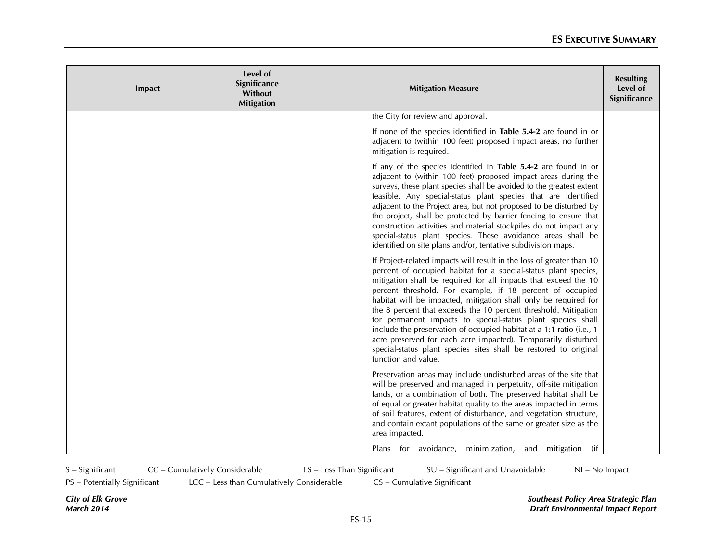| Impact | Level of<br>Significance<br>Without<br><b>Mitigation</b> | <b>Mitigation Measure</b>                                                                                                                                                                                                                                                                                                                                                                                                                                                                                                                                                                                                                                                                                         | <b>Resulting</b><br>Level of<br>Significance |
|--------|----------------------------------------------------------|-------------------------------------------------------------------------------------------------------------------------------------------------------------------------------------------------------------------------------------------------------------------------------------------------------------------------------------------------------------------------------------------------------------------------------------------------------------------------------------------------------------------------------------------------------------------------------------------------------------------------------------------------------------------------------------------------------------------|----------------------------------------------|
|        |                                                          | the City for review and approval.                                                                                                                                                                                                                                                                                                                                                                                                                                                                                                                                                                                                                                                                                 |                                              |
|        |                                                          | If none of the species identified in Table 5.4-2 are found in or<br>adjacent to (within 100 feet) proposed impact areas, no further<br>mitigation is required.                                                                                                                                                                                                                                                                                                                                                                                                                                                                                                                                                    |                                              |
|        |                                                          | If any of the species identified in Table 5.4-2 are found in or<br>adjacent to (within 100 feet) proposed impact areas during the<br>surveys, these plant species shall be avoided to the greatest extent<br>feasible. Any special-status plant species that are identified<br>adjacent to the Project area, but not proposed to be disturbed by<br>the project, shall be protected by barrier fencing to ensure that<br>construction activities and material stockpiles do not impact any<br>special-status plant species. These avoidance areas shall be<br>identified on site plans and/or, tentative subdivision maps.                                                                                        |                                              |
|        |                                                          | If Project-related impacts will result in the loss of greater than 10<br>percent of occupied habitat for a special-status plant species,<br>mitigation shall be required for all impacts that exceed the 10<br>percent threshold. For example, if 18 percent of occupied<br>habitat will be impacted, mitigation shall only be required for<br>the 8 percent that exceeds the 10 percent threshold. Mitigation<br>for permanent impacts to special-status plant species shall<br>include the preservation of occupied habitat at a 1:1 ratio (i.e., 1<br>acre preserved for each acre impacted). Temporarily disturbed<br>special-status plant species sites shall be restored to original<br>function and value. |                                              |
|        |                                                          | Preservation areas may include undisturbed areas of the site that<br>will be preserved and managed in perpetuity, off-site mitigation<br>lands, or a combination of both. The preserved habitat shall be<br>of equal or greater habitat quality to the areas impacted in terms<br>of soil features, extent of disturbance, and vegetation structure,<br>and contain extant populations of the same or greater size as the<br>area impacted.                                                                                                                                                                                                                                                                       |                                              |
|        |                                                          | Plans for avoidance, minimization,<br>(if<br>and mitigation                                                                                                                                                                                                                                                                                                                                                                                                                                                                                                                                                                                                                                                       |                                              |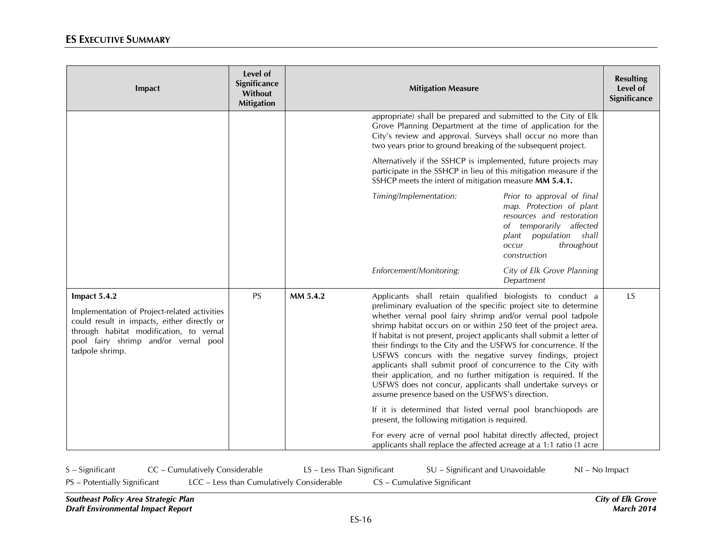| Impact                                                                                                                                                                                                            | Level of<br>Significance<br>Without<br><b>Mitigation</b> |          | <b>Mitigation Measure</b>                                                                                                                                                                                                                                                                                                                                                                                                                                                                                                                                                                                                                                                                                                          |                                                                                                                                                                                    | <b>Resulting</b><br>Level of<br>Significance |
|-------------------------------------------------------------------------------------------------------------------------------------------------------------------------------------------------------------------|----------------------------------------------------------|----------|------------------------------------------------------------------------------------------------------------------------------------------------------------------------------------------------------------------------------------------------------------------------------------------------------------------------------------------------------------------------------------------------------------------------------------------------------------------------------------------------------------------------------------------------------------------------------------------------------------------------------------------------------------------------------------------------------------------------------------|------------------------------------------------------------------------------------------------------------------------------------------------------------------------------------|----------------------------------------------|
|                                                                                                                                                                                                                   |                                                          |          | appropriate) shall be prepared and submitted to the City of Elk<br>Grove Planning Department at the time of application for the<br>City's review and approval. Surveys shall occur no more than<br>two years prior to ground breaking of the subsequent project.                                                                                                                                                                                                                                                                                                                                                                                                                                                                   |                                                                                                                                                                                    |                                              |
|                                                                                                                                                                                                                   |                                                          |          | Alternatively if the SSHCP is implemented, future projects may<br>participate in the SSHCP in lieu of this mitigation measure if the<br>SSHCP meets the intent of mitigation measure MM 5.4.1.                                                                                                                                                                                                                                                                                                                                                                                                                                                                                                                                     |                                                                                                                                                                                    |                                              |
|                                                                                                                                                                                                                   |                                                          |          | Timing/Implementation:                                                                                                                                                                                                                                                                                                                                                                                                                                                                                                                                                                                                                                                                                                             | Prior to approval of final<br>map. Protection of plant<br>resources and restoration<br>of temporarily affected<br>population shall<br>plant<br>throughout<br>occur<br>construction |                                              |
|                                                                                                                                                                                                                   |                                                          |          | Enforcement/Monitoring:                                                                                                                                                                                                                                                                                                                                                                                                                                                                                                                                                                                                                                                                                                            | City of Elk Grove Planning<br>Department                                                                                                                                           |                                              |
| Impact 5.4.2<br>Implementation of Project-related activities<br>could result in impacts, either directly or<br>through habitat modification, to vernal<br>pool fairy shrimp and/or vernal pool<br>tadpole shrimp. | PS                                                       | MM 5.4.2 | Applicants shall retain qualified biologists to conduct a<br>preliminary evaluation of the specific project site to determine<br>whether vernal pool fairy shrimp and/or vernal pool tadpole<br>shrimp habitat occurs on or within 250 feet of the project area.<br>If habitat is not present, project applicants shall submit a letter of<br>their findings to the City and the USFWS for concurrence. If the<br>USFWS concurs with the negative survey findings, project<br>applicants shall submit proof of concurrence to the City with<br>their application, and no further mitigation is required. If the<br>USFWS does not concur, applicants shall undertake surveys or<br>assume presence based on the USFWS's direction. |                                                                                                                                                                                    | LS                                           |
|                                                                                                                                                                                                                   |                                                          |          | If it is determined that listed vernal pool branchiopods are<br>present, the following mitigation is required.                                                                                                                                                                                                                                                                                                                                                                                                                                                                                                                                                                                                                     |                                                                                                                                                                                    |                                              |
|                                                                                                                                                                                                                   |                                                          |          | For every acre of vernal pool habitat directly affected, project<br>applicants shall replace the affected acreage at a 1:1 ratio (1 acre                                                                                                                                                                                                                                                                                                                                                                                                                                                                                                                                                                                           |                                                                                                                                                                                    |                                              |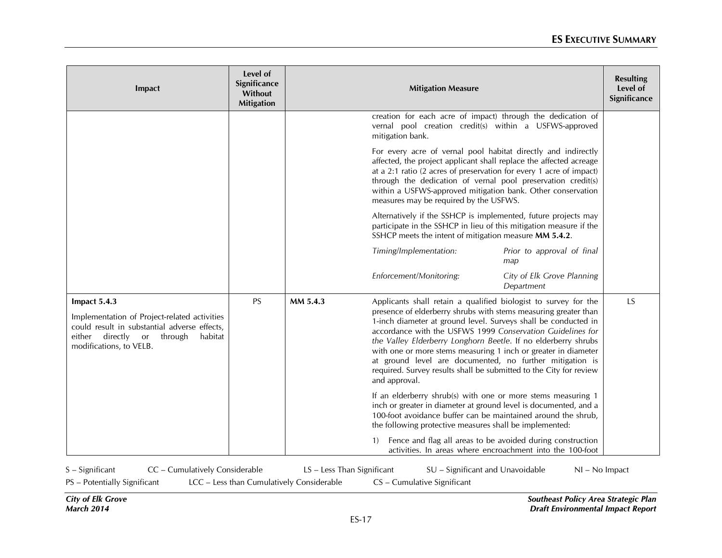| Impact                                                                                                                                                                                 | Level of<br>Significance<br>Without<br><b>Mitigation</b> |          | <b>Mitigation Measure</b>                                                                                                                                                                                                                                                                                                                                                                                                                                                                                                                                 |                                          | <b>Resulting</b><br>Level of<br>Significance |
|----------------------------------------------------------------------------------------------------------------------------------------------------------------------------------------|----------------------------------------------------------|----------|-----------------------------------------------------------------------------------------------------------------------------------------------------------------------------------------------------------------------------------------------------------------------------------------------------------------------------------------------------------------------------------------------------------------------------------------------------------------------------------------------------------------------------------------------------------|------------------------------------------|----------------------------------------------|
|                                                                                                                                                                                        |                                                          |          | creation for each acre of impact) through the dedication of<br>vernal pool creation credit(s) within a USFWS-approved<br>mitigation bank.                                                                                                                                                                                                                                                                                                                                                                                                                 |                                          |                                              |
|                                                                                                                                                                                        |                                                          |          | For every acre of vernal pool habitat directly and indirectly<br>affected, the project applicant shall replace the affected acreage<br>at a 2:1 ratio (2 acres of preservation for every 1 acre of impact)<br>through the dedication of vernal pool preservation credit(s)<br>within a USFWS-approved mitigation bank. Other conservation<br>measures may be required by the USFWS.                                                                                                                                                                       |                                          |                                              |
|                                                                                                                                                                                        |                                                          |          | Alternatively if the SSHCP is implemented, future projects may<br>participate in the SSHCP in lieu of this mitigation measure if the<br>SSHCP meets the intent of mitigation measure MM 5.4.2.                                                                                                                                                                                                                                                                                                                                                            |                                          |                                              |
|                                                                                                                                                                                        |                                                          |          | Timing/Implementation:                                                                                                                                                                                                                                                                                                                                                                                                                                                                                                                                    | Prior to approval of final<br>map        |                                              |
|                                                                                                                                                                                        |                                                          |          | Enforcement/Monitoring:                                                                                                                                                                                                                                                                                                                                                                                                                                                                                                                                   | City of Elk Grove Planning<br>Department |                                              |
| Impact 5.4.3<br>Implementation of Project-related activities<br>could result in substantial adverse effects,<br>directly or<br>either<br>through<br>habitat<br>modifications, to VELB. | <b>PS</b>                                                | MM 5.4.3 | Applicants shall retain a qualified biologist to survey for the<br>presence of elderberry shrubs with stems measuring greater than<br>1-inch diameter at ground level. Surveys shall be conducted in<br>accordance with the USFWS 1999 Conservation Guidelines for<br>the Valley Elderberry Longhorn Beetle. If no elderberry shrubs<br>with one or more stems measuring 1 inch or greater in diameter<br>at ground level are documented, no further mitigation is<br>required. Survey results shall be submitted to the City for review<br>and approval. |                                          | <b>LS</b>                                    |
|                                                                                                                                                                                        |                                                          |          | If an elderberry shrub(s) with one or more stems measuring 1<br>inch or greater in diameter at ground level is documented, and a<br>100-foot avoidance buffer can be maintained around the shrub,<br>the following protective measures shall be implemented:                                                                                                                                                                                                                                                                                              |                                          |                                              |
|                                                                                                                                                                                        |                                                          |          | Fence and flag all areas to be avoided during construction<br>$\left(1\right)$<br>activities. In areas where encroachment into the 100-foot                                                                                                                                                                                                                                                                                                                                                                                                               |                                          |                                              |

S – Significant CC – Cumulatively Considerable LS – Less Than Significant SU – Significant and Unavoidable NI – No Impact

PS – Potentially Significant LCC – Less than Cumulatively Considerable CS – Cumulative Significant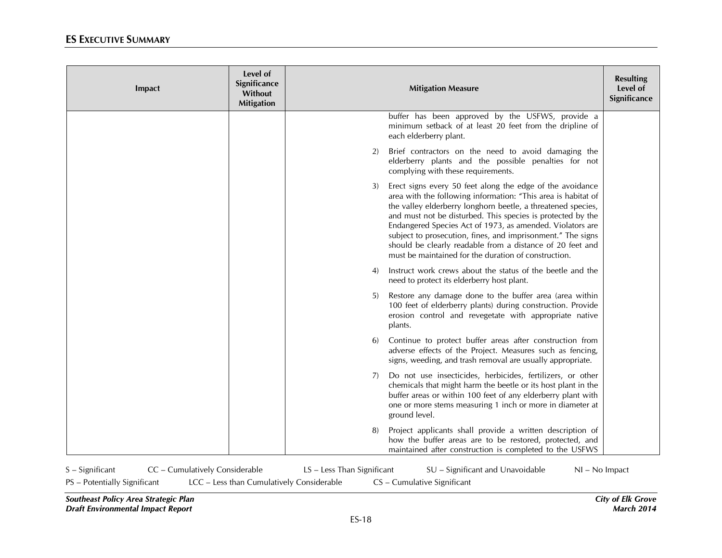| Impact | Level of<br>Significance<br>Without<br><b>Mitigation</b> | <b>Mitigation Measure</b>                                                                                                                                                                                                                                                                                                                                                                                                                                                                                        | <b>Resulting</b><br>Level of<br>Significance |
|--------|----------------------------------------------------------|------------------------------------------------------------------------------------------------------------------------------------------------------------------------------------------------------------------------------------------------------------------------------------------------------------------------------------------------------------------------------------------------------------------------------------------------------------------------------------------------------------------|----------------------------------------------|
|        |                                                          | buffer has been approved by the USFWS, provide a<br>minimum setback of at least 20 feet from the dripline of<br>each elderberry plant.                                                                                                                                                                                                                                                                                                                                                                           |                                              |
|        |                                                          | Brief contractors on the need to avoid damaging the<br>2)<br>elderberry plants and the possible penalties for not<br>complying with these requirements.                                                                                                                                                                                                                                                                                                                                                          |                                              |
|        |                                                          | Erect signs every 50 feet along the edge of the avoidance<br>3)<br>area with the following information: "This area is habitat of<br>the valley elderberry longhorn beetle, a threatened species,<br>and must not be disturbed. This species is protected by the<br>Endangered Species Act of 1973, as amended. Violators are<br>subject to prosecution, fines, and imprisonment." The signs<br>should be clearly readable from a distance of 20 feet and<br>must be maintained for the duration of construction. |                                              |
|        |                                                          | Instruct work crews about the status of the beetle and the<br>4)<br>need to protect its elderberry host plant.                                                                                                                                                                                                                                                                                                                                                                                                   |                                              |
|        |                                                          | Restore any damage done to the buffer area (area within<br>5)<br>100 feet of elderberry plants) during construction. Provide<br>erosion control and revegetate with appropriate native<br>plants.                                                                                                                                                                                                                                                                                                                |                                              |
|        |                                                          | Continue to protect buffer areas after construction from<br><sup>6)</sup><br>adverse effects of the Project. Measures such as fencing,<br>signs, weeding, and trash removal are usually appropriate.                                                                                                                                                                                                                                                                                                             |                                              |
|        |                                                          | Do not use insecticides, herbicides, fertilizers, or other<br>7)<br>chemicals that might harm the beetle or its host plant in the<br>buffer areas or within 100 feet of any elderberry plant with<br>one or more stems measuring 1 inch or more in diameter at<br>ground level.                                                                                                                                                                                                                                  |                                              |
|        |                                                          | Project applicants shall provide a written description of<br>8)<br>how the buffer areas are to be restored, protected, and<br>maintained after construction is completed to the USFWS                                                                                                                                                                                                                                                                                                                            |                                              |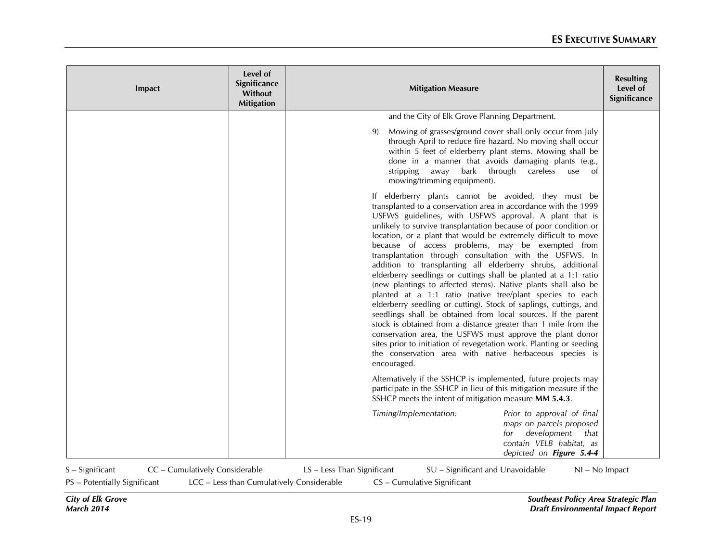| Impact | Level of<br>Significance<br>Without<br><b>Mitigation</b> | <b>Mitigation Measure</b>                                                                                                                                                                                                                                                                                                                                                                                                                                                                                                                                                                                                                                                                                                                                                                                                                                                                                                                                                                                                                                                                                                      | <b>Resulting</b><br>Level of<br>Significance |
|--------|----------------------------------------------------------|--------------------------------------------------------------------------------------------------------------------------------------------------------------------------------------------------------------------------------------------------------------------------------------------------------------------------------------------------------------------------------------------------------------------------------------------------------------------------------------------------------------------------------------------------------------------------------------------------------------------------------------------------------------------------------------------------------------------------------------------------------------------------------------------------------------------------------------------------------------------------------------------------------------------------------------------------------------------------------------------------------------------------------------------------------------------------------------------------------------------------------|----------------------------------------------|
|        |                                                          | and the City of Elk Grove Planning Department.                                                                                                                                                                                                                                                                                                                                                                                                                                                                                                                                                                                                                                                                                                                                                                                                                                                                                                                                                                                                                                                                                 |                                              |
|        |                                                          | Mowing of grasses/ground cover shall only occur from July<br>9)<br>through April to reduce fire hazard. No moving shall occur<br>within 5 feet of elderberry plant stems. Mowing shall be<br>done in a manner that avoids damaging plants (e.g.,<br>stripping away bark through careless<br>use of<br>mowing/trimming equipment).                                                                                                                                                                                                                                                                                                                                                                                                                                                                                                                                                                                                                                                                                                                                                                                              |                                              |
|        |                                                          | If elderberry plants cannot be avoided, they must be<br>transplanted to a conservation area in accordance with the 1999<br>USFWS guidelines, with USFWS approval. A plant that is<br>unlikely to survive transplantation because of poor condition or<br>location, or a plant that would be extremely difficult to move<br>because of access problems, may be exempted from<br>transplantation through consultation with the USFWS. In<br>addition to transplanting all elderberry shrubs, additional<br>elderberry seedlings or cuttings shall be planted at a 1:1 ratio<br>(new plantings to affected stems). Native plants shall also be<br>planted at a 1:1 ratio (native tree/plant species to each<br>elderberry seedling or cutting). Stock of saplings, cuttings, and<br>seedlings shall be obtained from local sources. If the parent<br>stock is obtained from a distance greater than 1 mile from the<br>conservation area, the USFWS must approve the plant donor<br>sites prior to initiation of revegetation work. Planting or seeding<br>the conservation area with native herbaceous species is<br>encouraged. |                                              |
|        |                                                          | Alternatively if the SSHCP is implemented, future projects may<br>participate in the SSHCP in lieu of this mitigation measure if the<br>SSHCP meets the intent of mitigation measure MM 5.4.3.                                                                                                                                                                                                                                                                                                                                                                                                                                                                                                                                                                                                                                                                                                                                                                                                                                                                                                                                 |                                              |
|        |                                                          | Timing/Implementation:<br>Prior to approval of final<br>maps on parcels proposed<br>development that<br>for<br>contain VELB habitat, as<br>depicted on Figure 5.4-4                                                                                                                                                                                                                                                                                                                                                                                                                                                                                                                                                                                                                                                                                                                                                                                                                                                                                                                                                            |                                              |

S – Significant CC – Cumulatively Considerable LS – Less Than Significant SU – Significant and Unavoidable NI – No Impact

PS – Potentially Significant LCC – Less than Cumulatively Considerable CS – Cumulative Significant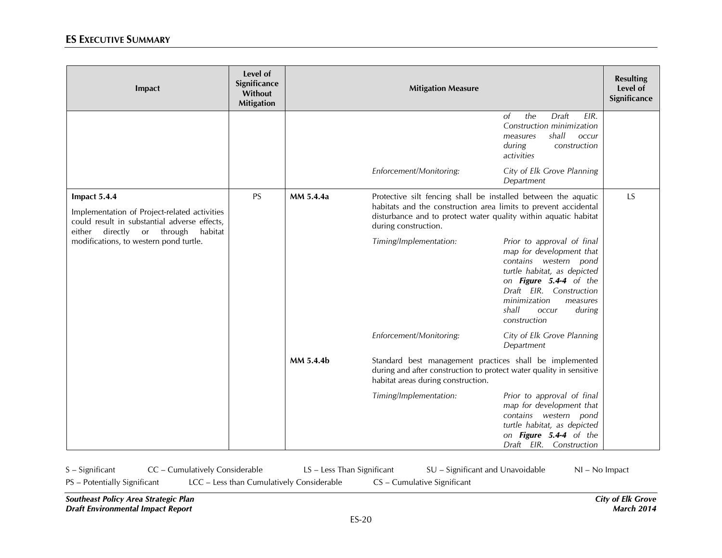| Impact                                                                                                                                                                                             | Level of<br>Significance<br>Without<br><b>Mitigation</b> |           | <b>Mitigation Measure</b>                                                                                                                                                                                                    |                                                                                                                                                                                                                                             | <b>Resulting</b><br>Level of<br>Significance |
|----------------------------------------------------------------------------------------------------------------------------------------------------------------------------------------------------|----------------------------------------------------------|-----------|------------------------------------------------------------------------------------------------------------------------------------------------------------------------------------------------------------------------------|---------------------------------------------------------------------------------------------------------------------------------------------------------------------------------------------------------------------------------------------|----------------------------------------------|
|                                                                                                                                                                                                    |                                                          |           |                                                                                                                                                                                                                              | the<br>Draft<br>EIR.<br><sub>of</sub><br>Construction minimization<br>shall<br>occur<br>measures<br>during<br>construction<br>activities                                                                                                    |                                              |
|                                                                                                                                                                                                    |                                                          |           | Enforcement/Monitoring:                                                                                                                                                                                                      | City of Elk Grove Planning<br>Department                                                                                                                                                                                                    |                                              |
| Impact 5.4.4<br>Implementation of Project-related activities<br>could result in substantial adverse effects,<br>directly or through<br>habitat<br>either<br>modifications, to western pond turtle. | <b>PS</b>                                                | MM 5.4.4a | Protective silt fencing shall be installed between the aquatic<br>habitats and the construction area limits to prevent accidental<br>disturbance and to protect water quality within aquatic habitat<br>during construction. |                                                                                                                                                                                                                                             | LS                                           |
|                                                                                                                                                                                                    |                                                          |           | Timing/Implementation:                                                                                                                                                                                                       | Prior to approval of final<br>map for development that<br>contains western pond<br>turtle habitat, as depicted<br>on Figure 5.4-4 of the<br>Draft EIR. Construction<br>minimization<br>measures<br>shall<br>during<br>occur<br>construction |                                              |
|                                                                                                                                                                                                    |                                                          |           | Enforcement/Monitoring:                                                                                                                                                                                                      | City of Elk Grove Planning<br>Department                                                                                                                                                                                                    |                                              |
|                                                                                                                                                                                                    |                                                          | MM 5.4.4b | Standard best management practices shall be implemented<br>during and after construction to protect water quality in sensitive<br>habitat areas during construction.                                                         |                                                                                                                                                                                                                                             |                                              |
|                                                                                                                                                                                                    |                                                          |           | Timing/Implementation:                                                                                                                                                                                                       | Prior to approval of final<br>map for development that<br>contains western pond<br>turtle habitat, as depicted<br>on Figure 5.4-4 of the<br>Draft EIR. Construction                                                                         |                                              |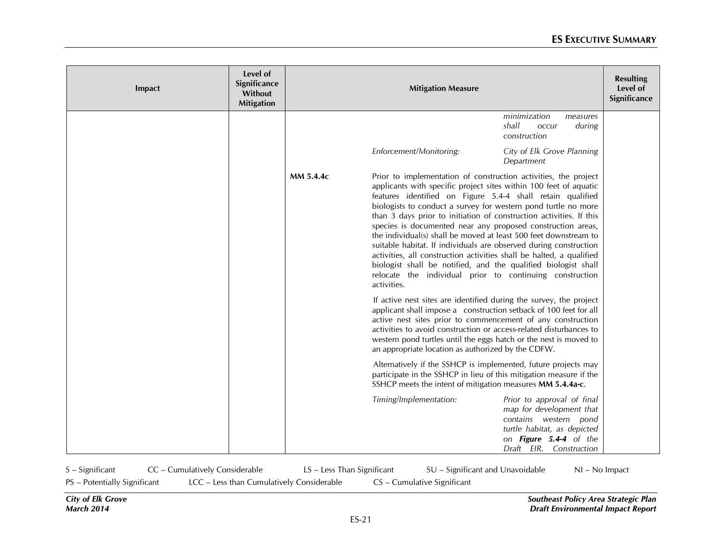| Impact | Level of<br>Significance<br><b>Without</b><br><b>Mitigation</b> |           | <b>Mitigation Measure</b>                                  |                                                                                                                                                                                                                                                                                                                                                                                                                                                                                                                                                                                                                                                                                                                                                           |  |
|--------|-----------------------------------------------------------------|-----------|------------------------------------------------------------|-----------------------------------------------------------------------------------------------------------------------------------------------------------------------------------------------------------------------------------------------------------------------------------------------------------------------------------------------------------------------------------------------------------------------------------------------------------------------------------------------------------------------------------------------------------------------------------------------------------------------------------------------------------------------------------------------------------------------------------------------------------|--|
|        |                                                                 |           |                                                            | minimization<br>measures<br>shall<br>occur<br>during<br>construction                                                                                                                                                                                                                                                                                                                                                                                                                                                                                                                                                                                                                                                                                      |  |
|        |                                                                 |           | Enforcement/Monitoring:                                    | City of Elk Grove Planning<br>Department                                                                                                                                                                                                                                                                                                                                                                                                                                                                                                                                                                                                                                                                                                                  |  |
|        |                                                                 | MM 5.4.4c | activities.                                                | Prior to implementation of construction activities, the project<br>applicants with specific project sites within 100 feet of aquatic<br>features identified on Figure 5.4-4 shall retain qualified<br>biologists to conduct a survey for western pond turtle no more<br>than 3 days prior to initiation of construction activities. If this<br>species is documented near any proposed construction areas,<br>the individual(s) shall be moved at least 500 feet downstream to<br>suitable habitat. If individuals are observed during construction<br>activities, all construction activities shall be halted, a qualified<br>biologist shall be notified, and the qualified biologist shall<br>relocate the individual prior to continuing construction |  |
|        |                                                                 |           | an appropriate location as authorized by the CDFW.         | If active nest sites are identified during the survey, the project<br>applicant shall impose a construction setback of 100 feet for all<br>active nest sites prior to commencement of any construction<br>activities to avoid construction or access-related disturbances to<br>western pond turtles until the eggs hatch or the nest is moved to                                                                                                                                                                                                                                                                                                                                                                                                         |  |
|        |                                                                 |           | SSHCP meets the intent of mitigation measures MM 5.4.4a-c. | Alternatively if the SSHCP is implemented, future projects may<br>participate in the SSHCP in lieu of this mitigation measure if the                                                                                                                                                                                                                                                                                                                                                                                                                                                                                                                                                                                                                      |  |
|        |                                                                 |           | Timing/Implementation:                                     | Prior to approval of final<br>map for development that<br>contains western pond<br>turtle habitat, as depicted<br>on Figure 5.4-4 of the<br>Draft EIR. Construction                                                                                                                                                                                                                                                                                                                                                                                                                                                                                                                                                                                       |  |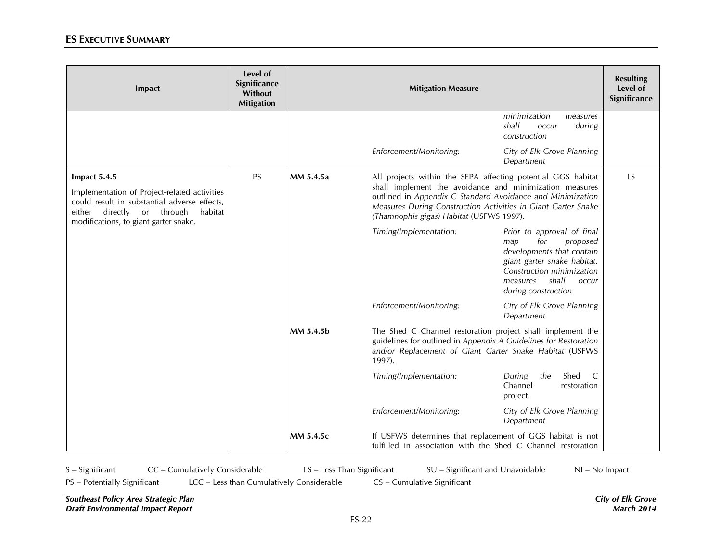| Impact                                                                                                                                                                                            | Level of<br>Significance<br>Without<br><b>Mitigation</b> |           | <b>Mitigation Measure</b>                                                                                                                                                                                                                                                                          |                                                                                                                                                                                                           |    |
|---------------------------------------------------------------------------------------------------------------------------------------------------------------------------------------------------|----------------------------------------------------------|-----------|----------------------------------------------------------------------------------------------------------------------------------------------------------------------------------------------------------------------------------------------------------------------------------------------------|-----------------------------------------------------------------------------------------------------------------------------------------------------------------------------------------------------------|----|
|                                                                                                                                                                                                   |                                                          |           |                                                                                                                                                                                                                                                                                                    | minimization<br>measures<br>shall<br>during<br>occur<br>construction                                                                                                                                      |    |
|                                                                                                                                                                                                   |                                                          |           | Enforcement/Monitoring:                                                                                                                                                                                                                                                                            | City of Elk Grove Planning<br>Department                                                                                                                                                                  |    |
| Impact 5.4.5<br>Implementation of Project-related activities<br>could result in substantial adverse effects,<br>directly or through<br>habitat<br>either<br>modifications, to giant garter snake. | <b>PS</b>                                                | MM 5.4.5a | All projects within the SEPA affecting potential GGS habitat<br>shall implement the avoidance and minimization measures<br>outlined in Appendix C Standard Avoidance and Minimization<br>Measures During Construction Activities in Giant Garter Snake<br>(Thamnophis gigas) Habitat (USFWS 1997). |                                                                                                                                                                                                           | LS |
|                                                                                                                                                                                                   |                                                          |           | Timing/Implementation:                                                                                                                                                                                                                                                                             | Prior to approval of final<br>for<br>proposed<br>map<br>developments that contain<br>giant garter snake habitat.<br>Construction minimization<br>shall<br>measures<br><b>OCCUL</b><br>during construction |    |
|                                                                                                                                                                                                   |                                                          |           | Enforcement/Monitoring:                                                                                                                                                                                                                                                                            | City of Elk Grove Planning<br>Department                                                                                                                                                                  |    |
|                                                                                                                                                                                                   |                                                          | MM 5.4.5b | The Shed C Channel restoration project shall implement the<br>guidelines for outlined in Appendix A Guidelines for Restoration<br>and/or Replacement of Giant Garter Snake Habitat (USFWS<br>1997).                                                                                                |                                                                                                                                                                                                           |    |
|                                                                                                                                                                                                   |                                                          |           | Timing/Implementation:                                                                                                                                                                                                                                                                             | During<br>the<br>Shed<br>C<br>Channel<br>restoration<br>project.                                                                                                                                          |    |
|                                                                                                                                                                                                   |                                                          |           | Enforcement/Monitoring:                                                                                                                                                                                                                                                                            | City of Elk Grove Planning<br>Department                                                                                                                                                                  |    |
|                                                                                                                                                                                                   |                                                          | MM 5.4.5c | If USFWS determines that replacement of GGS habitat is not<br>fulfilled in association with the Shed C Channel restoration                                                                                                                                                                         |                                                                                                                                                                                                           |    |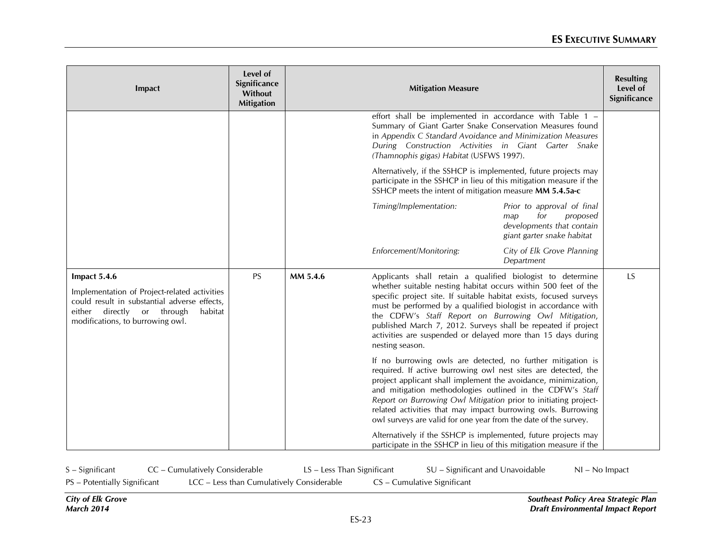| Impact                                                                                                                                                                                    | Level of<br>Significance<br>Without<br><b>Mitigation</b> |          | <b>Mitigation Measure</b>                                                                                                                                                                                                                                                                                                                                                                                                                                                       |                                                                                                                 | <b>Resulting</b><br>Level of<br>Significance |
|-------------------------------------------------------------------------------------------------------------------------------------------------------------------------------------------|----------------------------------------------------------|----------|---------------------------------------------------------------------------------------------------------------------------------------------------------------------------------------------------------------------------------------------------------------------------------------------------------------------------------------------------------------------------------------------------------------------------------------------------------------------------------|-----------------------------------------------------------------------------------------------------------------|----------------------------------------------|
|                                                                                                                                                                                           |                                                          |          | effort shall be implemented in accordance with Table 1 -<br>Summary of Giant Garter Snake Conservation Measures found<br>in Appendix C Standard Avoidance and Minimization Measures<br>During Construction Activities in Giant Garter Snake<br>(Thamnophis gigas) Habitat (USFWS 1997).                                                                                                                                                                                         |                                                                                                                 |                                              |
|                                                                                                                                                                                           |                                                          |          | Alternatively, if the SSHCP is implemented, future projects may<br>participate in the SSHCP in lieu of this mitigation measure if the<br>SSHCP meets the intent of mitigation measure MM 5.4.5a-c                                                                                                                                                                                                                                                                               |                                                                                                                 |                                              |
|                                                                                                                                                                                           |                                                          |          | Timing/Implementation:                                                                                                                                                                                                                                                                                                                                                                                                                                                          | Prior to approval of final<br>for<br>proposed<br>map<br>developments that contain<br>giant garter snake habitat |                                              |
|                                                                                                                                                                                           |                                                          |          | Enforcement/Monitoring:                                                                                                                                                                                                                                                                                                                                                                                                                                                         | City of Elk Grove Planning<br>Department                                                                        |                                              |
| Impact 5.4.6<br>Implementation of Project-related activities<br>could result in substantial adverse effects,<br>either directly or through<br>habitat<br>modifications, to burrowing owl. | <b>PS</b>                                                | MM 5.4.6 | Applicants shall retain a qualified biologist to determine<br>whether suitable nesting habitat occurs within 500 feet of the<br>specific project site. If suitable habitat exists, focused surveys<br>must be performed by a qualified biologist in accordance with<br>the CDFW's Staff Report on Burrowing Owl Mitigation,<br>published March 7, 2012. Surveys shall be repeated if project<br>activities are suspended or delayed more than 15 days during<br>nesting season. |                                                                                                                 | LS                                           |
|                                                                                                                                                                                           |                                                          |          | If no burrowing owls are detected, no further mitigation is<br>required. If active burrowing owl nest sites are detected, the<br>project applicant shall implement the avoidance, minimization,<br>and mitigation methodologies outlined in the CDFW's Staff<br>Report on Burrowing Owl Mitigation prior to initiating project-<br>related activities that may impact burrowing owls. Burrowing<br>owl surveys are valid for one year from the date of the survey.              |                                                                                                                 |                                              |
|                                                                                                                                                                                           |                                                          |          | Alternatively if the SSHCP is implemented, future projects may<br>participate in the SSHCP in lieu of this mitigation measure if the                                                                                                                                                                                                                                                                                                                                            |                                                                                                                 |                                              |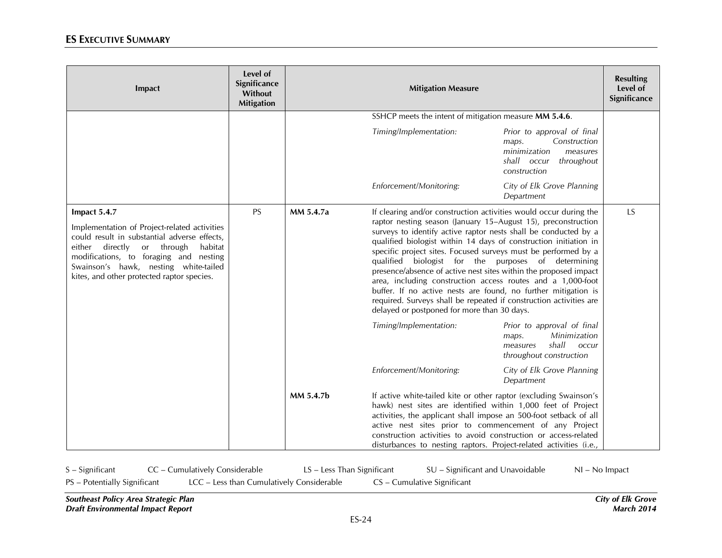| Impact                                                                                                                                                                                                                                                                                       | Level of<br>Significance<br>Without<br><b>Mitigation</b> |           | <b>Mitigation Measure</b>                                                                                                                                                                                                                                                                                                                                                                                                                                                                                                                                                                                                                                                                                                    |                                                                                                                              | <b>Resulting</b><br>Level of<br>Significance |
|----------------------------------------------------------------------------------------------------------------------------------------------------------------------------------------------------------------------------------------------------------------------------------------------|----------------------------------------------------------|-----------|------------------------------------------------------------------------------------------------------------------------------------------------------------------------------------------------------------------------------------------------------------------------------------------------------------------------------------------------------------------------------------------------------------------------------------------------------------------------------------------------------------------------------------------------------------------------------------------------------------------------------------------------------------------------------------------------------------------------------|------------------------------------------------------------------------------------------------------------------------------|----------------------------------------------|
|                                                                                                                                                                                                                                                                                              |                                                          |           | SSHCP meets the intent of mitigation measure MM 5.4.6.                                                                                                                                                                                                                                                                                                                                                                                                                                                                                                                                                                                                                                                                       |                                                                                                                              |                                              |
|                                                                                                                                                                                                                                                                                              |                                                          |           | Timing/Implementation:                                                                                                                                                                                                                                                                                                                                                                                                                                                                                                                                                                                                                                                                                                       | Prior to approval of final<br>Construction<br>maps.<br>minimization<br>measures<br>shall occur<br>throughout<br>construction |                                              |
|                                                                                                                                                                                                                                                                                              |                                                          |           | Enforcement/Monitoring:                                                                                                                                                                                                                                                                                                                                                                                                                                                                                                                                                                                                                                                                                                      | City of Elk Grove Planning<br>Department                                                                                     |                                              |
| Impact 5.4.7<br>Implementation of Project-related activities<br>could result in substantial adverse effects,<br>directly<br>or through<br>habitat<br>either<br>modifications, to foraging and nesting<br>Swainson's hawk, nesting white-tailed<br>kites, and other protected raptor species. | <b>PS</b>                                                | MM 5.4.7a | If clearing and/or construction activities would occur during the<br>raptor nesting season (January 15-August 15), preconstruction<br>surveys to identify active raptor nests shall be conducted by a<br>qualified biologist within 14 days of construction initiation in<br>specific project sites. Focused surveys must be performed by a<br>qualified biologist for the purposes of determining<br>presence/absence of active nest sites within the proposed impact<br>area, including construction access routes and a 1,000-foot<br>buffer. If no active nests are found, no further mitigation is<br>required. Surveys shall be repeated if construction activities are<br>delayed or postponed for more than 30 days. |                                                                                                                              | LS                                           |
|                                                                                                                                                                                                                                                                                              |                                                          |           | Timing/Implementation:                                                                                                                                                                                                                                                                                                                                                                                                                                                                                                                                                                                                                                                                                                       | Prior to approval of final<br>Minimization<br>maps.<br>shall<br>occur<br>measures<br>throughout construction                 |                                              |
|                                                                                                                                                                                                                                                                                              |                                                          |           | Enforcement/Monitoring:                                                                                                                                                                                                                                                                                                                                                                                                                                                                                                                                                                                                                                                                                                      | City of Elk Grove Planning<br>Department                                                                                     |                                              |
|                                                                                                                                                                                                                                                                                              |                                                          | MM 5.4.7b | If active white-tailed kite or other raptor (excluding Swainson's<br>hawk) nest sites are identified within 1,000 feet of Project<br>activities, the applicant shall impose an 500-foot setback of all<br>active nest sites prior to commencement of any Project<br>construction activities to avoid construction or access-related<br>disturbances to nesting raptors. Project-related activities (i.e.,                                                                                                                                                                                                                                                                                                                    |                                                                                                                              |                                              |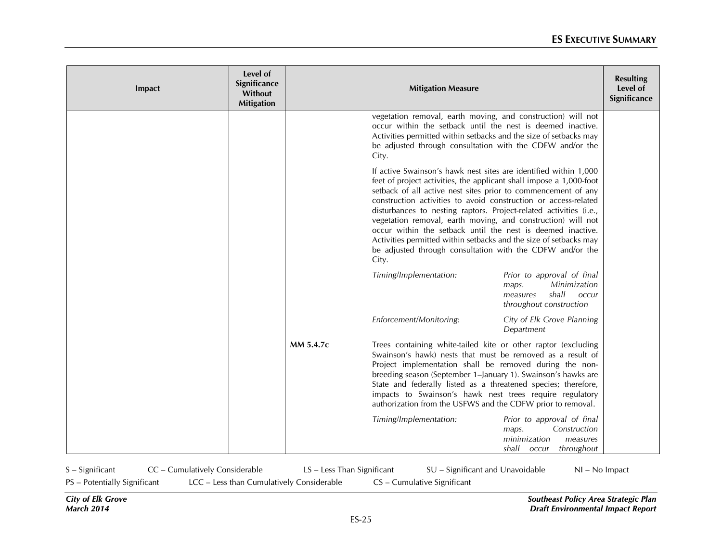| Impact | Level of<br>Significance<br>Without<br><b>Mitigation</b> |           | <b>Mitigation Measure</b>                                                                                                                                                                                                                                                                                                                                                                                                                                                                                                                                                                                                   |                                                                                                                     | <b>Resulting</b><br>Level of<br>Significance |
|--------|----------------------------------------------------------|-----------|-----------------------------------------------------------------------------------------------------------------------------------------------------------------------------------------------------------------------------------------------------------------------------------------------------------------------------------------------------------------------------------------------------------------------------------------------------------------------------------------------------------------------------------------------------------------------------------------------------------------------------|---------------------------------------------------------------------------------------------------------------------|----------------------------------------------|
|        |                                                          |           | vegetation removal, earth moving, and construction) will not<br>occur within the setback until the nest is deemed inactive.<br>Activities permitted within setbacks and the size of setbacks may<br>be adjusted through consultation with the CDFW and/or the<br>City.                                                                                                                                                                                                                                                                                                                                                      |                                                                                                                     |                                              |
|        |                                                          |           | If active Swainson's hawk nest sites are identified within 1,000<br>feet of project activities, the applicant shall impose a 1,000-foot<br>setback of all active nest sites prior to commencement of any<br>construction activities to avoid construction or access-related<br>disturbances to nesting raptors. Project-related activities (i.e.,<br>vegetation removal, earth moving, and construction) will not<br>occur within the setback until the nest is deemed inactive.<br>Activities permitted within setbacks and the size of setbacks may<br>be adjusted through consultation with the CDFW and/or the<br>City. |                                                                                                                     |                                              |
|        |                                                          |           | Timing/Implementation:                                                                                                                                                                                                                                                                                                                                                                                                                                                                                                                                                                                                      | Prior to approval of final<br>Minimization<br>maps.<br>shall<br>measures<br><b>occur</b><br>throughout construction |                                              |
|        |                                                          |           | Enforcement/Monitoring:                                                                                                                                                                                                                                                                                                                                                                                                                                                                                                                                                                                                     | City of Elk Grove Planning<br>Department                                                                            |                                              |
|        |                                                          | MM 5.4.7c | Trees containing white-tailed kite or other raptor (excluding<br>Swainson's hawk) nests that must be removed as a result of<br>Project implementation shall be removed during the non-<br>breeding season (September 1–January 1). Swainson's hawks are<br>State and federally listed as a threatened species; therefore,<br>impacts to Swainson's hawk nest trees require regulatory<br>authorization from the USFWS and the CDFW prior to removal.                                                                                                                                                                        |                                                                                                                     |                                              |
|        |                                                          |           | Timing/Implementation:                                                                                                                                                                                                                                                                                                                                                                                                                                                                                                                                                                                                      | Prior to approval of final<br>Construction<br>maps.<br>minimization<br>measures<br>shall<br>throughout<br>occur     |                                              |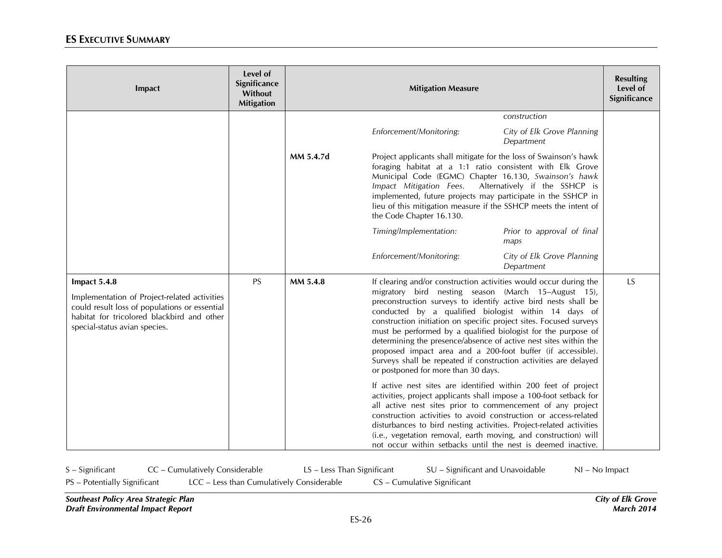| Impact                                                                                                                                                                                       | Level of<br>Significance<br>Without<br><b>Mitigation</b> |           | <b>Mitigation Measure</b>                                                                                                                                                                                                                                                                                                                                                                                                                                                                                                                                                                                                               | <b>Resulting</b><br>Level of<br>Significance |
|----------------------------------------------------------------------------------------------------------------------------------------------------------------------------------------------|----------------------------------------------------------|-----------|-----------------------------------------------------------------------------------------------------------------------------------------------------------------------------------------------------------------------------------------------------------------------------------------------------------------------------------------------------------------------------------------------------------------------------------------------------------------------------------------------------------------------------------------------------------------------------------------------------------------------------------------|----------------------------------------------|
|                                                                                                                                                                                              |                                                          |           | construction                                                                                                                                                                                                                                                                                                                                                                                                                                                                                                                                                                                                                            |                                              |
|                                                                                                                                                                                              |                                                          |           | Enforcement/Monitoring:<br>City of Elk Grove Planning<br>Department                                                                                                                                                                                                                                                                                                                                                                                                                                                                                                                                                                     |                                              |
|                                                                                                                                                                                              |                                                          | MM 5.4.7d | Project applicants shall mitigate for the loss of Swainson's hawk<br>foraging habitat at a 1:1 ratio consistent with Elk Grove<br>Municipal Code (EGMC) Chapter 16.130, Swainson's hawk<br>Impact Mitigation Fees.<br>Alternatively if the SSHCP is<br>implemented, future projects may participate in the SSHCP in<br>lieu of this mitigation measure if the SSHCP meets the intent of<br>the Code Chapter 16.130.                                                                                                                                                                                                                     |                                              |
|                                                                                                                                                                                              |                                                          |           | Timing/Implementation:<br>Prior to approval of final<br>maps                                                                                                                                                                                                                                                                                                                                                                                                                                                                                                                                                                            |                                              |
|                                                                                                                                                                                              |                                                          |           | Enforcement/Monitoring:<br>City of Elk Grove Planning<br>Department                                                                                                                                                                                                                                                                                                                                                                                                                                                                                                                                                                     |                                              |
| Impact 5.4.8<br>Implementation of Project-related activities<br>could result loss of populations or essential<br>habitat for tricolored blackbird and other<br>special-status avian species. | <b>PS</b>                                                | MM 5.4.8  | If clearing and/or construction activities would occur during the<br>migratory bird nesting season (March 15-August 15),<br>preconstruction surveys to identify active bird nests shall be<br>conducted by a qualified biologist within 14 days of<br>construction initiation on specific project sites. Focused surveys<br>must be performed by a qualified biologist for the purpose of<br>determining the presence/absence of active nest sites within the<br>proposed impact area and a 200-foot buffer (if accessible).<br>Surveys shall be repeated if construction activities are delayed<br>or postponed for more than 30 days. | <b>LS</b>                                    |
|                                                                                                                                                                                              |                                                          |           | If active nest sites are identified within 200 feet of project<br>activities, project applicants shall impose a 100-foot setback for<br>all active nest sites prior to commencement of any project<br>construction activities to avoid construction or access-related<br>disturbances to bird nesting activities. Project-related activities<br>(i.e., vegetation removal, earth moving, and construction) will<br>not occur within setbacks until the nest is deemed inactive.                                                                                                                                                         |                                              |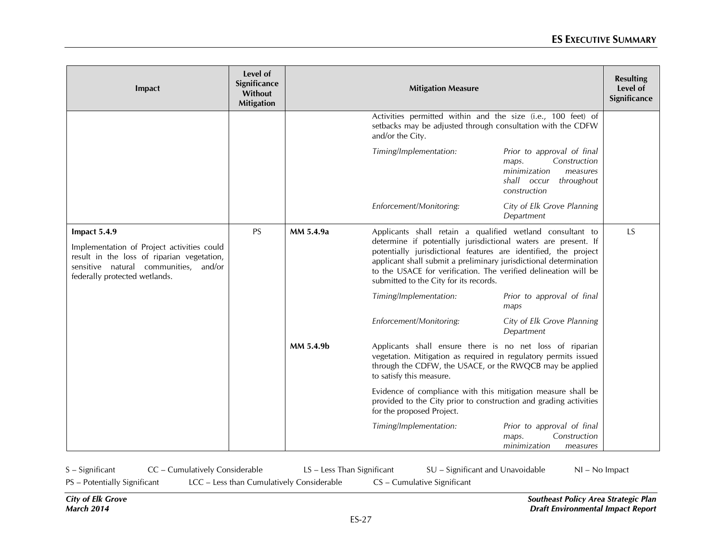| Impact                                                                                                                                                                                | Level of<br>Significance<br>Without<br><b>Mitigation</b> |           | <b>Mitigation Measure</b>                                                                                                                                                                                                                                                                                                                                                        |                                                                                                                              | <b>Resulting</b><br>Level of<br>Significance |
|---------------------------------------------------------------------------------------------------------------------------------------------------------------------------------------|----------------------------------------------------------|-----------|----------------------------------------------------------------------------------------------------------------------------------------------------------------------------------------------------------------------------------------------------------------------------------------------------------------------------------------------------------------------------------|------------------------------------------------------------------------------------------------------------------------------|----------------------------------------------|
|                                                                                                                                                                                       |                                                          |           | Activities permitted within and the size (i.e., 100 feet) of<br>setbacks may be adjusted through consultation with the CDFW<br>and/or the City.                                                                                                                                                                                                                                  |                                                                                                                              |                                              |
|                                                                                                                                                                                       |                                                          |           | Timing/Implementation:                                                                                                                                                                                                                                                                                                                                                           | Prior to approval of final<br>Construction<br>maps.<br>minimization<br>measures<br>shall occur<br>throughout<br>construction |                                              |
|                                                                                                                                                                                       |                                                          |           | Enforcement/Monitoring:                                                                                                                                                                                                                                                                                                                                                          | City of Elk Grove Planning<br>Department                                                                                     |                                              |
| Impact 5.4.9<br>Implementation of Project activities could<br>result in the loss of riparian vegetation,<br>sensitive natural communities,<br>and/or<br>federally protected wetlands. | <b>PS</b>                                                | MM 5.4.9a | Applicants shall retain a qualified wetland consultant to<br>determine if potentially jurisdictional waters are present. If<br>potentially jurisdictional features are identified, the project<br>applicant shall submit a preliminary jurisdictional determination<br>to the USACE for verification. The verified delineation will be<br>submitted to the City for its records. |                                                                                                                              | <b>LS</b>                                    |
|                                                                                                                                                                                       |                                                          |           | Timing/Implementation:                                                                                                                                                                                                                                                                                                                                                           | Prior to approval of final<br>maps                                                                                           |                                              |
|                                                                                                                                                                                       |                                                          |           | Enforcement/Monitoring:                                                                                                                                                                                                                                                                                                                                                          | City of Elk Grove Planning<br>Department                                                                                     |                                              |
|                                                                                                                                                                                       |                                                          | MM 5.4.9b | Applicants shall ensure there is no net loss of riparian<br>vegetation. Mitigation as required in regulatory permits issued<br>through the CDFW, the USACE, or the RWQCB may be applied<br>to satisfy this measure.                                                                                                                                                              |                                                                                                                              |                                              |
|                                                                                                                                                                                       |                                                          |           | Evidence of compliance with this mitigation measure shall be<br>provided to the City prior to construction and grading activities<br>for the proposed Project.                                                                                                                                                                                                                   |                                                                                                                              |                                              |
|                                                                                                                                                                                       |                                                          |           | Timing/Implementation:                                                                                                                                                                                                                                                                                                                                                           | Prior to approval of final<br>Construction<br>maps.<br>minimization<br>measures                                              |                                              |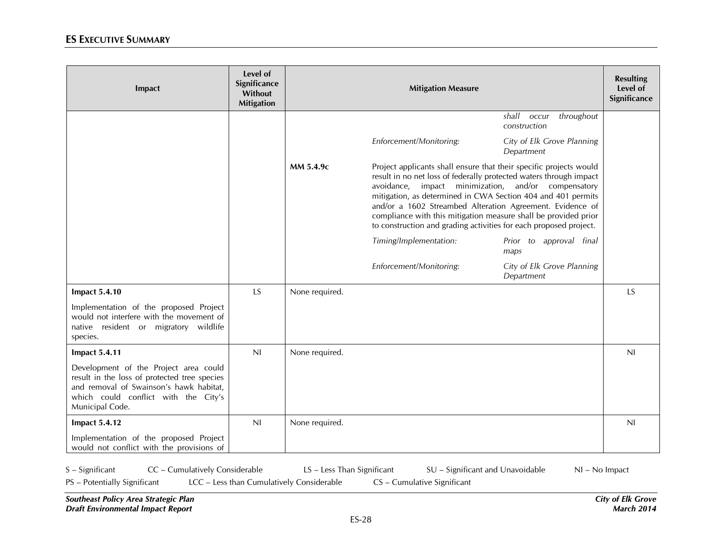| Impact                                                                                                                                                                                      | Level of<br>Significance<br>Without<br><b>Mitigation</b> |                | <b>Mitigation Measure</b>                                                                                                                                                                                                                                                                                                                                                                                                                                            |                                              | <b>Resulting</b><br>Level of<br>Significance |
|---------------------------------------------------------------------------------------------------------------------------------------------------------------------------------------------|----------------------------------------------------------|----------------|----------------------------------------------------------------------------------------------------------------------------------------------------------------------------------------------------------------------------------------------------------------------------------------------------------------------------------------------------------------------------------------------------------------------------------------------------------------------|----------------------------------------------|----------------------------------------------|
|                                                                                                                                                                                             |                                                          |                |                                                                                                                                                                                                                                                                                                                                                                                                                                                                      | shall<br>throughout<br>occur<br>construction |                                              |
|                                                                                                                                                                                             |                                                          |                | Enforcement/Monitoring:                                                                                                                                                                                                                                                                                                                                                                                                                                              | City of Elk Grove Planning<br>Department     |                                              |
|                                                                                                                                                                                             |                                                          | MM 5.4.9c      | Project applicants shall ensure that their specific projects would<br>result in no net loss of federally protected waters through impact<br>avoidance, impact minimization, and/or compensatory<br>mitigation, as determined in CWA Section 404 and 401 permits<br>and/or a 1602 Streambed Alteration Agreement. Evidence of<br>compliance with this mitigation measure shall be provided prior<br>to construction and grading activities for each proposed project. |                                              |                                              |
|                                                                                                                                                                                             |                                                          |                | Timing/Implementation:                                                                                                                                                                                                                                                                                                                                                                                                                                               | Prior to approval final<br>maps              |                                              |
|                                                                                                                                                                                             |                                                          |                | Enforcement/Monitoring:                                                                                                                                                                                                                                                                                                                                                                                                                                              | City of Elk Grove Planning<br>Department     |                                              |
| <b>Impact 5.4.10</b>                                                                                                                                                                        | LS                                                       | None required. |                                                                                                                                                                                                                                                                                                                                                                                                                                                                      |                                              | <b>LS</b>                                    |
| Implementation of the proposed Project<br>would not interfere with the movement of<br>native resident or migratory wildlife<br>species.                                                     |                                                          |                |                                                                                                                                                                                                                                                                                                                                                                                                                                                                      |                                              |                                              |
| <b>Impact 5.4.11</b>                                                                                                                                                                        | NI                                                       | None required. |                                                                                                                                                                                                                                                                                                                                                                                                                                                                      |                                              | N <sub>l</sub>                               |
| Development of the Project area could<br>result in the loss of protected tree species<br>and removal of Swainson's hawk habitat,<br>which could conflict with the City's<br>Municipal Code. |                                                          |                |                                                                                                                                                                                                                                                                                                                                                                                                                                                                      |                                              |                                              |
| <b>Impact 5.4.12</b>                                                                                                                                                                        | NI                                                       | None required. |                                                                                                                                                                                                                                                                                                                                                                                                                                                                      |                                              | N <sub>l</sub>                               |
| Implementation of the proposed Project<br>would not conflict with the provisions of                                                                                                         |                                                          |                |                                                                                                                                                                                                                                                                                                                                                                                                                                                                      |                                              |                                              |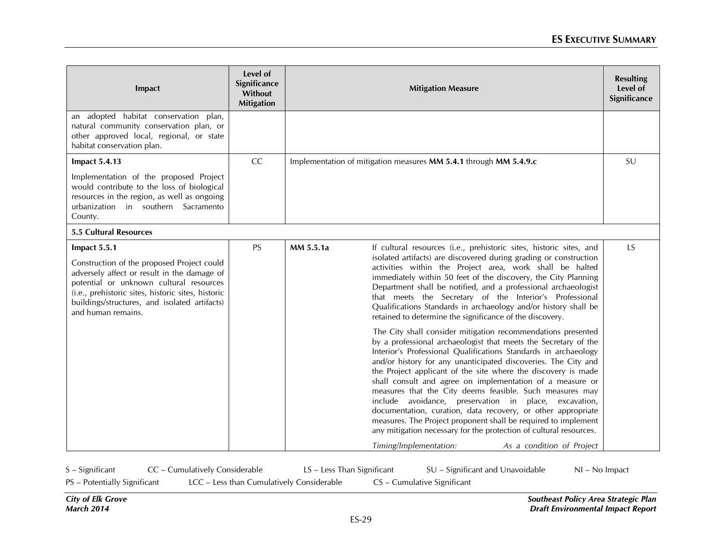| Impact                                                                                                                                                                                                                                                                            | Level of<br>Significance<br>Without<br><b>Mitigation</b> |           | <b>Mitigation Measure</b>                                                                                                                                                                                                                                                                                                                                                                                                                                                                                                                                                                                                                                                                                                       | <b>Resulting</b><br>Level of<br>Significance |
|-----------------------------------------------------------------------------------------------------------------------------------------------------------------------------------------------------------------------------------------------------------------------------------|----------------------------------------------------------|-----------|---------------------------------------------------------------------------------------------------------------------------------------------------------------------------------------------------------------------------------------------------------------------------------------------------------------------------------------------------------------------------------------------------------------------------------------------------------------------------------------------------------------------------------------------------------------------------------------------------------------------------------------------------------------------------------------------------------------------------------|----------------------------------------------|
| an adopted habitat conservation plan,<br>natural community conservation plan, or<br>other approved local, regional, or state<br>habitat conservation plan.                                                                                                                        |                                                          |           |                                                                                                                                                                                                                                                                                                                                                                                                                                                                                                                                                                                                                                                                                                                                 |                                              |
| <b>Impact 5.4.13</b>                                                                                                                                                                                                                                                              | CC                                                       |           | Implementation of mitigation measures MM 5.4.1 through MM 5.4.9.c                                                                                                                                                                                                                                                                                                                                                                                                                                                                                                                                                                                                                                                               | SU                                           |
| Implementation of the proposed Project<br>would contribute to the loss of biological<br>resources in the region, as well as ongoing<br>urbanization in southern Sacramento<br>County.                                                                                             |                                                          |           |                                                                                                                                                                                                                                                                                                                                                                                                                                                                                                                                                                                                                                                                                                                                 |                                              |
| <b>5.5 Cultural Resources</b>                                                                                                                                                                                                                                                     |                                                          |           |                                                                                                                                                                                                                                                                                                                                                                                                                                                                                                                                                                                                                                                                                                                                 |                                              |
| Impact 5.5.1<br>Construction of the proposed Project could<br>adversely affect or result in the damage of<br>potential or unknown cultural resources<br>(i.e., prehistoric sites, historic sites, historic<br>buildings/structures, and isolated artifacts)<br>and human remains. | <b>PS</b>                                                | MM 5.5.1a | If cultural resources (i.e., prehistoric sites, historic sites, and<br>isolated artifacts) are discovered during grading or construction<br>activities within the Project area, work shall be halted<br>immediately within 50 feet of the discovery, the City Planning<br>Department shall be notified, and a professional archaeologist<br>that meets the Secretary of the Interior's Professional<br>Qualifications Standards in archaeology and/or history shall be<br>retained to determine the significance of the discovery.                                                                                                                                                                                              | <b>LS</b>                                    |
|                                                                                                                                                                                                                                                                                   |                                                          |           | The City shall consider mitigation recommendations presented<br>by a professional archaeologist that meets the Secretary of the<br>Interior's Professional Qualifications Standards in archaeology<br>and/or history for any unanticipated discoveries. The City and<br>the Project applicant of the site where the discovery is made<br>shall consult and agree on implementation of a measure or<br>measures that the City deems feasible. Such measures may<br>include avoidance, preservation in place, excavation,<br>documentation, curation, data recovery, or other appropriate<br>measures. The Project proponent shall be required to implement<br>any mitigation necessary for the protection of cultural resources. |                                              |
|                                                                                                                                                                                                                                                                                   |                                                          |           | Timing/Implementation:<br>As a condition of Project                                                                                                                                                                                                                                                                                                                                                                                                                                                                                                                                                                                                                                                                             |                                              |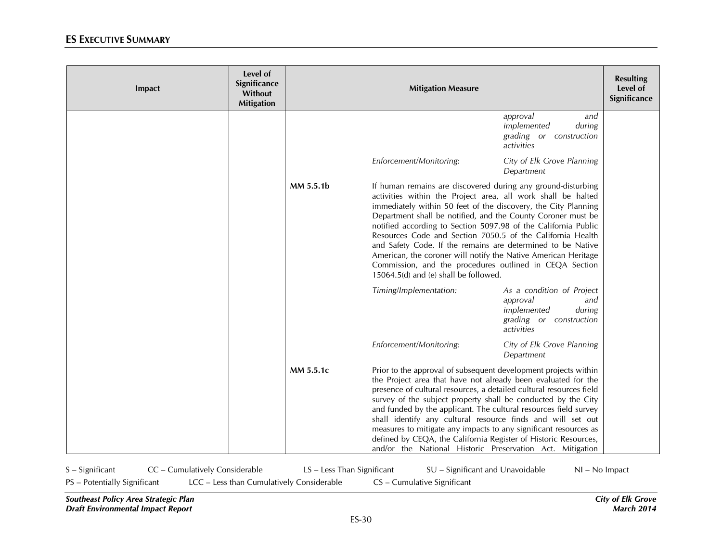| Impact | Level of<br>Significance<br><b>Without</b><br><b>Mitigation</b> |           | <b>Mitigation Measure</b>                                                                                                                                                                                                                                                                                                                                                                                                                                                                                                                                                                                                           |                                                                                                                |  |
|--------|-----------------------------------------------------------------|-----------|-------------------------------------------------------------------------------------------------------------------------------------------------------------------------------------------------------------------------------------------------------------------------------------------------------------------------------------------------------------------------------------------------------------------------------------------------------------------------------------------------------------------------------------------------------------------------------------------------------------------------------------|----------------------------------------------------------------------------------------------------------------|--|
|        |                                                                 |           |                                                                                                                                                                                                                                                                                                                                                                                                                                                                                                                                                                                                                                     | approval<br>and<br>implemented<br>during<br>grading or construction<br>activities                              |  |
|        |                                                                 |           | Enforcement/Monitoring:                                                                                                                                                                                                                                                                                                                                                                                                                                                                                                                                                                                                             | City of Elk Grove Planning<br>Department                                                                       |  |
|        |                                                                 | MM 5.5.1b | If human remains are discovered during any ground-disturbing<br>activities within the Project area, all work shall be halted<br>immediately within 50 feet of the discovery, the City Planning<br>Department shall be notified, and the County Coroner must be<br>notified according to Section 5097.98 of the California Public<br>Resources Code and Section 7050.5 of the California Health<br>and Safety Code. If the remains are determined to be Native<br>American, the coroner will notify the Native American Heritage<br>Commission, and the procedures outlined in CEQA Section<br>15064.5(d) and (e) shall be followed. |                                                                                                                |  |
|        |                                                                 |           | Timing/Implementation:                                                                                                                                                                                                                                                                                                                                                                                                                                                                                                                                                                                                              | As a condition of Project<br>approval<br>and<br>implemented<br>during<br>grading or construction<br>activities |  |
|        |                                                                 |           | Enforcement/Monitoring:                                                                                                                                                                                                                                                                                                                                                                                                                                                                                                                                                                                                             | City of Elk Grove Planning<br>Department                                                                       |  |
|        |                                                                 | MM 5.5.1c | Prior to the approval of subsequent development projects within<br>the Project area that have not already been evaluated for the<br>presence of cultural resources, a detailed cultural resources field<br>survey of the subject property shall be conducted by the City<br>and funded by the applicant. The cultural resources field survey<br>shall identify any cultural resource finds and will set out<br>measures to mitigate any impacts to any significant resources as<br>defined by CEQA, the California Register of Historic Resources,<br>and/or the National Historic Preservation Act. Mitigation                     |                                                                                                                |  |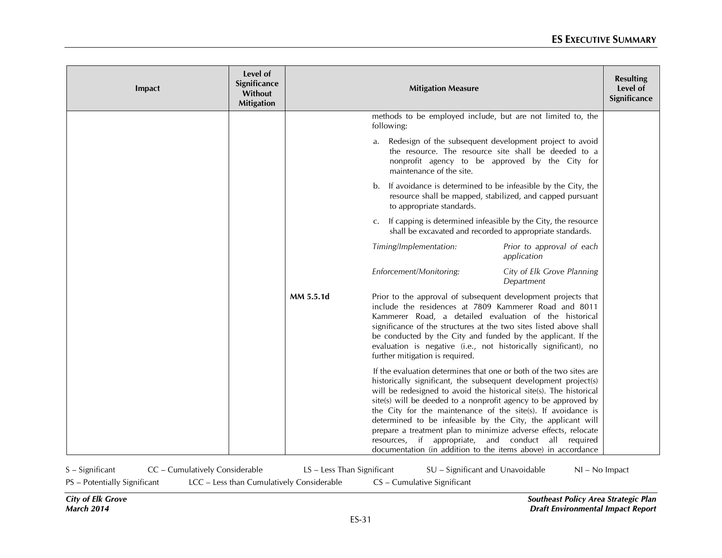| Impact | Level of<br>Significance<br>Without<br><b>Mitigation</b> |           | <b>Mitigation Measure</b>                                                                                                                                                                                                                                                                                                                                                                                                                                                                                                                                                                             |                                                                                                                                                                    | <b>Resulting</b><br>Level of<br>Significance |
|--------|----------------------------------------------------------|-----------|-------------------------------------------------------------------------------------------------------------------------------------------------------------------------------------------------------------------------------------------------------------------------------------------------------------------------------------------------------------------------------------------------------------------------------------------------------------------------------------------------------------------------------------------------------------------------------------------------------|--------------------------------------------------------------------------------------------------------------------------------------------------------------------|----------------------------------------------|
|        |                                                          |           | methods to be employed include, but are not limited to, the<br>following:                                                                                                                                                                                                                                                                                                                                                                                                                                                                                                                             |                                                                                                                                                                    |                                              |
|        |                                                          |           | a.<br>maintenance of the site.                                                                                                                                                                                                                                                                                                                                                                                                                                                                                                                                                                        | Redesign of the subsequent development project to avoid<br>the resource. The resource site shall be deeded to a<br>nonprofit agency to be approved by the City for |                                              |
|        |                                                          |           | b.<br>to appropriate standards.                                                                                                                                                                                                                                                                                                                                                                                                                                                                                                                                                                       | If avoidance is determined to be infeasible by the City, the<br>resource shall be mapped, stabilized, and capped pursuant                                          |                                              |
|        |                                                          |           | c. If capping is determined infeasible by the City, the resource<br>shall be excavated and recorded to appropriate standards.                                                                                                                                                                                                                                                                                                                                                                                                                                                                         |                                                                                                                                                                    |                                              |
|        |                                                          |           | Timing/Implementation:                                                                                                                                                                                                                                                                                                                                                                                                                                                                                                                                                                                | Prior to approval of each<br>application                                                                                                                           |                                              |
|        |                                                          |           | Enforcement/Monitoring:                                                                                                                                                                                                                                                                                                                                                                                                                                                                                                                                                                               | City of Elk Grove Planning<br>Department                                                                                                                           |                                              |
|        |                                                          | MM 5.5.1d | Prior to the approval of subsequent development projects that<br>include the residences at 7809 Kammerer Road and 8011<br>Kammerer Road, a detailed evaluation of the historical<br>significance of the structures at the two sites listed above shall<br>be conducted by the City and funded by the applicant. If the<br>evaluation is negative (i.e., not historically significant), no<br>further mitigation is required.                                                                                                                                                                          |                                                                                                                                                                    |                                              |
|        |                                                          |           | If the evaluation determines that one or both of the two sites are<br>historically significant, the subsequent development project(s)<br>will be redesigned to avoid the historical site(s). The historical<br>site(s) will be deeded to a nonprofit agency to be approved by<br>the City for the maintenance of the site(s). If avoidance is<br>determined to be infeasible by the City, the applicant will<br>prepare a treatment plan to minimize adverse effects, relocate<br>resources, if appropriate, and conduct all required<br>documentation (in addition to the items above) in accordance |                                                                                                                                                                    |                                              |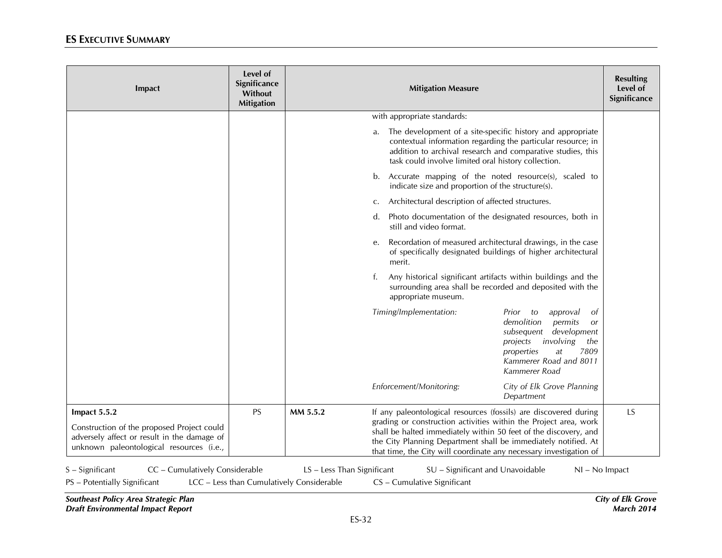| Impact                                                                                                                                                | Level of<br>Significance<br>Without<br><b>Mitigation</b> |                                                                         | <b>Mitigation Measure</b>                                                                                                                                                                                                                                                                                                                        | <b>Resulting</b><br>Level of<br>Significance |
|-------------------------------------------------------------------------------------------------------------------------------------------------------|----------------------------------------------------------|-------------------------------------------------------------------------|--------------------------------------------------------------------------------------------------------------------------------------------------------------------------------------------------------------------------------------------------------------------------------------------------------------------------------------------------|----------------------------------------------|
|                                                                                                                                                       |                                                          |                                                                         | with appropriate standards:                                                                                                                                                                                                                                                                                                                      |                                              |
|                                                                                                                                                       |                                                          |                                                                         | The development of a site-specific history and appropriate<br>a.<br>contextual information regarding the particular resource; in<br>addition to archival research and comparative studies, this<br>task could involve limited oral history collection.                                                                                           |                                              |
|                                                                                                                                                       |                                                          |                                                                         | b. Accurate mapping of the noted resource(s), scaled to<br>indicate size and proportion of the structure(s).                                                                                                                                                                                                                                     |                                              |
|                                                                                                                                                       |                                                          |                                                                         | Architectural description of affected structures.<br>C.                                                                                                                                                                                                                                                                                          |                                              |
|                                                                                                                                                       |                                                          |                                                                         | Photo documentation of the designated resources, both in<br>d.<br>still and video format.                                                                                                                                                                                                                                                        |                                              |
|                                                                                                                                                       |                                                          |                                                                         | Recordation of measured architectural drawings, in the case<br>e.<br>of specifically designated buildings of higher architectural<br>merit.                                                                                                                                                                                                      |                                              |
|                                                                                                                                                       |                                                          |                                                                         | Any historical significant artifacts within buildings and the<br>f.<br>surrounding area shall be recorded and deposited with the<br>appropriate museum.                                                                                                                                                                                          |                                              |
|                                                                                                                                                       |                                                          |                                                                         | Timing/Implementation:<br>Prior to<br>approval<br>demolition<br>permits<br>subsequent development<br>involving<br>projects<br>the<br>7809<br>properties<br>at<br>Kammerer Road and 8011<br>Kammerer Road                                                                                                                                         | 0f<br><b>or</b>                              |
|                                                                                                                                                       |                                                          |                                                                         | Enforcement/Monitoring:<br>City of Elk Grove Planning<br>Department                                                                                                                                                                                                                                                                              |                                              |
| Impact 5.5.2<br>Construction of the proposed Project could<br>adversely affect or result in the damage of<br>unknown paleontological resources (i.e., | <b>PS</b>                                                | MM 5.5.2                                                                | If any paleontological resources (fossils) are discovered during<br>grading or construction activities within the Project area, work<br>shall be halted immediately within 50 feet of the discovery, and<br>the City Planning Department shall be immediately notified. At<br>that time, the City will coordinate any necessary investigation of | LS                                           |
| S - Significant<br>CC - Cumulatively Considerable<br>PS - Potentially Significant                                                                     |                                                          | LS - Less Than Significant<br>LCC - Less than Cumulatively Considerable | SU - Significant and Unavoidable<br>CS - Cumulative Significant                                                                                                                                                                                                                                                                                  | NI - No Impact                               |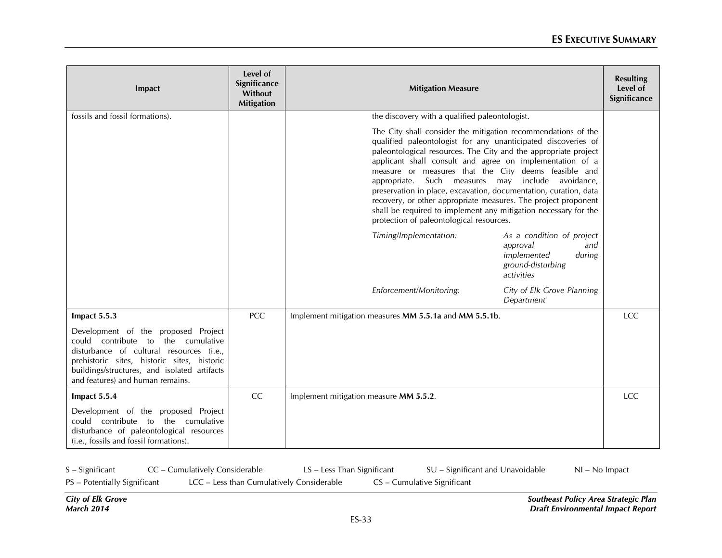| Impact                                                                                                                                                                                                                                                      | Level of<br>Significance<br>Without<br><b>Mitigation</b> | <b>Mitigation Measure</b>                                                                                                                                                                                                                                                                                                                                                                                                                                                                                                                                                                                                       | <b>Resulting</b><br>Level of<br>Significance |
|-------------------------------------------------------------------------------------------------------------------------------------------------------------------------------------------------------------------------------------------------------------|----------------------------------------------------------|---------------------------------------------------------------------------------------------------------------------------------------------------------------------------------------------------------------------------------------------------------------------------------------------------------------------------------------------------------------------------------------------------------------------------------------------------------------------------------------------------------------------------------------------------------------------------------------------------------------------------------|----------------------------------------------|
| fossils and fossil formations).                                                                                                                                                                                                                             |                                                          | the discovery with a qualified paleontologist.                                                                                                                                                                                                                                                                                                                                                                                                                                                                                                                                                                                  |                                              |
|                                                                                                                                                                                                                                                             |                                                          | The City shall consider the mitigation recommendations of the<br>qualified paleontologist for any unanticipated discoveries of<br>paleontological resources. The City and the appropriate project<br>applicant shall consult and agree on implementation of a<br>measure or measures that the City deems feasible and<br>appropriate. Such measures may include avoidance,<br>preservation in place, excavation, documentation, curation, data<br>recovery, or other appropriate measures. The project proponent<br>shall be required to implement any mitigation necessary for the<br>protection of paleontological resources. |                                              |
|                                                                                                                                                                                                                                                             |                                                          | Timing/Implementation:<br>As a condition of project<br>approval<br>and<br>implemented<br>during<br>ground-disturbing<br>activities                                                                                                                                                                                                                                                                                                                                                                                                                                                                                              |                                              |
|                                                                                                                                                                                                                                                             |                                                          | Enforcement/Monitoring:<br>City of Elk Grove Planning<br>Department                                                                                                                                                                                                                                                                                                                                                                                                                                                                                                                                                             |                                              |
| Impact 5.5.3                                                                                                                                                                                                                                                | <b>PCC</b>                                               | Implement mitigation measures MM 5.5.1a and MM 5.5.1b.                                                                                                                                                                                                                                                                                                                                                                                                                                                                                                                                                                          | <b>LCC</b>                                   |
| Development of the proposed Project<br>could contribute to<br>the cumulative<br>disturbance of cultural resources (i.e.,<br>prehistoric sites, historic sites, historic<br>buildings/structures, and isolated artifacts<br>and features) and human remains. |                                                          |                                                                                                                                                                                                                                                                                                                                                                                                                                                                                                                                                                                                                                 |                                              |
| Impact 5.5.4                                                                                                                                                                                                                                                | <b>CC</b>                                                | Implement mitigation measure MM 5.5.2.                                                                                                                                                                                                                                                                                                                                                                                                                                                                                                                                                                                          | <b>LCC</b>                                   |
| Development of the proposed Project<br>could contribute to the cumulative<br>disturbance of paleontological resources<br>(i.e., fossils and fossil formations).                                                                                             |                                                          |                                                                                                                                                                                                                                                                                                                                                                                                                                                                                                                                                                                                                                 |                                              |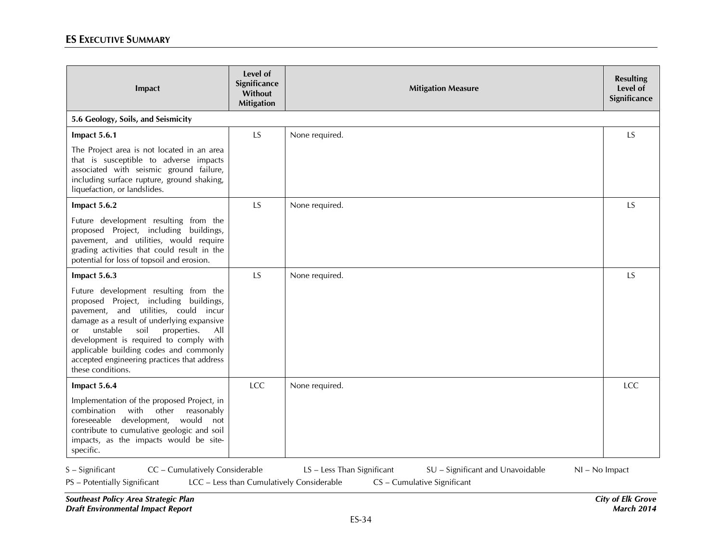| Impact                                                                                                                                                                                                                                                                                                                                                                        | Level of<br>Significance<br>Without<br><b>Mitigation</b> | <b>Mitigation Measure</b> | <b>Resulting</b><br>Level of<br>Significance |
|-------------------------------------------------------------------------------------------------------------------------------------------------------------------------------------------------------------------------------------------------------------------------------------------------------------------------------------------------------------------------------|----------------------------------------------------------|---------------------------|----------------------------------------------|
| 5.6 Geology, Soils, and Seismicity                                                                                                                                                                                                                                                                                                                                            |                                                          |                           |                                              |
| Impact 5.6.1                                                                                                                                                                                                                                                                                                                                                                  | LS                                                       | None required.            | <b>LS</b>                                    |
| The Project area is not located in an area<br>that is susceptible to adverse impacts<br>associated with seismic ground failure,<br>including surface rupture, ground shaking,<br>liquefaction, or landslides.                                                                                                                                                                 |                                                          |                           |                                              |
| Impact 5.6.2                                                                                                                                                                                                                                                                                                                                                                  | <b>LS</b>                                                | None required.            | <b>LS</b>                                    |
| Future development resulting from the<br>proposed Project, including buildings,<br>pavement, and utilities, would require<br>grading activities that could result in the<br>potential for loss of topsoil and erosion.                                                                                                                                                        |                                                          |                           |                                              |
| Impact 5.6.3                                                                                                                                                                                                                                                                                                                                                                  | <b>LS</b>                                                | None required.            | <b>LS</b>                                    |
| Future development resulting from the<br>proposed Project, including buildings,<br>pavement, and utilities, could incur<br>damage as a result of underlying expansive<br>soil<br>unstable<br>properties.<br>All<br>or<br>development is required to comply with<br>applicable building codes and commonly<br>accepted engineering practices that address<br>these conditions. |                                                          |                           |                                              |
| Impact 5.6.4                                                                                                                                                                                                                                                                                                                                                                  | <b>LCC</b>                                               | None required.            | <b>LCC</b>                                   |
| Implementation of the proposed Project, in<br>combination<br>with other<br>reasonably<br>foreseeable development, would not<br>contribute to cumulative geologic and soil<br>impacts, as the impacts would be site-<br>specific.                                                                                                                                              |                                                          |                           |                                              |

S – Significant CC – Cumulatively Considerable LS – Less Than Significant SU – Significant and Unavoidable NI – No Impact

PS – Potentially Significant LCC – Less than Cumulatively Considerable CS – Cumulative Significant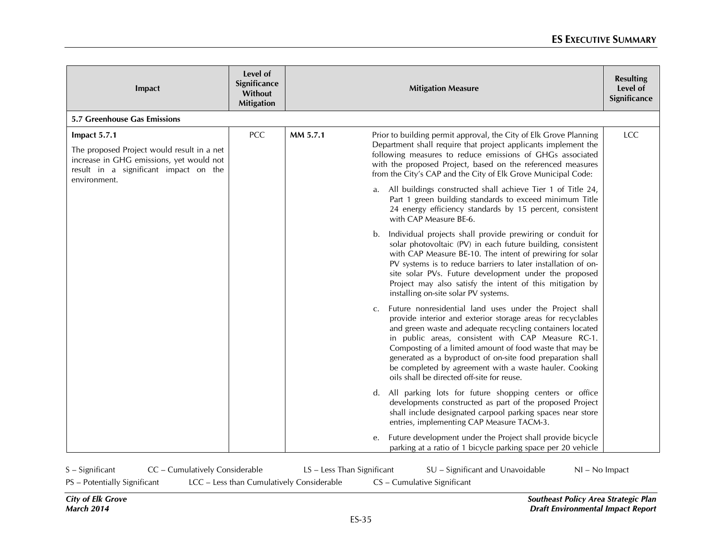| Impact                                                                                                                                                          | Level of<br>Significance<br>Without<br><b>Mitigation</b> |          | <b>Mitigation Measure</b>                                                                                                                                                                                                                                                                                                                                                                                                                                                                    | <b>Resulting</b><br>Level of<br>Significance |
|-----------------------------------------------------------------------------------------------------------------------------------------------------------------|----------------------------------------------------------|----------|----------------------------------------------------------------------------------------------------------------------------------------------------------------------------------------------------------------------------------------------------------------------------------------------------------------------------------------------------------------------------------------------------------------------------------------------------------------------------------------------|----------------------------------------------|
| 5.7 Greenhouse Gas Emissions                                                                                                                                    |                                                          |          |                                                                                                                                                                                                                                                                                                                                                                                                                                                                                              |                                              |
| Impact 5.7.1<br>The proposed Project would result in a net<br>increase in GHG emissions, yet would not<br>result in a significant impact on the<br>environment. | <b>PCC</b>                                               | MM 5.7.1 | Prior to building permit approval, the City of Elk Grove Planning<br>Department shall require that project applicants implement the<br>following measures to reduce emissions of GHGs associated<br>with the proposed Project, based on the referenced measures<br>from the City's CAP and the City of Elk Grove Municipal Code:                                                                                                                                                             | LCC                                          |
|                                                                                                                                                                 |                                                          |          | a. All buildings constructed shall achieve Tier 1 of Title 24,<br>Part 1 green building standards to exceed minimum Title<br>24 energy efficiency standards by 15 percent, consistent<br>with CAP Measure BE-6.                                                                                                                                                                                                                                                                              |                                              |
|                                                                                                                                                                 |                                                          |          | Individual projects shall provide prewiring or conduit for<br>b.<br>solar photovoltaic (PV) in each future building, consistent<br>with CAP Measure BE-10. The intent of prewiring for solar<br>PV systems is to reduce barriers to later installation of on-<br>site solar PVs. Future development under the proposed<br>Project may also satisfy the intent of this mitigation by<br>installing on-site solar PV systems.                                                                  |                                              |
|                                                                                                                                                                 |                                                          |          | Future nonresidential land uses under the Project shall<br>$C_{\bullet}$<br>provide interior and exterior storage areas for recyclables<br>and green waste and adequate recycling containers located<br>in public areas, consistent with CAP Measure RC-1.<br>Composting of a limited amount of food waste that may be<br>generated as a byproduct of on-site food preparation shall<br>be completed by agreement with a waste hauler. Cooking<br>oils shall be directed off-site for reuse. |                                              |
|                                                                                                                                                                 |                                                          |          | d. All parking lots for future shopping centers or office<br>developments constructed as part of the proposed Project<br>shall include designated carpool parking spaces near store<br>entries, implementing CAP Measure TACM-3.                                                                                                                                                                                                                                                             |                                              |
|                                                                                                                                                                 |                                                          |          | Future development under the Project shall provide bicycle<br>e.<br>parking at a ratio of 1 bicycle parking space per 20 vehicle                                                                                                                                                                                                                                                                                                                                                             |                                              |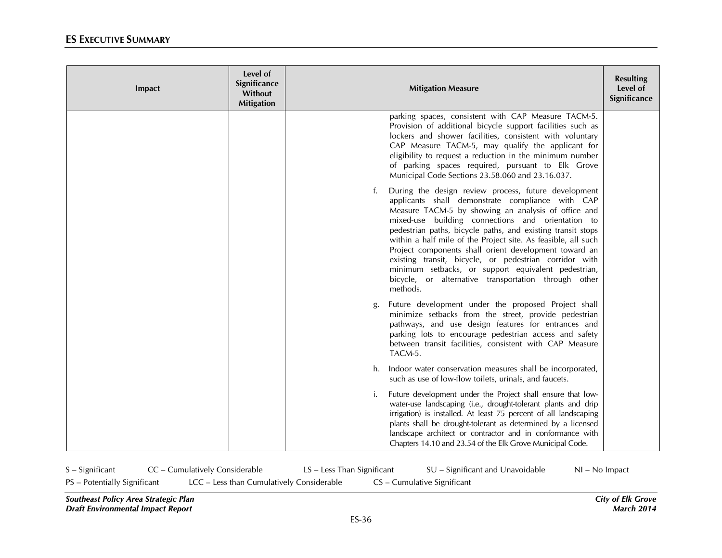| Impact | Level of<br>Significance<br>Without<br><b>Mitigation</b> | <b>Mitigation Measure</b>                                                                                                                                                                                                                                                                                                                                                                                                                                                                                                                                                                                | <b>Resulting</b><br>Level of<br>Significance |
|--------|----------------------------------------------------------|----------------------------------------------------------------------------------------------------------------------------------------------------------------------------------------------------------------------------------------------------------------------------------------------------------------------------------------------------------------------------------------------------------------------------------------------------------------------------------------------------------------------------------------------------------------------------------------------------------|----------------------------------------------|
|        |                                                          | parking spaces, consistent with CAP Measure TACM-5.<br>Provision of additional bicycle support facilities such as<br>lockers and shower facilities, consistent with voluntary<br>CAP Measure TACM-5, may qualify the applicant for<br>eligibility to request a reduction in the minimum number<br>of parking spaces required, pursuant to Elk Grove<br>Municipal Code Sections 23.58.060 and 23.16.037.                                                                                                                                                                                                  |                                              |
|        |                                                          | During the design review process, future development<br>f.<br>applicants shall demonstrate compliance with CAP<br>Measure TACM-5 by showing an analysis of office and<br>mixed-use building connections and orientation to<br>pedestrian paths, bicycle paths, and existing transit stops<br>within a half mile of the Project site. As feasible, all such<br>Project components shall orient development toward an<br>existing transit, bicycle, or pedestrian corridor with<br>minimum setbacks, or support equivalent pedestrian,<br>bicycle, or alternative transportation through other<br>methods. |                                              |
|        |                                                          | Future development under the proposed Project shall<br>g.<br>minimize setbacks from the street, provide pedestrian<br>pathways, and use design features for entrances and<br>parking lots to encourage pedestrian access and safety<br>between transit facilities, consistent with CAP Measure<br>TACM-5.                                                                                                                                                                                                                                                                                                |                                              |
|        |                                                          | Indoor water conservation measures shall be incorporated,<br>h.<br>such as use of low-flow toilets, urinals, and faucets.                                                                                                                                                                                                                                                                                                                                                                                                                                                                                |                                              |
|        |                                                          | Future development under the Project shall ensure that low-<br>i.<br>water-use landscaping (i.e., drought-tolerant plants and drip<br>irrigation) is installed. At least 75 percent of all landscaping<br>plants shall be drought-tolerant as determined by a licensed<br>landscape architect or contractor and in conformance with<br>Chapters 14.10 and 23.54 of the Elk Grove Municipal Code.                                                                                                                                                                                                         |                                              |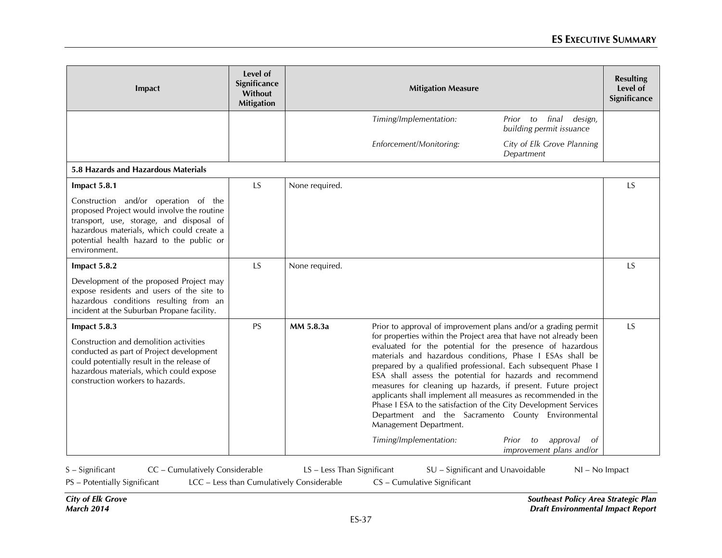| Impact                                                                                                                                                                                                                                  | Level of<br>Significance<br>Without<br><b>Mitigation</b> | <b>Mitigation Measure</b> |                                                                                                                                                                                                                                                                                                                                                                                                                                                                                                                                                                                                                                                                                                           |                                                             | <b>Resulting</b><br>Level of<br>Significance |
|-----------------------------------------------------------------------------------------------------------------------------------------------------------------------------------------------------------------------------------------|----------------------------------------------------------|---------------------------|-----------------------------------------------------------------------------------------------------------------------------------------------------------------------------------------------------------------------------------------------------------------------------------------------------------------------------------------------------------------------------------------------------------------------------------------------------------------------------------------------------------------------------------------------------------------------------------------------------------------------------------------------------------------------------------------------------------|-------------------------------------------------------------|----------------------------------------------|
|                                                                                                                                                                                                                                         |                                                          |                           | Timing/Implementation:                                                                                                                                                                                                                                                                                                                                                                                                                                                                                                                                                                                                                                                                                    | Prior to final<br>design,<br>building permit issuance       |                                              |
|                                                                                                                                                                                                                                         |                                                          |                           | Enforcement/Monitoring:                                                                                                                                                                                                                                                                                                                                                                                                                                                                                                                                                                                                                                                                                   | City of Elk Grove Planning<br>Department                    |                                              |
| 5.8 Hazards and Hazardous Materials                                                                                                                                                                                                     |                                                          |                           |                                                                                                                                                                                                                                                                                                                                                                                                                                                                                                                                                                                                                                                                                                           |                                                             |                                              |
| Impact 5.8.1                                                                                                                                                                                                                            | LS                                                       | None required.            |                                                                                                                                                                                                                                                                                                                                                                                                                                                                                                                                                                                                                                                                                                           |                                                             | LS                                           |
| Construction and/or operation of the<br>proposed Project would involve the routine<br>transport, use, storage, and disposal of<br>hazardous materials, which could create a<br>potential health hazard to the public or<br>environment. |                                                          |                           |                                                                                                                                                                                                                                                                                                                                                                                                                                                                                                                                                                                                                                                                                                           |                                                             |                                              |
| Impact 5.8.2                                                                                                                                                                                                                            | LS                                                       | None required.            |                                                                                                                                                                                                                                                                                                                                                                                                                                                                                                                                                                                                                                                                                                           |                                                             | <b>LS</b>                                    |
| Development of the proposed Project may<br>expose residents and users of the site to<br>hazardous conditions resulting from an<br>incident at the Suburban Propane facility.                                                            |                                                          |                           |                                                                                                                                                                                                                                                                                                                                                                                                                                                                                                                                                                                                                                                                                                           |                                                             |                                              |
| Impact 5.8.3<br>Construction and demolition activities<br>conducted as part of Project development<br>could potentially result in the release of<br>hazardous materials, which could expose<br>construction workers to hazards.         | <b>PS</b>                                                | MM 5.8.3a                 | Prior to approval of improvement plans and/or a grading permit<br>for properties within the Project area that have not already been<br>evaluated for the potential for the presence of hazardous<br>materials and hazardous conditions, Phase I ESAs shall be<br>prepared by a qualified professional. Each subsequent Phase I<br>ESA shall assess the potential for hazards and recommend<br>measures for cleaning up hazards, if present. Future project<br>applicants shall implement all measures as recommended in the<br>Phase I ESA to the satisfaction of the City Development Services<br>Department and the Sacramento County Environmental<br>Management Department.<br>Timing/Implementation: | Prior<br>to<br>approval<br>- of<br>improvement plans and/or | <b>LS</b>                                    |

S – Significant CC – Cumulatively Considerable LS – Less Than Significant SU – Significant and Unavoidable NI – No Impact

PS – Potentially Significant LCC – Less than Cumulatively Considerable CS – Cumulative Significant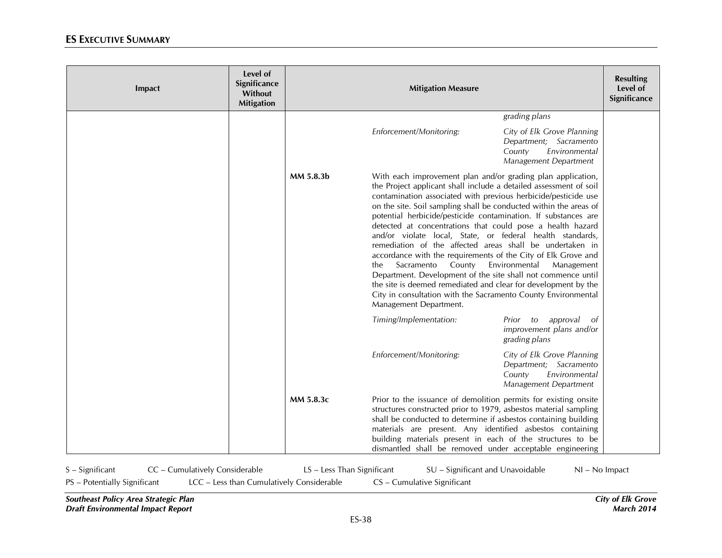| Impact | Level of<br>Significance<br>Without<br><b>Mitigation</b> |           | <b>Mitigation Measure</b>                                                                                                                                                                                                                                                                                                                                                                                                                                                                                                                                                                                                                                                                                                                                                                                                                                                                     |                                                                                                          | <b>Resulting</b><br>Level of<br>Significance |
|--------|----------------------------------------------------------|-----------|-----------------------------------------------------------------------------------------------------------------------------------------------------------------------------------------------------------------------------------------------------------------------------------------------------------------------------------------------------------------------------------------------------------------------------------------------------------------------------------------------------------------------------------------------------------------------------------------------------------------------------------------------------------------------------------------------------------------------------------------------------------------------------------------------------------------------------------------------------------------------------------------------|----------------------------------------------------------------------------------------------------------|----------------------------------------------|
|        |                                                          |           |                                                                                                                                                                                                                                                                                                                                                                                                                                                                                                                                                                                                                                                                                                                                                                                                                                                                                               | grading plans                                                                                            |                                              |
|        |                                                          |           | Enforcement/Monitoring:                                                                                                                                                                                                                                                                                                                                                                                                                                                                                                                                                                                                                                                                                                                                                                                                                                                                       | City of Elk Grove Planning<br>Department; Sacramento<br>Environmental<br>County<br>Management Department |                                              |
|        |                                                          | MM 5.8.3b | With each improvement plan and/or grading plan application,<br>the Project applicant shall include a detailed assessment of soil<br>contamination associated with previous herbicide/pesticide use<br>on the site. Soil sampling shall be conducted within the areas of<br>potential herbicide/pesticide contamination. If substances are<br>detected at concentrations that could pose a health hazard<br>and/or violate local, State, or federal health standards,<br>remediation of the affected areas shall be undertaken in<br>accordance with the requirements of the City of Elk Grove and<br>Environmental<br>Sacramento<br>County<br>Management<br>the.<br>Department. Development of the site shall not commence until<br>the site is deemed remediated and clear for development by the<br>City in consultation with the Sacramento County Environmental<br>Management Department. |                                                                                                          |                                              |
|        |                                                          |           | Timing/Implementation:                                                                                                                                                                                                                                                                                                                                                                                                                                                                                                                                                                                                                                                                                                                                                                                                                                                                        | approval<br>Prior<br>to<br>-of<br>improvement plans and/or<br>grading plans                              |                                              |
|        |                                                          |           | Enforcement/Monitoring:                                                                                                                                                                                                                                                                                                                                                                                                                                                                                                                                                                                                                                                                                                                                                                                                                                                                       | City of Elk Grove Planning<br>Department; Sacramento<br>Environmental<br>County<br>Management Department |                                              |
|        |                                                          | MM 5.8.3c | Prior to the issuance of demolition permits for existing onsite<br>structures constructed prior to 1979, asbestos material sampling<br>shall be conducted to determine if asbestos containing building<br>materials are present. Any identified asbestos containing<br>building materials present in each of the structures to be<br>dismantled shall be removed under acceptable engineering                                                                                                                                                                                                                                                                                                                                                                                                                                                                                                 |                                                                                                          |                                              |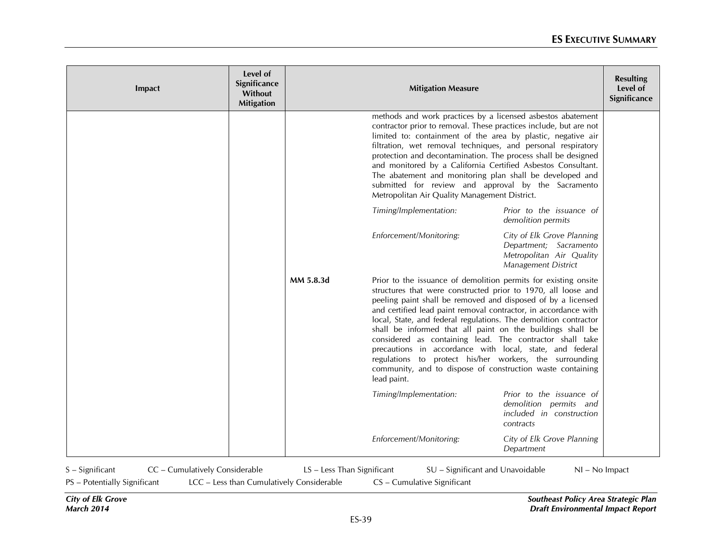| Impact | Level of<br>Significance<br>Without<br><b>Mitigation</b> |           | <b>Mitigation Measure</b>                                                                                                                                                                                                                                                                                                                                                                                                                                                                                                                                                                                                                                             |                                                                                                         | <b>Resulting</b><br>Level of<br>Significance |
|--------|----------------------------------------------------------|-----------|-----------------------------------------------------------------------------------------------------------------------------------------------------------------------------------------------------------------------------------------------------------------------------------------------------------------------------------------------------------------------------------------------------------------------------------------------------------------------------------------------------------------------------------------------------------------------------------------------------------------------------------------------------------------------|---------------------------------------------------------------------------------------------------------|----------------------------------------------|
|        |                                                          |           | methods and work practices by a licensed asbestos abatement<br>contractor prior to removal. These practices include, but are not<br>limited to: containment of the area by plastic, negative air<br>filtration, wet removal techniques, and personal respiratory<br>protection and decontamination. The process shall be designed<br>and monitored by a California Certified Asbestos Consultant.<br>The abatement and monitoring plan shall be developed and<br>submitted for review and approval by the Sacramento<br>Metropolitan Air Quality Management District.                                                                                                 |                                                                                                         |                                              |
|        |                                                          |           | Timing/Implementation:                                                                                                                                                                                                                                                                                                                                                                                                                                                                                                                                                                                                                                                | Prior to the issuance of<br>demolition permits                                                          |                                              |
|        |                                                          |           | Enforcement/Monitoring:                                                                                                                                                                                                                                                                                                                                                                                                                                                                                                                                                                                                                                               | City of Elk Grove Planning<br>Department; Sacramento<br>Metropolitan Air Quality<br>Management District |                                              |
|        |                                                          | MM 5.8.3d | Prior to the issuance of demolition permits for existing onsite<br>structures that were constructed prior to 1970, all loose and<br>peeling paint shall be removed and disposed of by a licensed<br>and certified lead paint removal contractor, in accordance with<br>local, State, and federal regulations. The demolition contractor<br>shall be informed that all paint on the buildings shall be<br>considered as containing lead. The contractor shall take<br>precautions in accordance with local, state, and federal<br>regulations to protect his/her workers, the surrounding<br>community, and to dispose of construction waste containing<br>lead paint. |                                                                                                         |                                              |
|        |                                                          |           | Timing/Implementation:                                                                                                                                                                                                                                                                                                                                                                                                                                                                                                                                                                                                                                                | Prior to the issuance of<br>demolition permits and<br>included in construction<br>contracts             |                                              |
|        |                                                          |           | Enforcement/Monitoring:                                                                                                                                                                                                                                                                                                                                                                                                                                                                                                                                                                                                                                               | City of Elk Grove Planning<br>Department                                                                |                                              |

S – Significant CC – Cumulatively Considerable LS – Less Than Significant SU – Significant and Unavoidable NI – No Impact

PS – Potentially Significant LCC – Less than Cumulatively Considerable CS – Cumulative Significant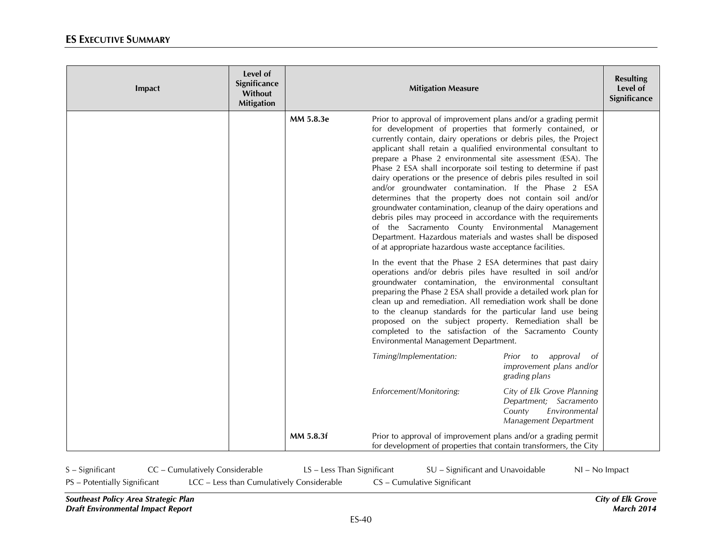| Impact | Level of<br>Significance<br>Without<br><b>Mitigation</b> |           | <b>Mitigation Measure</b>                                                                                                                                                                                                                                                                                                                                                                                                                                                                                                                                                                                                                                                                                                                                                                                                                                                                                       |                                                                                                          | <b>Resulting</b><br>Level of<br>Significance |
|--------|----------------------------------------------------------|-----------|-----------------------------------------------------------------------------------------------------------------------------------------------------------------------------------------------------------------------------------------------------------------------------------------------------------------------------------------------------------------------------------------------------------------------------------------------------------------------------------------------------------------------------------------------------------------------------------------------------------------------------------------------------------------------------------------------------------------------------------------------------------------------------------------------------------------------------------------------------------------------------------------------------------------|----------------------------------------------------------------------------------------------------------|----------------------------------------------|
|        |                                                          | MM 5.8.3e | Prior to approval of improvement plans and/or a grading permit<br>for development of properties that formerly contained, or<br>currently contain, dairy operations or debris piles, the Project<br>applicant shall retain a qualified environmental consultant to<br>prepare a Phase 2 environmental site assessment (ESA). The<br>Phase 2 ESA shall incorporate soil testing to determine if past<br>dairy operations or the presence of debris piles resulted in soil<br>and/or groundwater contamination. If the Phase 2 ESA<br>determines that the property does not contain soil and/or<br>groundwater contamination, cleanup of the dairy operations and<br>debris piles may proceed in accordance with the requirements<br>of the Sacramento County Environmental Management<br>Department. Hazardous materials and wastes shall be disposed<br>of at appropriate hazardous waste acceptance facilities. |                                                                                                          |                                              |
|        |                                                          |           | In the event that the Phase 2 ESA determines that past dairy<br>operations and/or debris piles have resulted in soil and/or<br>groundwater contamination, the environmental consultant<br>preparing the Phase 2 ESA shall provide a detailed work plan for<br>clean up and remediation. All remediation work shall be done<br>to the cleanup standards for the particular land use being<br>proposed on the subject property. Remediation shall be<br>completed to the satisfaction of the Sacramento County<br>Environmental Management Department.                                                                                                                                                                                                                                                                                                                                                            |                                                                                                          |                                              |
|        |                                                          |           | Timing/Implementation:                                                                                                                                                                                                                                                                                                                                                                                                                                                                                                                                                                                                                                                                                                                                                                                                                                                                                          | approval<br>Prior<br>to<br>οf<br>improvement plans and/or<br>grading plans                               |                                              |
|        |                                                          |           | Enforcement/Monitoring:                                                                                                                                                                                                                                                                                                                                                                                                                                                                                                                                                                                                                                                                                                                                                                                                                                                                                         | City of Elk Grove Planning<br>Department; Sacramento<br>Environmental<br>County<br>Management Department |                                              |
|        |                                                          | MM 5.8.3f | Prior to approval of improvement plans and/or a grading permit<br>for development of properties that contain transformers, the City                                                                                                                                                                                                                                                                                                                                                                                                                                                                                                                                                                                                                                                                                                                                                                             |                                                                                                          |                                              |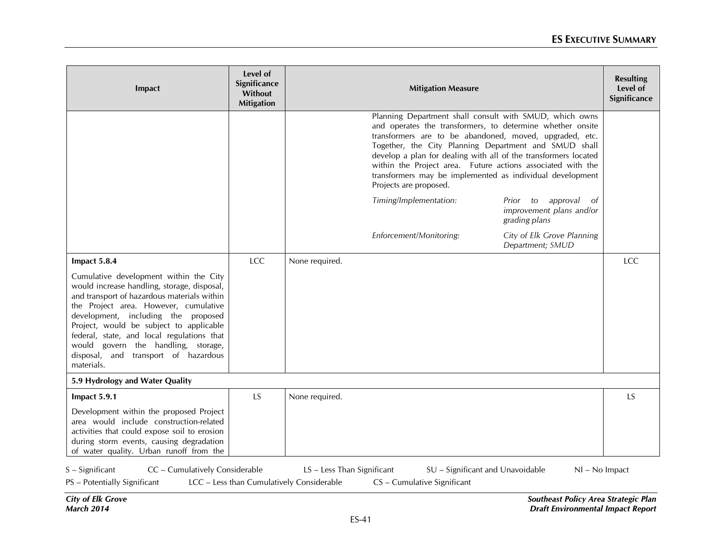| Impact                                                                                                                                                                                                                                                                                                                                                                                                                     | Level of<br>Significance<br>Without<br><b>Mitigation</b> |                | <b>Mitigation Measure</b>                                                                                                                                                                                                                                                                                                                                                                                                                                          |                                                                      | <b>Resulting</b><br>Level of<br>Significance |
|----------------------------------------------------------------------------------------------------------------------------------------------------------------------------------------------------------------------------------------------------------------------------------------------------------------------------------------------------------------------------------------------------------------------------|----------------------------------------------------------|----------------|--------------------------------------------------------------------------------------------------------------------------------------------------------------------------------------------------------------------------------------------------------------------------------------------------------------------------------------------------------------------------------------------------------------------------------------------------------------------|----------------------------------------------------------------------|----------------------------------------------|
|                                                                                                                                                                                                                                                                                                                                                                                                                            |                                                          |                | Planning Department shall consult with SMUD, which owns<br>and operates the transformers, to determine whether onsite<br>transformers are to be abandoned, moved, upgraded, etc.<br>Together, the City Planning Department and SMUD shall<br>develop a plan for dealing with all of the transformers located<br>within the Project area. Future actions associated with the<br>transformers may be implemented as individual development<br>Projects are proposed. |                                                                      |                                              |
|                                                                                                                                                                                                                                                                                                                                                                                                                            |                                                          |                | Timing/Implementation:                                                                                                                                                                                                                                                                                                                                                                                                                                             | approval of<br>Prior to<br>improvement plans and/or<br>grading plans |                                              |
|                                                                                                                                                                                                                                                                                                                                                                                                                            |                                                          |                | Enforcement/Monitoring:                                                                                                                                                                                                                                                                                                                                                                                                                                            | City of Elk Grove Planning<br>Department; SMUD                       |                                              |
| Impact 5.8.4<br>Cumulative development within the City<br>would increase handling, storage, disposal,<br>and transport of hazardous materials within<br>the Project area. However, cumulative<br>development, including the proposed<br>Project, would be subject to applicable<br>federal, state, and local regulations that<br>would govern the handling, storage,<br>disposal, and transport of hazardous<br>materials. | LCC                                                      | None required. |                                                                                                                                                                                                                                                                                                                                                                                                                                                                    |                                                                      | LCC                                          |
| 5.9 Hydrology and Water Quality                                                                                                                                                                                                                                                                                                                                                                                            |                                                          |                |                                                                                                                                                                                                                                                                                                                                                                                                                                                                    |                                                                      |                                              |
| Impact 5.9.1<br>Development within the proposed Project<br>area would include construction-related<br>activities that could expose soil to erosion<br>during storm events, causing degradation<br>of water quality. Urban runoff from the                                                                                                                                                                                  | LS                                                       | None required. |                                                                                                                                                                                                                                                                                                                                                                                                                                                                    |                                                                      | <b>LS</b>                                    |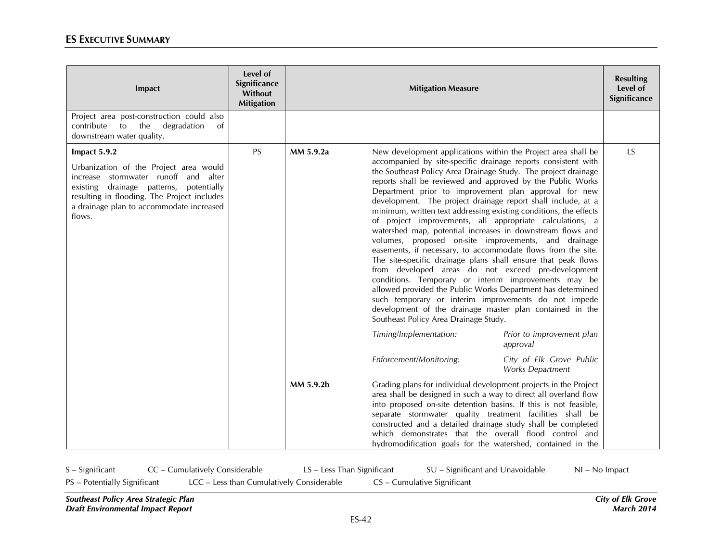| Impact                                                                                                                                                                                                                                         | Level of<br>Significance<br>Without<br><b>Mitigation</b> |           | <b>Mitigation Measure</b>                                                                                                                                                                                                                                                                                                                                                                                                                                                                                                                                                                                                                                                                                                                                                                                                                                                                                                                                                                                                                                                                                                 |                                                                   | <b>Resulting</b><br>Level of<br>Significance |
|------------------------------------------------------------------------------------------------------------------------------------------------------------------------------------------------------------------------------------------------|----------------------------------------------------------|-----------|---------------------------------------------------------------------------------------------------------------------------------------------------------------------------------------------------------------------------------------------------------------------------------------------------------------------------------------------------------------------------------------------------------------------------------------------------------------------------------------------------------------------------------------------------------------------------------------------------------------------------------------------------------------------------------------------------------------------------------------------------------------------------------------------------------------------------------------------------------------------------------------------------------------------------------------------------------------------------------------------------------------------------------------------------------------------------------------------------------------------------|-------------------------------------------------------------------|----------------------------------------------|
| Project area post-construction could also<br>contribute<br>to<br>the<br>degradation<br>of<br>downstream water quality.                                                                                                                         |                                                          |           |                                                                                                                                                                                                                                                                                                                                                                                                                                                                                                                                                                                                                                                                                                                                                                                                                                                                                                                                                                                                                                                                                                                           |                                                                   |                                              |
| Impact 5.9.2<br>Urbanization of the Project area would<br>increase stormwater runoff and alter<br>existing drainage patterns, potentially<br>resulting in flooding. The Project includes<br>a drainage plan to accommodate increased<br>flows. | <b>PS</b>                                                | MM 5.9.2a | New development applications within the Project area shall be<br>accompanied by site-specific drainage reports consistent with<br>the Southeast Policy Area Drainage Study. The project drainage<br>reports shall be reviewed and approved by the Public Works<br>Department prior to improvement plan approval for new<br>development. The project drainage report shall include, at a<br>minimum, written text addressing existing conditions, the effects<br>of project improvements, all appropriate calculations, a<br>watershed map, potential increases in downstream flows and<br>volumes, proposed on-site improvements, and drainage<br>easements, if necessary, to accommodate flows from the site.<br>The site-specific drainage plans shall ensure that peak flows<br>from developed areas do not exceed pre-development<br>conditions. Temporary or interim improvements may be<br>allowed provided the Public Works Department has determined<br>such temporary or interim improvements do not impede<br>development of the drainage master plan contained in the<br>Southeast Policy Area Drainage Study. |                                                                   | <b>LS</b>                                    |
|                                                                                                                                                                                                                                                |                                                          |           | Timing/Implementation:<br>Enforcement/Monitoring:                                                                                                                                                                                                                                                                                                                                                                                                                                                                                                                                                                                                                                                                                                                                                                                                                                                                                                                                                                                                                                                                         | Prior to improvement plan<br>approval<br>City of Elk Grove Public |                                              |
|                                                                                                                                                                                                                                                |                                                          | MM 5.9.2b | Grading plans for individual development projects in the Project<br>area shall be designed in such a way to direct all overland flow<br>into proposed on-site detention basins. If this is not feasible,<br>separate stormwater quality treatment facilities shall be<br>constructed and a detailed drainage study shall be completed<br>which demonstrates that the overall flood control and<br>hydromodification goals for the watershed, contained in the                                                                                                                                                                                                                                                                                                                                                                                                                                                                                                                                                                                                                                                             | <b>Works Department</b>                                           |                                              |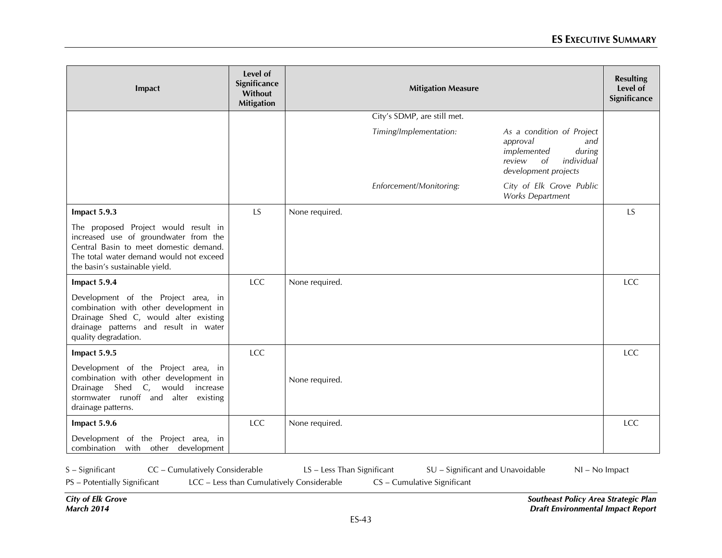| Impact                                                                                                                                                                                               | Level of<br>Significance<br>Without<br><b>Mitigation</b> | <b>Mitigation Measure</b>                                                                                                                             | <b>Resulting</b><br>Level of<br>Significance |
|------------------------------------------------------------------------------------------------------------------------------------------------------------------------------------------------------|----------------------------------------------------------|-------------------------------------------------------------------------------------------------------------------------------------------------------|----------------------------------------------|
|                                                                                                                                                                                                      |                                                          | City's SDMP, are still met.                                                                                                                           |                                              |
|                                                                                                                                                                                                      |                                                          | Timing/Implementation:<br>As a condition of Project<br>approval<br>and<br>implemented<br>during<br>review<br>individual<br>of<br>development projects |                                              |
|                                                                                                                                                                                                      |                                                          | Enforcement/Monitoring:<br>City of Elk Grove Public<br>Works Department                                                                               |                                              |
| Impact 5.9.3                                                                                                                                                                                         | LS                                                       | None required.                                                                                                                                        | <b>LS</b>                                    |
| The proposed Project would result in<br>increased use of groundwater from the<br>Central Basin to meet domestic demand.<br>The total water demand would not exceed<br>the basin's sustainable yield. |                                                          |                                                                                                                                                       |                                              |
| Impact 5.9.4                                                                                                                                                                                         | LCC                                                      | None required.                                                                                                                                        | <b>LCC</b>                                   |
| Development of the Project area, in<br>combination with other development in<br>Drainage Shed C, would alter existing<br>drainage patterns and result in water<br>quality degradation.               |                                                          |                                                                                                                                                       |                                              |
| Impact 5.9.5                                                                                                                                                                                         | <b>LCC</b>                                               |                                                                                                                                                       | <b>LCC</b>                                   |
| Development of the Project area, in<br>combination with other development in<br>C, would<br>Shed<br>Drainage<br>increase<br>stormwater runoff and alter<br>existing<br>drainage patterns.            |                                                          | None required.                                                                                                                                        |                                              |
| Impact 5.9.6                                                                                                                                                                                         | LCC                                                      | None required.                                                                                                                                        | LCC                                          |
| Development of the Project area, in<br>combination with other development                                                                                                                            |                                                          |                                                                                                                                                       |                                              |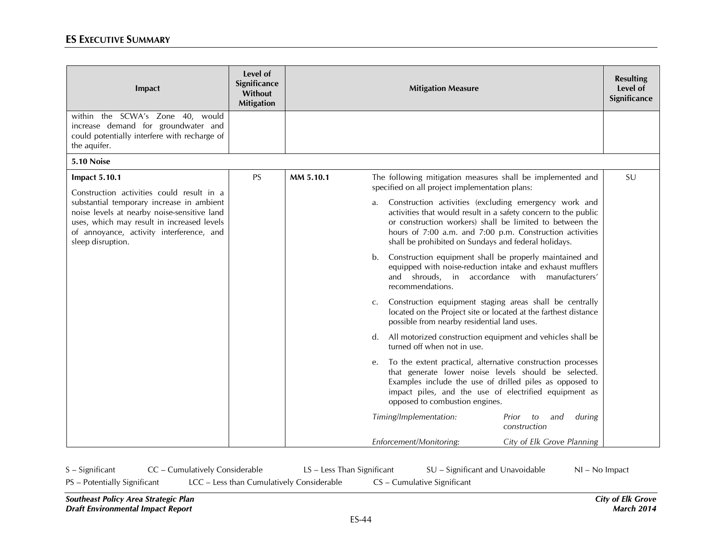| Impact                                                                                                                                                                                                  | Level of<br>Significance<br>Without<br><b>Mitigation</b> |           | <b>Mitigation Measure</b>                                                                                                                                                                                                                                                                                     | <b>Resulting</b><br>Level of<br>Significance |
|---------------------------------------------------------------------------------------------------------------------------------------------------------------------------------------------------------|----------------------------------------------------------|-----------|---------------------------------------------------------------------------------------------------------------------------------------------------------------------------------------------------------------------------------------------------------------------------------------------------------------|----------------------------------------------|
| within the SCWA's Zone 40, would<br>increase demand for groundwater and<br>could potentially interfere with recharge of<br>the aquifer.                                                                 |                                                          |           |                                                                                                                                                                                                                                                                                                               |                                              |
| 5.10 Noise                                                                                                                                                                                              |                                                          |           |                                                                                                                                                                                                                                                                                                               |                                              |
| <b>Impact 5.10.1</b><br>Construction activities could result in a                                                                                                                                       | <b>PS</b>                                                | MM 5.10.1 | The following mitigation measures shall be implemented and<br>specified on all project implementation plans:                                                                                                                                                                                                  | SU                                           |
| substantial temporary increase in ambient<br>noise levels at nearby noise-sensitive land<br>uses, which may result in increased levels<br>of annoyance, activity interference, and<br>sleep disruption. |                                                          |           | Construction activities (excluding emergency work and<br>a.<br>activities that would result in a safety concern to the public<br>or construction workers) shall be limited to between the<br>hours of 7:00 a.m. and 7:00 p.m. Construction activities<br>shall be prohibited on Sundays and federal holidays. |                                              |
|                                                                                                                                                                                                         |                                                          |           | Construction equipment shall be properly maintained and<br>b.<br>equipped with noise-reduction intake and exhaust mufflers<br>and shrouds, in accordance with manufacturers'<br>recommendations.                                                                                                              |                                              |
|                                                                                                                                                                                                         |                                                          |           | Construction equipment staging areas shall be centrally<br>C.<br>located on the Project site or located at the farthest distance<br>possible from nearby residential land uses.                                                                                                                               |                                              |
|                                                                                                                                                                                                         |                                                          |           | d. All motorized construction equipment and vehicles shall be<br>turned off when not in use.                                                                                                                                                                                                                  |                                              |
|                                                                                                                                                                                                         |                                                          |           | To the extent practical, alternative construction processes<br>e.<br>that generate lower noise levels should be selected.<br>Examples include the use of drilled piles as opposed to<br>impact piles, and the use of electrified equipment as<br>opposed to combustion engines.                               |                                              |
|                                                                                                                                                                                                         |                                                          |           | Timing/Implementation:<br>during<br>Prior<br>and<br>to<br>construction                                                                                                                                                                                                                                        |                                              |
|                                                                                                                                                                                                         |                                                          |           | Enforcement/Monitoring:<br>City of Elk Grove Planning                                                                                                                                                                                                                                                         |                                              |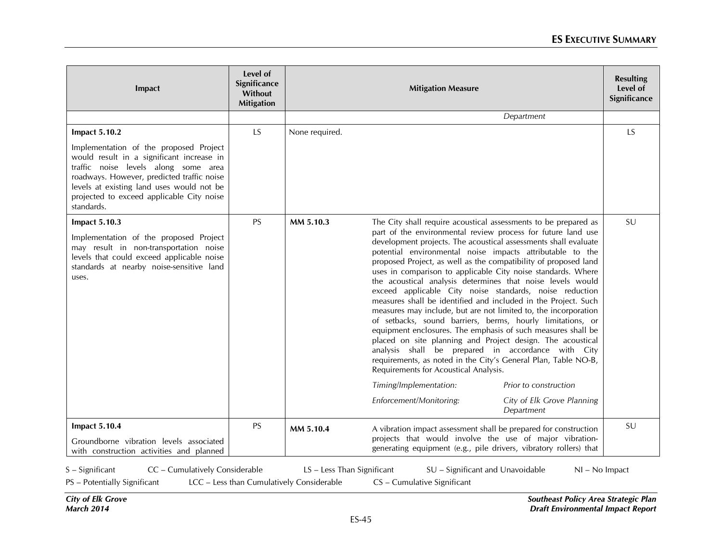| Impact                                                                                                                                                                                                                                                                            | Level of<br>Significance<br>Without<br><b>Mitigation</b> |                | <b>Mitigation Measure</b>                                                                                                                                                                                                                                                                                                                                                                                                                                                                                                                                                                                                                                                                                                                                                                                                                                                                                                                                                                                                                                                        | <b>Resulting</b><br>Level of<br>Significance |
|-----------------------------------------------------------------------------------------------------------------------------------------------------------------------------------------------------------------------------------------------------------------------------------|----------------------------------------------------------|----------------|----------------------------------------------------------------------------------------------------------------------------------------------------------------------------------------------------------------------------------------------------------------------------------------------------------------------------------------------------------------------------------------------------------------------------------------------------------------------------------------------------------------------------------------------------------------------------------------------------------------------------------------------------------------------------------------------------------------------------------------------------------------------------------------------------------------------------------------------------------------------------------------------------------------------------------------------------------------------------------------------------------------------------------------------------------------------------------|----------------------------------------------|
|                                                                                                                                                                                                                                                                                   |                                                          |                | Department                                                                                                                                                                                                                                                                                                                                                                                                                                                                                                                                                                                                                                                                                                                                                                                                                                                                                                                                                                                                                                                                       |                                              |
| <b>Impact 5.10.2</b>                                                                                                                                                                                                                                                              | LS                                                       | None required. |                                                                                                                                                                                                                                                                                                                                                                                                                                                                                                                                                                                                                                                                                                                                                                                                                                                                                                                                                                                                                                                                                  | <b>LS</b>                                    |
| Implementation of the proposed Project<br>would result in a significant increase in<br>traffic noise levels along some area<br>roadways. However, predicted traffic noise<br>levels at existing land uses would not be<br>projected to exceed applicable City noise<br>standards. |                                                          |                |                                                                                                                                                                                                                                                                                                                                                                                                                                                                                                                                                                                                                                                                                                                                                                                                                                                                                                                                                                                                                                                                                  |                                              |
| <b>Impact 5.10.3</b><br>Implementation of the proposed Project<br>may result in non-transportation noise<br>levels that could exceed applicable noise<br>standards at nearby noise-sensitive land<br>uses.                                                                        | <b>PS</b>                                                | MM 5.10.3      | The City shall require acoustical assessments to be prepared as<br>part of the environmental review process for future land use<br>development projects. The acoustical assessments shall evaluate<br>potential environmental noise impacts attributable to the<br>proposed Project, as well as the compatibility of proposed land<br>uses in comparison to applicable City noise standards. Where<br>the acoustical analysis determines that noise levels would<br>exceed applicable City noise standards, noise reduction<br>measures shall be identified and included in the Project. Such<br>measures may include, but are not limited to, the incorporation<br>of setbacks, sound barriers, berms, hourly limitations, or<br>equipment enclosures. The emphasis of such measures shall be<br>placed on site planning and Project design. The acoustical<br>analysis shall be prepared in accordance with City<br>requirements, as noted in the City's General Plan, Table NO-B,<br>Requirements for Acoustical Analysis.<br>Timing/Implementation:<br>Prior to construction | SU                                           |
|                                                                                                                                                                                                                                                                                   |                                                          |                | Enforcement/Monitoring:<br>City of Elk Grove Planning<br>Department                                                                                                                                                                                                                                                                                                                                                                                                                                                                                                                                                                                                                                                                                                                                                                                                                                                                                                                                                                                                              |                                              |
| <b>Impact 5.10.4</b><br>Groundborne vibration levels associated<br>with construction activities and planned                                                                                                                                                                       | <b>PS</b>                                                | MM 5.10.4      | A vibration impact assessment shall be prepared for construction<br>projects that would involve the use of major vibration-<br>generating equipment (e.g., pile drivers, vibratory rollers) that                                                                                                                                                                                                                                                                                                                                                                                                                                                                                                                                                                                                                                                                                                                                                                                                                                                                                 | SU                                           |

S – Significant CC – Cumulatively Considerable LS – Less Than Significant SU – Significant and Unavoidable NI – No Impact

PS – Potentially Significant LCC – Less than Cumulatively Considerable CS – Cumulative Significant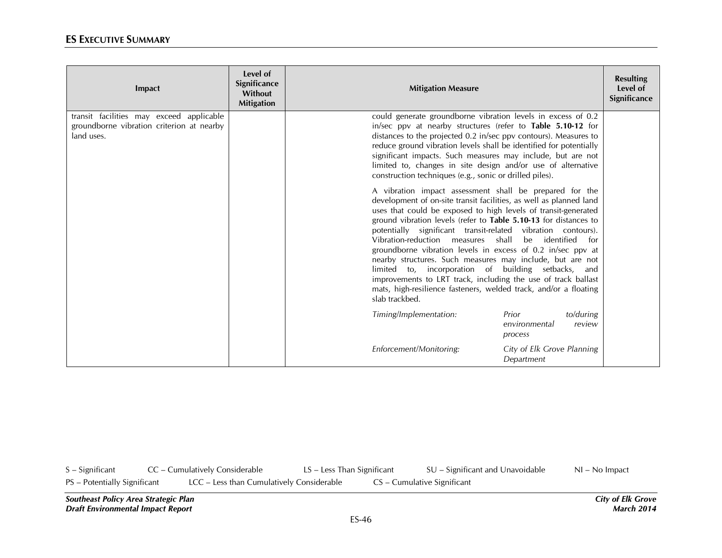| Impact                                                                                              | Level of<br>Significance<br>Without<br><b>Mitigation</b> | <b>Mitigation Measure</b>                                                                                                                                                                                                                                                                                                                                                                                                                                                                                                                                                                                                                                                                                                                      | <b>Resulting</b><br>Level of<br>Significance |
|-----------------------------------------------------------------------------------------------------|----------------------------------------------------------|------------------------------------------------------------------------------------------------------------------------------------------------------------------------------------------------------------------------------------------------------------------------------------------------------------------------------------------------------------------------------------------------------------------------------------------------------------------------------------------------------------------------------------------------------------------------------------------------------------------------------------------------------------------------------------------------------------------------------------------------|----------------------------------------------|
| transit facilities may exceed applicable<br>groundborne vibration criterion at nearby<br>land uses. |                                                          | could generate groundborne vibration levels in excess of 0.2<br>in/sec ppv at nearby structures (refer to Table 5.10-12 for<br>distances to the projected 0.2 in/sec ppv contours). Measures to<br>reduce ground vibration levels shall be identified for potentially<br>significant impacts. Such measures may include, but are not<br>limited to, changes in site design and/or use of alternative<br>construction techniques (e.g., sonic or drilled piles).                                                                                                                                                                                                                                                                                |                                              |
|                                                                                                     |                                                          | A vibration impact assessment shall be prepared for the<br>development of on-site transit facilities, as well as planned land<br>uses that could be exposed to high levels of transit-generated<br>ground vibration levels (refer to Table 5.10-13 for distances to<br>potentially significant transit-related vibration contours).<br>Vibration-reduction measures<br>shall<br>be identified<br>for<br>groundborne vibration levels in excess of 0.2 in/sec ppv at<br>nearby structures. Such measures may include, but are not<br>limited to, incorporation of building setbacks, and<br>improvements to LRT track, including the use of track ballast<br>mats, high-resilience fasteners, welded track, and/or a floating<br>slab trackbed. |                                              |
|                                                                                                     |                                                          | Timing/Implementation:<br>to/during<br>Prior<br>environmental<br>review<br>process                                                                                                                                                                                                                                                                                                                                                                                                                                                                                                                                                                                                                                                             |                                              |
|                                                                                                     |                                                          | Enforcement/Monitoring:<br>City of Elk Grove Planning<br>Department                                                                                                                                                                                                                                                                                                                                                                                                                                                                                                                                                                                                                                                                            |                                              |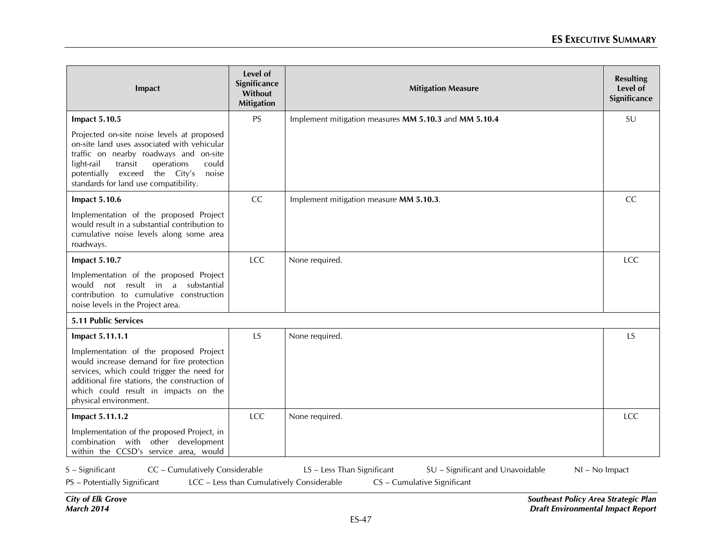| Impact                                                                                                                                                                                                                                                                 | Level of<br>Significance<br>Without<br><b>Mitigation</b> | <b>Mitigation Measure</b>                             | <b>Resulting</b><br>Level of<br>Significance |
|------------------------------------------------------------------------------------------------------------------------------------------------------------------------------------------------------------------------------------------------------------------------|----------------------------------------------------------|-------------------------------------------------------|----------------------------------------------|
| <b>Impact 5.10.5</b>                                                                                                                                                                                                                                                   | <b>PS</b>                                                | Implement mitigation measures MM 5.10.3 and MM 5.10.4 | SU                                           |
| Projected on-site noise levels at proposed<br>on-site land uses associated with vehicular<br>traffic on nearby roadways and on-site<br>light-rail<br>operations<br>could<br>transit<br>potentially exceed the City's<br>noise<br>standards for land use compatibility. |                                                          |                                                       |                                              |
| <b>Impact 5.10.6</b>                                                                                                                                                                                                                                                   | <b>CC</b>                                                | Implement mitigation measure MM 5.10.3.               | CC                                           |
| Implementation of the proposed Project<br>would result in a substantial contribution to<br>cumulative noise levels along some area<br>roadways.                                                                                                                        |                                                          |                                                       |                                              |
| <b>Impact 5.10.7</b>                                                                                                                                                                                                                                                   | <b>LCC</b>                                               | None required.                                        | LCC                                          |
| Implementation of the proposed Project<br>would not result in a substantial<br>contribution to cumulative construction<br>noise levels in the Project area.                                                                                                            |                                                          |                                                       |                                              |
| 5.11 Public Services                                                                                                                                                                                                                                                   |                                                          |                                                       |                                              |
| Impact 5.11.1.1                                                                                                                                                                                                                                                        | LS                                                       | None required.                                        | <b>LS</b>                                    |
| Implementation of the proposed Project<br>would increase demand for fire protection<br>services, which could trigger the need for<br>additional fire stations, the construction of<br>which could result in impacts on the<br>physical environment.                    |                                                          |                                                       |                                              |
| Impact 5.11.1.2                                                                                                                                                                                                                                                        | <b>LCC</b>                                               | None required.                                        | <b>LCC</b>                                   |
| Implementation of the proposed Project, in<br>combination with other development<br>within the CCSD's service area, would                                                                                                                                              |                                                          |                                                       |                                              |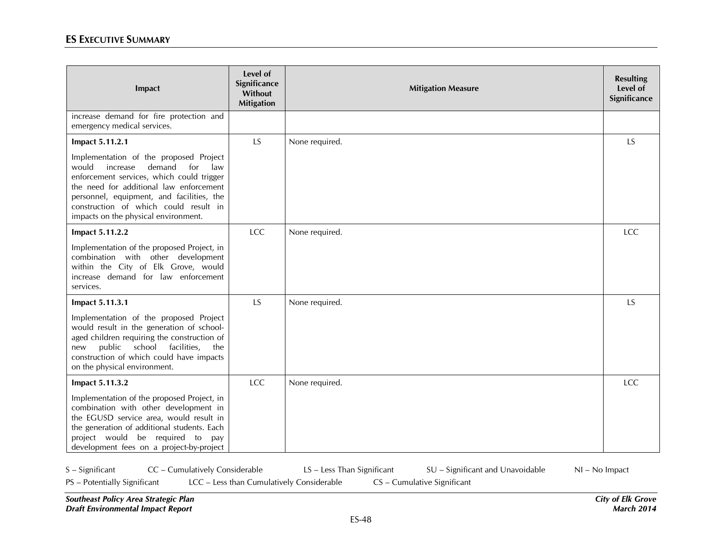| Impact                                                                                                                                                                                                                                                                                                    | Level of<br>Significance<br>Without<br><b>Mitigation</b> | <b>Mitigation Measure</b> | <b>Resulting</b><br>Level of<br>Significance |
|-----------------------------------------------------------------------------------------------------------------------------------------------------------------------------------------------------------------------------------------------------------------------------------------------------------|----------------------------------------------------------|---------------------------|----------------------------------------------|
| increase demand for fire protection and<br>emergency medical services.                                                                                                                                                                                                                                    |                                                          |                           |                                              |
| Impact 5.11.2.1                                                                                                                                                                                                                                                                                           | <b>LS</b>                                                | None required.            | <b>LS</b>                                    |
| Implementation of the proposed Project<br>demand<br>would<br>increase<br>for<br>law<br>enforcement services, which could trigger<br>the need for additional law enforcement<br>personnel, equipment, and facilities, the<br>construction of which could result in<br>impacts on the physical environment. |                                                          |                           |                                              |
| Impact 5.11.2.2                                                                                                                                                                                                                                                                                           | <b>LCC</b>                                               | None required.            | <b>LCC</b>                                   |
| Implementation of the proposed Project, in<br>combination with other development<br>within the City of Elk Grove, would<br>increase demand for law enforcement<br>services.                                                                                                                               |                                                          |                           |                                              |
| Impact 5.11.3.1                                                                                                                                                                                                                                                                                           | <b>LS</b>                                                | None required.            | <b>LS</b>                                    |
| Implementation of the proposed Project<br>would result in the generation of school-<br>aged children requiring the construction of<br>public<br>school facilities,<br>the<br>new<br>construction of which could have impacts<br>on the physical environment.                                              |                                                          |                           |                                              |
| Impact 5.11.3.2                                                                                                                                                                                                                                                                                           | LCC                                                      | None required.            | <b>LCC</b>                                   |
| Implementation of the proposed Project, in<br>combination with other development in<br>the EGUSD service area, would result in<br>the generation of additional students. Each<br>project would be required to pay<br>development fees on a project-by-project                                             |                                                          |                           |                                              |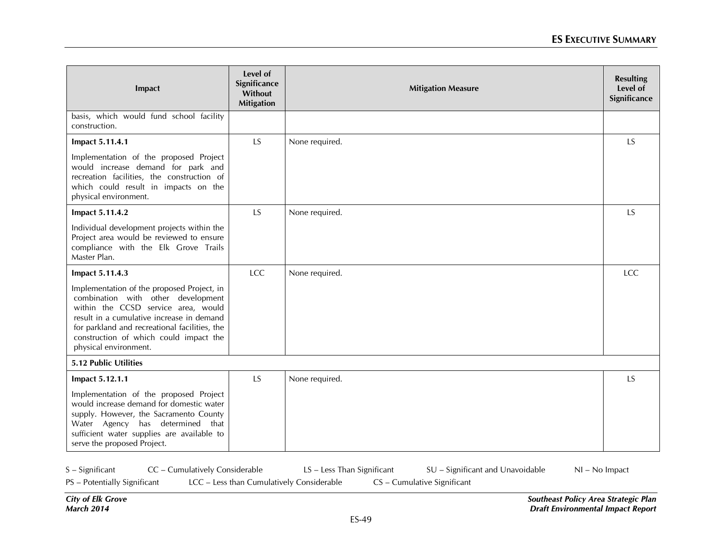| Impact                                                                                                                                                                                                                                                                                   | Level of<br>Significance<br>Without<br><b>Mitigation</b> | <b>Mitigation Measure</b> | <b>Resulting</b><br>Level of<br>Significance |
|------------------------------------------------------------------------------------------------------------------------------------------------------------------------------------------------------------------------------------------------------------------------------------------|----------------------------------------------------------|---------------------------|----------------------------------------------|
| basis, which would fund school facility<br>construction.                                                                                                                                                                                                                                 |                                                          |                           |                                              |
| Impact 5.11.4.1                                                                                                                                                                                                                                                                          | LS                                                       | None required.            | <b>LS</b>                                    |
| Implementation of the proposed Project<br>would increase demand for park and<br>recreation facilities, the construction of<br>which could result in impacts on the<br>physical environment.                                                                                              |                                                          |                           |                                              |
| Impact 5.11.4.2                                                                                                                                                                                                                                                                          | LS                                                       | None required.            | <b>LS</b>                                    |
| Individual development projects within the<br>Project area would be reviewed to ensure<br>compliance with the Elk Grove Trails<br>Master Plan.                                                                                                                                           |                                                          |                           |                                              |
| Impact 5.11.4.3                                                                                                                                                                                                                                                                          | LCC                                                      | None required.            | <b>LCC</b>                                   |
| Implementation of the proposed Project, in<br>combination with other development<br>within the CCSD service area, would<br>result in a cumulative increase in demand<br>for parkland and recreational facilities, the<br>construction of which could impact the<br>physical environment. |                                                          |                           |                                              |
| 5.12 Public Utilities                                                                                                                                                                                                                                                                    |                                                          |                           |                                              |
| Impact 5.12.1.1                                                                                                                                                                                                                                                                          | <b>LS</b>                                                | None required.            | <b>LS</b>                                    |
| Implementation of the proposed Project<br>would increase demand for domestic water<br>supply. However, the Sacramento County<br>Water Agency has determined that<br>sufficient water supplies are available to<br>serve the proposed Project.                                            |                                                          |                           |                                              |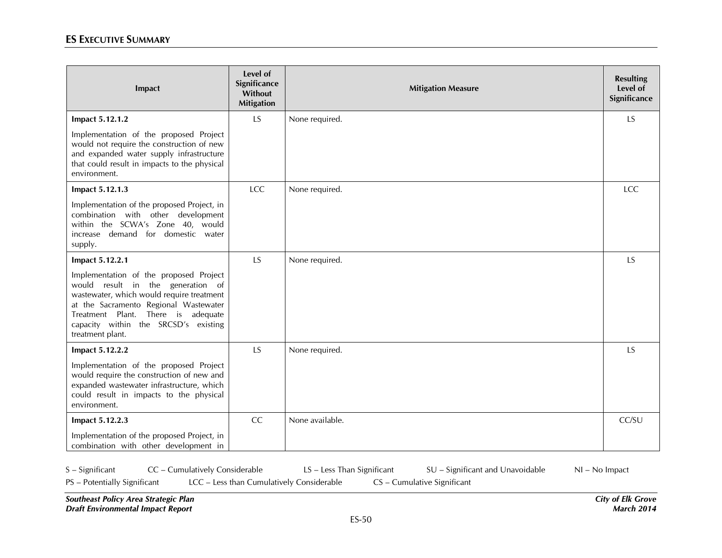| Impact                                                                                                                                                                                                                                                              | Level of<br>Significance<br>Without<br><b>Mitigation</b> | <b>Mitigation Measure</b> | <b>Resulting</b><br>Level of<br>Significance |
|---------------------------------------------------------------------------------------------------------------------------------------------------------------------------------------------------------------------------------------------------------------------|----------------------------------------------------------|---------------------------|----------------------------------------------|
| Impact 5.12.1.2                                                                                                                                                                                                                                                     | <b>LS</b>                                                | None required.            | LS                                           |
| Implementation of the proposed Project<br>would not require the construction of new<br>and expanded water supply infrastructure<br>that could result in impacts to the physical<br>environment.                                                                     |                                                          |                           |                                              |
| Impact 5.12.1.3                                                                                                                                                                                                                                                     | LCC                                                      | None required.            | LCC                                          |
| Implementation of the proposed Project, in<br>combination with other development<br>within the SCWA's Zone 40, would<br>increase demand for domestic water<br>supply.                                                                                               |                                                          |                           |                                              |
| Impact 5.12.2.1                                                                                                                                                                                                                                                     | LS                                                       | None required.            | LS                                           |
| Implementation of the proposed Project<br>would result in the generation of<br>wastewater, which would require treatment<br>at the Sacramento Regional Wastewater<br>Treatment Plant. There is adequate<br>capacity within the SRCSD's existing<br>treatment plant. |                                                          |                           |                                              |
| Impact 5.12.2.2                                                                                                                                                                                                                                                     | <b>LS</b>                                                | None required.            | LS                                           |
| Implementation of the proposed Project<br>would require the construction of new and<br>expanded wastewater infrastructure, which<br>could result in impacts to the physical<br>environment.                                                                         |                                                          |                           |                                              |
| Impact 5.12.2.3                                                                                                                                                                                                                                                     | <b>CC</b>                                                | None available.           | CC/SU                                        |
| Implementation of the proposed Project, in<br>combination with other development in                                                                                                                                                                                 |                                                          |                           |                                              |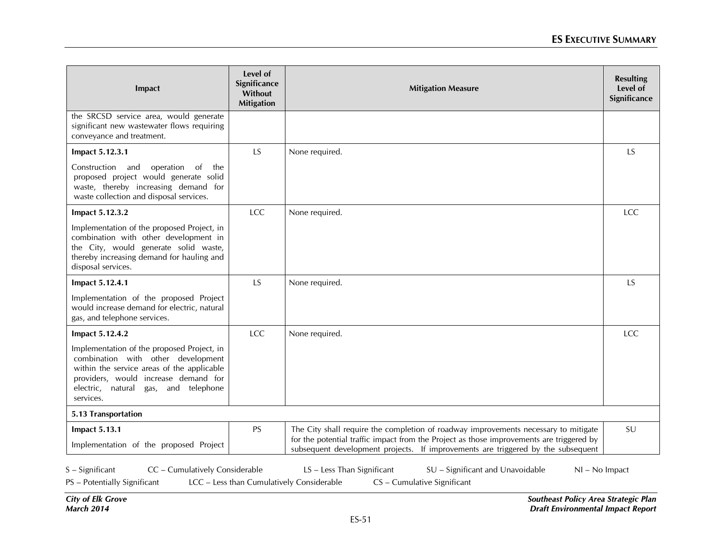| Impact                                                                                                                                                                                                                      | Level of<br>Significance<br>Without<br><b>Mitigation</b> | <b>Mitigation Measure</b>                                                                                                                                                                                                                                           |            |
|-----------------------------------------------------------------------------------------------------------------------------------------------------------------------------------------------------------------------------|----------------------------------------------------------|---------------------------------------------------------------------------------------------------------------------------------------------------------------------------------------------------------------------------------------------------------------------|------------|
| the SRCSD service area, would generate<br>significant new wastewater flows requiring<br>conveyance and treatment.                                                                                                           |                                                          |                                                                                                                                                                                                                                                                     |            |
| Impact 5.12.3.1                                                                                                                                                                                                             | <b>LS</b>                                                | None required.                                                                                                                                                                                                                                                      | <b>LS</b>  |
| Construction and<br>operation of the<br>proposed project would generate solid<br>waste, thereby increasing demand for<br>waste collection and disposal services.                                                            |                                                          |                                                                                                                                                                                                                                                                     |            |
| Impact 5.12.3.2                                                                                                                                                                                                             | LCC                                                      | None required.                                                                                                                                                                                                                                                      | <b>LCC</b> |
| Implementation of the proposed Project, in<br>combination with other development in<br>the City, would generate solid waste,<br>thereby increasing demand for hauling and<br>disposal services.                             |                                                          |                                                                                                                                                                                                                                                                     |            |
| Impact 5.12.4.1                                                                                                                                                                                                             | LS                                                       | None required.                                                                                                                                                                                                                                                      | LS         |
| Implementation of the proposed Project<br>would increase demand for electric, natural<br>gas, and telephone services.                                                                                                       |                                                          |                                                                                                                                                                                                                                                                     |            |
| Impact 5.12.4.2                                                                                                                                                                                                             | LCC                                                      | None required.                                                                                                                                                                                                                                                      | <b>LCC</b> |
| Implementation of the proposed Project, in<br>combination with other development<br>within the service areas of the applicable<br>providers, would increase demand for<br>electric, natural gas, and telephone<br>services. |                                                          |                                                                                                                                                                                                                                                                     |            |
| 5.13 Transportation                                                                                                                                                                                                         |                                                          |                                                                                                                                                                                                                                                                     |            |
| <b>Impact 5.13.1</b><br>Implementation of the proposed Project                                                                                                                                                              | PS                                                       | The City shall require the completion of roadway improvements necessary to mitigate<br>for the potential traffic impact from the Project as those improvements are triggered by<br>subsequent development projects. If improvements are triggered by the subsequent | SU         |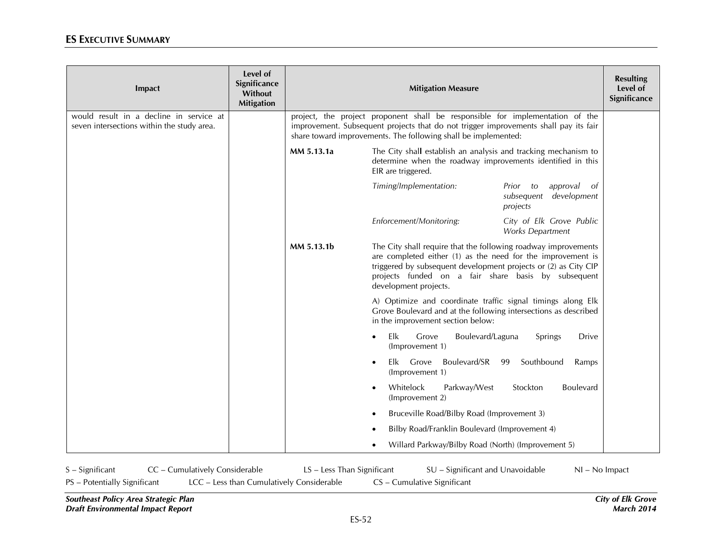| Impact                                                                                | Level of<br>Significance<br>Without<br><b>Mitigation</b> | <b>Mitigation Measure</b> |                                                                                                                                                                                                                                                                                  |                                                                    |  |
|---------------------------------------------------------------------------------------|----------------------------------------------------------|---------------------------|----------------------------------------------------------------------------------------------------------------------------------------------------------------------------------------------------------------------------------------------------------------------------------|--------------------------------------------------------------------|--|
| would result in a decline in service at<br>seven intersections within the study area. |                                                          |                           | project, the project proponent shall be responsible for implementation of the<br>improvement. Subsequent projects that do not trigger improvements shall pay its fair<br>share toward improvements. The following shall be implemented:                                          |                                                                    |  |
|                                                                                       |                                                          | MM 5.13.1a                | The City shall establish an analysis and tracking mechanism to<br>determine when the roadway improvements identified in this<br>EIR are triggered.                                                                                                                               |                                                                    |  |
|                                                                                       |                                                          |                           | Timing/Implementation:                                                                                                                                                                                                                                                           | approval<br>Prior to<br>- of<br>subsequent development<br>projects |  |
|                                                                                       |                                                          |                           | Enforcement/Monitoring:                                                                                                                                                                                                                                                          | City of Elk Grove Public<br>Works Department                       |  |
|                                                                                       |                                                          | MM 5.13.1b                | The City shall require that the following roadway improvements<br>are completed either (1) as the need for the improvement is<br>triggered by subsequent development projects or (2) as City CIP<br>projects funded on a fair share basis by subsequent<br>development projects. |                                                                    |  |
|                                                                                       |                                                          |                           | A) Optimize and coordinate traffic signal timings along Elk<br>Grove Boulevard and at the following intersections as described<br>in the improvement section below:                                                                                                              |                                                                    |  |
|                                                                                       |                                                          |                           | Elk<br>Grove<br>Boulevard/Laguna<br>$\bullet$<br>(Improvement 1)                                                                                                                                                                                                                 | Springs<br><b>Drive</b>                                            |  |
|                                                                                       |                                                          |                           | Boulevard/SR<br>Elk Grove<br>(Improvement 1)                                                                                                                                                                                                                                     | Southbound<br>99<br>Ramps                                          |  |
|                                                                                       |                                                          |                           | Whitelock<br>Parkway/West<br>(Improvement 2)                                                                                                                                                                                                                                     | Stockton<br>Boulevard                                              |  |
|                                                                                       |                                                          |                           | Bruceville Road/Bilby Road (Improvement 3)                                                                                                                                                                                                                                       |                                                                    |  |
|                                                                                       |                                                          |                           | Bilby Road/Franklin Boulevard (Improvement 4)                                                                                                                                                                                                                                    |                                                                    |  |
|                                                                                       |                                                          |                           | Willard Parkway/Bilby Road (North) (Improvement 5)                                                                                                                                                                                                                               |                                                                    |  |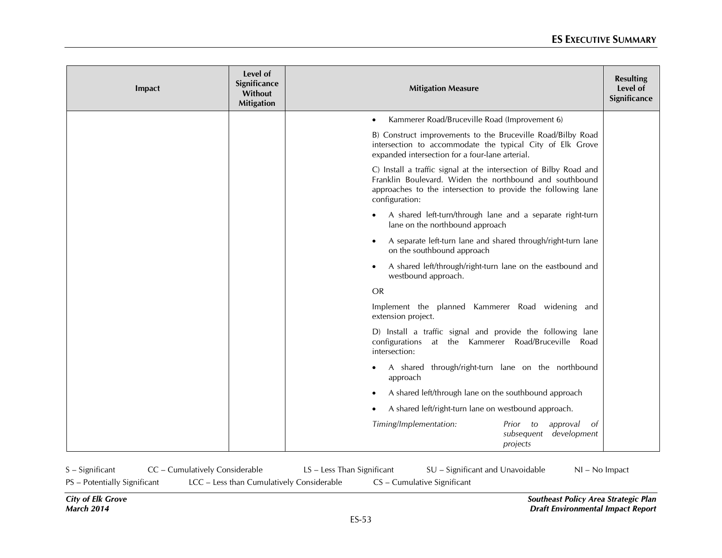| Impact | Level of<br>Significance<br>Without<br><b>Mitigation</b> | <b>Mitigation Measure</b>                                                                                                                                                                                      |  |  |
|--------|----------------------------------------------------------|----------------------------------------------------------------------------------------------------------------------------------------------------------------------------------------------------------------|--|--|
|        |                                                          | Kammerer Road/Bruceville Road (Improvement 6)                                                                                                                                                                  |  |  |
|        |                                                          | B) Construct improvements to the Bruceville Road/Bilby Road<br>intersection to accommodate the typical City of Elk Grove<br>expanded intersection for a four-lane arterial.                                    |  |  |
|        |                                                          | C) Install a traffic signal at the intersection of Bilby Road and<br>Franklin Boulevard. Widen the northbound and southbound<br>approaches to the intersection to provide the following lane<br>configuration: |  |  |
|        |                                                          | A shared left-turn/through lane and a separate right-turn<br>lane on the northbound approach                                                                                                                   |  |  |
|        |                                                          | A separate left-turn lane and shared through/right-turn lane<br>$\bullet$<br>on the southbound approach                                                                                                        |  |  |
|        |                                                          | A shared left/through/right-turn lane on the eastbound and<br>$\bullet$<br>westbound approach.                                                                                                                 |  |  |
|        |                                                          | <b>OR</b>                                                                                                                                                                                                      |  |  |
|        |                                                          | Implement the planned Kammerer Road widening and<br>extension project.                                                                                                                                         |  |  |
|        |                                                          | D) Install a traffic signal and provide the following lane<br>configurations at the Kammerer Road/Bruceville<br>Road<br>intersection:                                                                          |  |  |
|        |                                                          | A shared through/right-turn lane on the northbound<br>approach                                                                                                                                                 |  |  |
|        |                                                          | A shared left/through lane on the southbound approach                                                                                                                                                          |  |  |
|        |                                                          | A shared left/right-turn lane on westbound approach.                                                                                                                                                           |  |  |
|        |                                                          | Timing/Implementation:<br>approval<br>Prior to<br>- of<br>development<br>subsequent<br>projects                                                                                                                |  |  |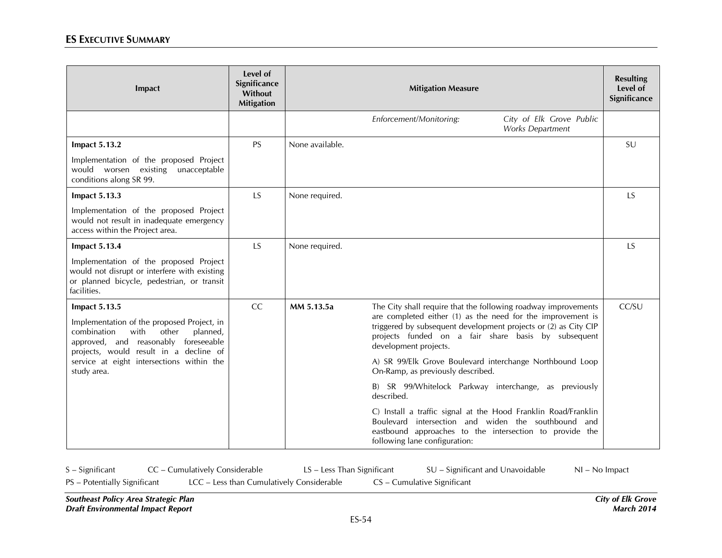| Impact                                                                                                                                                                   | Level of<br>Significance<br>Without<br><b>Mitigation</b> | <b>Mitigation Measure</b> |                                                                                                                                                                                                                   |                                              | <b>Resulting</b><br>Level of<br>Significance |
|--------------------------------------------------------------------------------------------------------------------------------------------------------------------------|----------------------------------------------------------|---------------------------|-------------------------------------------------------------------------------------------------------------------------------------------------------------------------------------------------------------------|----------------------------------------------|----------------------------------------------|
|                                                                                                                                                                          |                                                          |                           | Enforcement/Monitoring:                                                                                                                                                                                           | City of Elk Grove Public<br>Works Department |                                              |
| <b>Impact 5.13.2</b>                                                                                                                                                     | <b>PS</b>                                                | None available.           |                                                                                                                                                                                                                   |                                              | SU                                           |
| Implementation of the proposed Project<br>would worsen existing unacceptable<br>conditions along SR 99.                                                                  |                                                          |                           |                                                                                                                                                                                                                   |                                              |                                              |
| <b>Impact 5.13.3</b>                                                                                                                                                     | <b>LS</b>                                                | None required.            |                                                                                                                                                                                                                   |                                              | <b>LS</b>                                    |
| Implementation of the proposed Project<br>would not result in inadequate emergency<br>access within the Project area.                                                    |                                                          |                           |                                                                                                                                                                                                                   |                                              |                                              |
| <b>Impact 5.13.4</b>                                                                                                                                                     | <b>LS</b>                                                | None required.            |                                                                                                                                                                                                                   |                                              | <b>LS</b>                                    |
| Implementation of the proposed Project<br>would not disrupt or interfere with existing<br>or planned bicycle, pedestrian, or transit<br>facilities.                      |                                                          |                           |                                                                                                                                                                                                                   |                                              |                                              |
| <b>Impact 5.13.5</b>                                                                                                                                                     | CC                                                       | MM 5.13.5a                | The City shall require that the following roadway improvements                                                                                                                                                    |                                              | CC/SU                                        |
| Implementation of the proposed Project, in<br>other<br>combination<br>with<br>planned,<br>approved, and reasonably foreseeable<br>projects, would result in a decline of |                                                          |                           | are completed either (1) as the need for the improvement is<br>triggered by subsequent development projects or (2) as City CIP<br>projects funded on a fair share basis by subsequent<br>development projects.    |                                              |                                              |
| service at eight intersections within the<br>study area.                                                                                                                 |                                                          |                           | A) SR 99/Elk Grove Boulevard interchange Northbound Loop<br>On-Ramp, as previously described.                                                                                                                     |                                              |                                              |
|                                                                                                                                                                          |                                                          |                           | B) SR 99/Whitelock Parkway interchange, as previously<br>described.                                                                                                                                               |                                              |                                              |
|                                                                                                                                                                          |                                                          |                           | C) Install a traffic signal at the Hood Franklin Road/Franklin<br>Boulevard intersection and widen the southbound and<br>eastbound approaches to the intersection to provide the<br>following lane configuration: |                                              |                                              |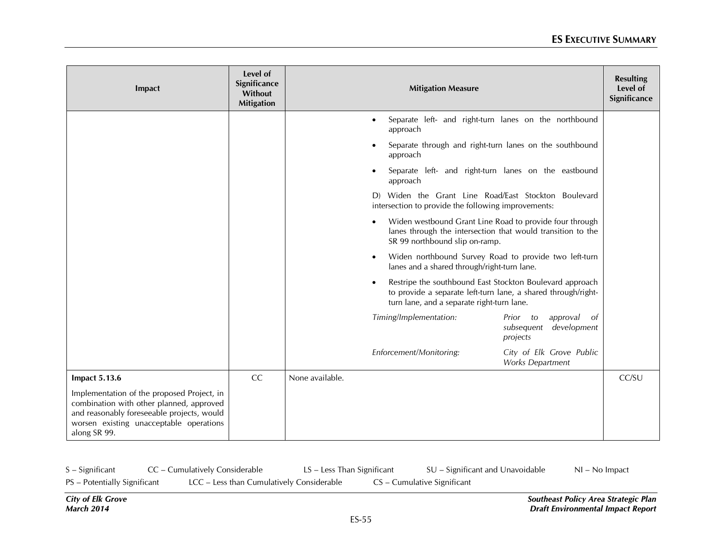| <b>Impact</b>                                                                                                                                                                                   | Level of<br>Significance<br>Without<br><b>Mitigation</b> | <b>Mitigation Measure</b>                                                                                                                                               |       |  |
|-------------------------------------------------------------------------------------------------------------------------------------------------------------------------------------------------|----------------------------------------------------------|-------------------------------------------------------------------------------------------------------------------------------------------------------------------------|-------|--|
|                                                                                                                                                                                                 |                                                          | Separate left- and right-turn lanes on the northbound<br>approach                                                                                                       |       |  |
|                                                                                                                                                                                                 |                                                          | Separate through and right-turn lanes on the southbound<br>approach                                                                                                     |       |  |
|                                                                                                                                                                                                 |                                                          | Separate left- and right-turn lanes on the eastbound<br>approach                                                                                                        |       |  |
|                                                                                                                                                                                                 |                                                          | D) Widen the Grant Line Road/East Stockton Boulevard<br>intersection to provide the following improvements:                                                             |       |  |
|                                                                                                                                                                                                 |                                                          | Widen westbound Grant Line Road to provide four through<br>lanes through the intersection that would transition to the<br>SR 99 northbound slip on-ramp.                |       |  |
|                                                                                                                                                                                                 |                                                          | Widen northbound Survey Road to provide two left-turn<br>$\bullet$<br>lanes and a shared through/right-turn lane.                                                       |       |  |
|                                                                                                                                                                                                 |                                                          | Restripe the southbound East Stockton Boulevard approach<br>to provide a separate left-turn lane, a shared through/right-<br>turn lane, and a separate right-turn lane. |       |  |
|                                                                                                                                                                                                 |                                                          | Timing/Implementation:<br>approval<br>Prior<br>to<br>- of<br>subsequent development<br>projects                                                                         |       |  |
|                                                                                                                                                                                                 |                                                          | Enforcement/Monitoring:<br>City of Elk Grove Public<br>Works Department                                                                                                 |       |  |
| <b>Impact 5.13.6</b>                                                                                                                                                                            | CC                                                       | None available.                                                                                                                                                         | CC/SU |  |
| Implementation of the proposed Project, in<br>combination with other planned, approved<br>and reasonably foreseeable projects, would<br>worsen existing unacceptable operations<br>along SR 99. |                                                          |                                                                                                                                                                         |       |  |

| $S -$ Significant            | CC - Cumulatively Considerable |                                           | LS – Less Than Significant |                             | SU – Significant and Unavoidable | $NI - No$ Impact |
|------------------------------|--------------------------------|-------------------------------------------|----------------------------|-----------------------------|----------------------------------|------------------|
| PS - Potentially Significant |                                | LCC - Less than Cumulatively Considerable |                            | CS – Cumulative Significant |                                  |                  |